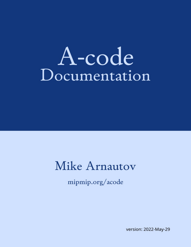# A-code Documentation

# Mike Arnautov

mipmip.org/acode

version: 2022-May-29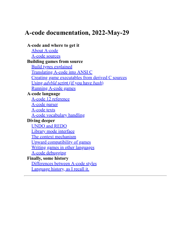# **A-code documentation, 2022-May-29**

#### **A-code and where to get it**

[About A-code](#page-2-0) [A-code sources](#page-3-0) **Building games from source** [Build types explained](#page-28-0) [Translating A-code into ANSI C](#page-13-0) [Creating game executables from derived C sources](#page-5-0) Using *advbld* [script \(if you have](#page-17-0) *bash*) [Running A-code games](#page-32-0) **A-code language** [A-code 12 reference](#page-43-0) [A-code parser](#page-94-0) [A-code texts](#page-119-0) [A-code vocabulary handling](#page-113-0) **Diving deeper** [UNDO and REDO](#page-111-0) [Library mode interface](#page-37-0) [The context mechanism](#page-40-0) [Upward compatibility of games](#page-89-0) [Writing games in other languages](#page-108-0) [A-code debugging](#page-141-0) **Finally, some history** [Differences between A-code styles](#page-154-0) [Language history, as I recall it.](#page-149-0)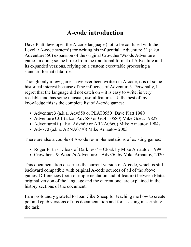# **A-code introduction**

<span id="page-2-0"></span>Dave Platt developed the A-code language (not to be confused with the Level 9 A-code system!) for writing his influential "Adventure 3" (a.k.a Adventure550) expansion of the original Crowther/Woods Adventure game. In doing so, he broke from the traditional format of Adventure and its expanded versions, relying on a custom executable processing a standard format data file.

Though only a few games have ever been written in A-code, it is of some historical interest because of the influence of Adventure3. Personally, I regret that the language did not catch on  $-$  it is easy to write, is very readable and has some unusual, useful features. To the best of my knowledge this is the complete list of A-code games:

- Adventure3 (a.k.a. Adv550 or PLAT0550) Dave Platt 1980
- Adventure C01 (a.k.a. Adv580 or GOET0580) Mike Goetz 1982?
- Adventure4+ (a.k.a. Adv660 or ARNA0660) Mike Arnautov 1984?
- Adv770 (a.k.a. ARNA0770) Mike Arnautov 2003

There are also a couple of A-code re-implementations of existing games:

- Roger Firth's "Cloak of Darkness" Cloak by Mike Arnautov, 1999
- Crowther's & Woods's Adventure Adv350 by Mike Arnautov, 2020

This documentation describes the current version of A-code, which is still backward compatible with original A-code sources of all of the above games. Differences (both of implementation and of feature) between Platt's original version of the language and the current one, are explained in the history sections of the document.

I am profoundly grateful to Joan CiberSheep for teaching me how to create pdf and epub versions of this documentation and for assisting in scripting the task!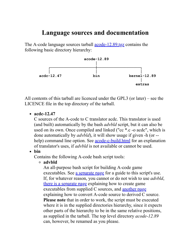# <span id="page-3-0"></span>**Language sources and documentation**

The A-code language sources tarball <u>acode-12.89 tgz</u> contains the following basic directory hierarchy:



All contents of this tarball are licenced under the GPL3 (or later) – see the LICENCE file in the top directory of the tarball.

• acdc-12.47

C sources of the A-code to C translator acdc. This translator is used (and built) automatically by the bash *advbld* script, but it can also be used on its own. Once compiled and linked ("cc \*.c -o acdc", which is done automatically by *advbld*), it will show usage if given -h (or - help) command line option. See [acode-c-build.html](#page-5-0) for an explanation of translator's uses, if *advbld* is not available or cannot be used.

#### **bin**

Contains the following A-code bash script tools:

#### **advbld**

An all-purpose bash script for building A-code game executables. See [a separate page](#page-17-0) for a guide to this script's use. If, for whatever reason, you cannot or do not wish to use *advbld*, [there is a separate page](#page-5-0) explaining how to create game executables from supplied C sources, and [another page](#page-13-0) explaining how to convert A-code source to derived C source. **Please note** that in order to work, the script must be executed where it is in the supplied directories hierarchy, since it expects other parts of the hierarchy to be in the same relative positions, as supplied in the tarball. The top level directory *acode-12.89* can, however, be renamed as you please.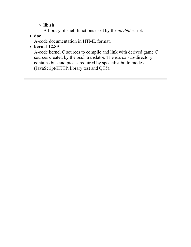**lib.sh**

- A library of shell functions used by the *advbld* script.
- **doc**

A-code documentation in HTML format.

**kernel-12.89**

A-code kernel C sources to compile and link with derived game C sources created by the *acdc* translator. The *extras* sub-directory contains bits and pieces required by specialist build modes (JavaScript/HTTP, library test and QT5).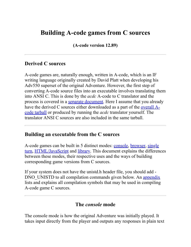# <span id="page-5-0"></span>**Building A-code games from C sources**

**(A-code version 12.89)**

#### **Derived C sources**

A-code games are, naturally enough, written in A-code, which is an IF writing language originally created by David Platt when developing his Adv550 superset of the original Adventure. However, the first step of converting A-code source files into an executable involves translating them into ANSI C. This is done by the *acdc* A-code to C translator and the process is covered in a [separate document.](#page-13-0) Here I assume that you already have the derived C sources either downloaded as a part of the <u>overall A</u>code tarball or produced by running the *acdc* translator yourself. The translator ANSI C sources are also included in the same tarball.

#### **Building an executable from the C sources**

[A-code games can be built in 5 distinct modes:](#page-7-0) [consol](#page-5-1)[e, b](#page-7-0)[rowse](#page-6-0)[r, single](#page-7-0) turn, [HTML/JavaScript](#page-8-0) and [library.](#page-9-0) This document explains the differences between these modes, their respective uses and the ways of building corresponding game versions from C sources.

If your system does not have the unistd.h header file, you should add DNO UNISTD to all compilation commands given below. An [appendix](#page-11-0) lists and explains all compilation symbols that may be used in compiling A-code game C sources.

#### **The** *console* **mode**

<span id="page-5-1"></span>The console mode is how the original Adventure was initially played. It takes input directly from the player and outputs any responses in plain text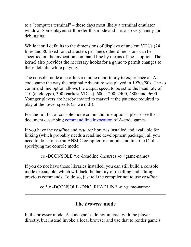to a "computer terminal" – these days most likely a terminal emulator window. Some players still prefer this mode and it is also very handy for debugging.

While it still defaults to the dimensions of displays of ancient VDUs (24 lines and 80 fixed font characters per line), other dimensions can be specified on the invocation command line by means of the -s option. The kernel also provides the necessary hooks for a game to permit changes to these defaults while playing.

The console mode also offers a unique opportunity to experience an Acode game the way the original Adventure was played in 1970s/80s. The -o command line option allows the output speed to be set to the baud rate of 110 (a teletype), 300 (earliest VDUs), 600, 1200, 2400, 4800 and 9600. Younger players are hereby invited to marvel at the patience required to play at the lower speeds (as we did!).

For the full list of console mode command line options, please see the document describing [command line invocation](#page-32-0) of A-code games.

If you have the *readline* and *ncurses* libraries installed and available for linking (which probably needs a readline development package), all you need to do is to use an ANSI C compiler to compile and link the C files, specifying the console mode:

cc -DCONSOLE \*.c -lreadline -lncurses -o <game-name>

If you do not have those libraries installed, you can still build a console mode executable, which will lack the facility of recalling and editing previous commands. To do so, just tell the compiler not to use *readline*:

cc \*.c -DCONSOLE -DNO\_READLINE -o <game-name>

#### **The** *browser* **mode**

<span id="page-6-0"></span>In the browser mode, A-code games do not interact with the player directly, but instead invoke a local browser and use that to render game's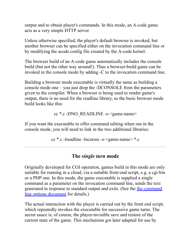output and to obtain player's commands. In this mode, an A-code game acts as a very simple HTTP server.

Unless otherwise specified, the player's default browser is invoked, but another browser can be specified either on the invocation command line or by modifying the acode.config file created by the A-code kernel.

The browser build of an A-code game automatically includes the console build (but not the other way around!). Thus a browser-build game can be invoked in the console mode by adding -C to the invocation command line.

Building a browser mode executable is virtually the same as building a console mode one – you just drop the -DCONSOLE from the parameters given to the compiler. When a browser is being used to render game's output, there is no need for the readline library, so the basic browser mode build looks like this:

cc \*.c -DNO\_READLINE -o <game-name>

If you want the executable to offer command editing when run in the console mode, you will need to link in the two additional libraries:

cc \*.c -lreadline -lncurses -o <game-name> \*.c

#### **The** *single turn* **mode**

<span id="page-7-0"></span>Originally developed for CGI operation, games build in this mode are only suitable for running in a cloud, via a suitable front-end script, e.g. a cgi-bin or a PHP one. In this mode, the game executable is supplied a single command as a parameter on the invocation command line, sends the text [generated in response to standard output and exits. \(See the the command](#page-32-0) line options document for details.)

The actual interaction with the player is carried out by the front end script, which repeatedly invokes the executable for successive game turns. The secret sauce is, of course, the player-invisible save and restore of the current state of the game. This mechanism got later adapted for use by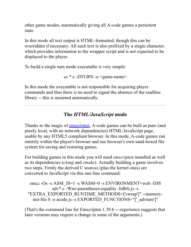other game modes, automatically giving all A-code games a persistent state.

In this mode all text output is HTML-formatted, though this can be overridden if necessary. All such text is also prefixed by a single character, which provides information to the wrapper script and is not expected to be displayed to the player.

To build a single turn mode executable is very simple:

cc  $*$ .c -DTURN -o  $\leq$ game-name>

In this mode the executable is not responsible for acquiring player commands and thus there is no need to signal the absence of the readline library -- this is assumed automatically.

### **The** *HTML/JavaScript* **mode**

<span id="page-8-0"></span>Thanks to the magic of **emscripten**, A-code games can be built as pure (and purely local, with no network dependencies) HTML/JavaScript page, usable by any HTML5 compliant browser. In this mode, A-code games run entirely within the player's browser and use browser's own sand-boxed file system for saving and restoring games.

For building games in this mode you will need *emscripten* installed as well as its dependencies (*clang* and *cmake*). Actually building a game involves two steps. Firstly the derived C sources (plus the kernel ones) are converted to JavaScript via this one-line command:

emcc -Os -s ASM\_JS=1 -s WASM=0 -s ENVIRONMENT=web -DJS adv\*.c -Wno-parentheses-equality -lidbfs.js -s "EXTRA\_EXPORTED\_RUNTIME\_METHODS=['cwrap']" --memoryinit-file 0 -o acode.js -s EXPORTED FUNCTIONS="[' advturn']"

(That's the command line for Emscripten 1.39.6 -- experience suggests that later versions may require a change in some of the arguments.)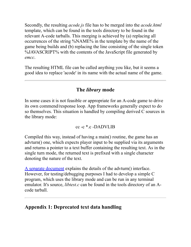Secondly, the resulting *acode.js* file has to be merged into the *acode.html* template, which can be found in the tools directory to be found in the relevant A-code tarballs. This merging is achieved by (a) replacing all occurrences of the string %NAME% in the template by the name of the game being builds and (b) replacing the line consisting of the single token %JAVASCRIPT% with the contents of the JavaScript file generated by *emcc*.

The resulting HTML file can be called anything you like, but it seems a good idea to replace 'acode' in its name with the actual name of the game.

#### **The** *library* **mode**

<span id="page-9-0"></span>In some cases it is not feasible or appropriate for an A-code game to drive its own commend/response loop. App frameworks generally expect to do so themselves. This situation is handled by compiling derived C sources in the library mode:

#### cc -c \*.c -DADVLIB

Compiled this way, instead of having a main() routine, the game has an advturn() one, which expects player input to be supplied via its arguments and returns a pointer to a text buffer containing the resulting text. As in the single turn mode, the returned text is prefixed with a single character denoting the nature of the text.

[A separate document](#page-37-0) explains the details of the advturn() interface. However, for testing/debugging purposes I had to develop a simple C program, which uses the library mode and can be run in any terminal emulator. It's source, *libtest.c* can be found in the tools directory of an Acode tarball.

#### **Appendix 1: Deprecated text data handling**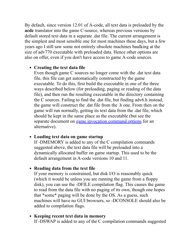By default, since version 12.01 of A-code, all text data is preloaded by the **acdc** translator into the game C-source, whereas previous versions by default stored text data in a separate .dat file. The current arrangement is the simplest and most sensible one for most machines these days, but a few years ago I still saw some not entirely obsolete machines baulking at the size of adv770 executable with preloaded data. Hence other options are also on offer, even if you don't have access to game A-code sources.

#### **Creating the text data file**

Even though game C sources no longer come with the .dat text data file, this file can get automatically constructed by the game executable. To do this, first build the executable in one of the three ways described below (for preloading, paging or reading of the data file), and then run the resulting executable in the directory containing the C sources. Failing to find the .dat file, but finding adv6.h instead, the game will construct the .dat file from the .h one. From then on the game will run normally, getting its text data from the .dat file, which should be kept in the same place as the executable (but see the separate document on [game invocation command options](#page-32-0) for an alternative).

#### **Loading text data on game startup**

If -DMEMORY is added to any of the C compilation commands suggested above, the text data file will be preloaded into a dynamically allocated buffer on game startup. This used to be the default arrangement in A-code versions 10 and 11.

#### **Reading data from the text file**

If your memory is constrained, but disk I/O is reasonably quick (which it would be unless you are running the game from a floppy disk), you can use the -DFILE compilation flag. This causes the game to read from the data file with no paging of its own, though one hopes that \*some\* paging will be done by the OS. As a guess, such machines will have no GUI browsers, so -DCONSOLE should also be added to compilation flags.

#### **Keeping recent text data in memory** If -DSWAP is added to any of the C compilation commands suggested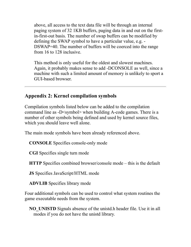above, all access to the text data file will be through an internal paging system of 32 1KB buffers, paging data in and out on the firstin-first-out basis. The number of swap buffers can be modified by defining the SWAP symbol to have a particular value, e.g. - DSWAP=40. The number of buffers will be coerced into the range from 16 to 128 inclusive.

This method is only useful for the oldest and slowest machines. Again, it probably makes sense to add -DCONSOLE as well, since a machine with such a limited amount of memory is unlikely to sport a GUI-based browser.

#### <span id="page-11-0"></span>**Appendix 2: Kernel compilation symbols**

Compilation symbols listed below can be added to the compilation command line as -D<symbol> when building A-code games. There is a number of other symbols being defined and used by kernel source files, which you should leave well alone.

The main mode symbols have been already referenced above.

**CONSOLE** Specifies console-only mode

**CGI** Specifies single turn mode

**HTTP** Specifies combined browser/console mode – this is the default

**JS** Specifies JavaScript/HTML mode

**ADVLIB** Specifies library mode

Four additional symbols can be used to control what system routines the game executable needs from the system.

**NO\_UNISTD** Signals absence of the unistd.h header file. Use it in all modes if you do not have the unistd library.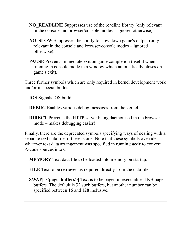- **NO\_READLINE** Suppresses use of the readline library (only relevant in the console and browser/console modes – ignored otherwise).
- **NO\_SLOW** Suppresses the ability to slow down game's output (only relevant in the console and browser/console modes – ignored otherwise).
- **PAUSE** Prevents immediate exit on game completion (useful when running in console mode in a window which automatically closes on game's exit).

Three further symbols which are only required in kernel development work and/or in special builds.

**IOS** Signals iOS build.

**DEBUG** Enables various debug messages from the kernel.

**DIRECT** Prevents the HTTP server being daemonised in the browser mode – makes debugging easier!

Finally, there are the deprecated symbols specifying ways of dealing with a separate text data file, if there is one. Note that these symbols override whatever text data arrangement was specified in running **acdc** to convert A-code sources into C.

**MEMORY** Text data file to be loaded into memory on startup.

**FILE** Text to be retrieved as required directly from the data file.

**SWAP**[= <page buffers > Text is to be paged in executables 1KB page buffers. The default is 32 such buffers, but another number can be specified between 16 and 128 inclusive.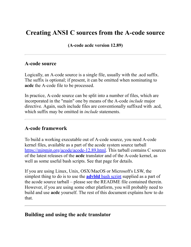# <span id="page-13-0"></span>**Creating ANSI C sources from the A-code source**

**(A-code acdc version 12.89)**

#### **A-code source**

Logically, an A-code source is a single file, usually with the .acd suffix. The suffix is optional; if present, it can be omitted when nominating to **acdc** the A-code file to be processed.

In practice, A-code source can be split into a number of files, which are incorporated in the "main" one by means of the A-code *include* major directive. Again, such include files are conventionally suffixed with .acd, which suffix may be omitted in *include* statements.

#### **A-code framework**

To build a working executable out of A-code source, you need A-code kernel files, available as a part of the acode system source tarball [https://mipmip.org/acode/acode-12.89.html](https://mipmip.org/acode/acode-12.89.tgz). This tarball contains C sources of the latest releases of the **acdc** translator and of the A-code kernel, as well as some useful bash scripts. See that page for details.

If you are using Linux, Unix, OSX/MacOS or Microsoft's LSW, the simplest thing to do is to use the **advbld** [bash script](#page-17-0) supplied as a part of the acode source tarball – please see the README file contained therein. However, if you are using some other platform, you will probably need to build and use **acdc** yourself. The rest of this document explains how to do that.

#### **Building and using the acdc translator**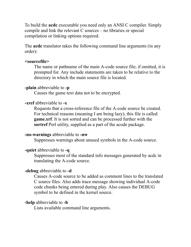To build the **acdc** executable you need only an ANSI C compiler. Simply compile and link the relevant C sources – no libraries or special compilation or linking options required.

The **acdc** translator takes the following command line arguments (in any order):

#### **<sourcefile>**

The name or pathname of the main A-code source file; if omitted, it is prompted for. Any include statements are taken to be relative to the directory in which the main source file is located.

#### **-plain** abbreviable to **-p**

Causes the game text data not to be encrypted.

#### **-xref** abbreviable to **-x**

Requests that a cross-reference file of the A-code source be created. For technical reasons (meaning I am being lazy), this file is called **game.xrf**. It is not sorted and can be processed further with the **sortref** Perl utility, supplied as a part of the acode package.

#### **-no-warnings** abbreviable to **-nw**

Suppresses warnings about unused symbols in the A-code source.

#### **-quiet** abbreviable to **-q**

Suppresses most of the standard info messages generated by acdc in translating the A-code source.

#### **-debug** abbreviable to **-d**

Causes A-code source to be added as comment lines to the translated C source files. Also adds trace message showing individual A-code code chunks being entered during play. Also causes the DEBUG symbol to be defined in the kernel source.

#### **-help** abbreviable to **-h**

Lists available command line arguments.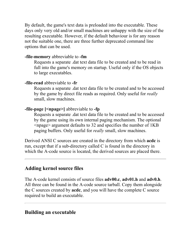By default, the game's text data is preloaded into the executable. These days only very old and/or small machines are unhappy with the size of the resulting executable. However, if the default behaviour is for any reason not the suitable one, there are three further deprecated command line options that can be used.

#### **-file-memory** abbreviable to **-fm**

Requests a separate .dat text data file to be created and to be read in full into the game's memory on startup. Useful only if the OS objects to large executables.

#### **-file-read** abbreviable to **-fr**

Requests a separate .dat text data file to be created and to be accessed by the game by direct file reads as required. Only useful for *really* small, slow machines.

#### **-file-page [<npage>]** abbreviable to **-fp**

Requests a separate .dat text data file to be created and to be accessed by the game using its own internal paging mechanism. The optional <npage> argument defaults to 32 and specifies the number of 1KB paging buffers. Only useful for *really* small, slow machines.

Derived ANSI C sources are created in the directory from which **acdc** is run, except that if a sub-directory called C is found in the directory in which the A-code source is located, the derived sources are placed there.

#### **Adding kernel source files**

The A-code kernel consists of source files **adv00.c**, **adv01.h** and **adv0.h**. All three can be found in the A-code source tarball. Copy them alongside the C sources created by **acdc**, and you will have the complete C source required to build an executable.

#### **Building an executable**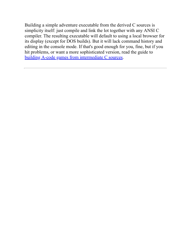Building a simple adventure executable from the derived C sources is simplicity itself: just compile and link the lot together with any ANSI C compiler. The resulting executable will default to using a local browser for its display (except for DOS builds). But it will lack command history and editing in the console mode. If that's good enough for you, fine, but if you hit problems, or want a more sophisticated version, read the guide to [building A-code games from intermediate C sources](#page-5-0).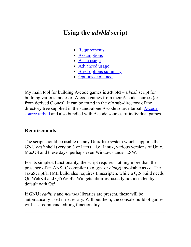# <span id="page-17-0"></span>**Using the** *advbld* **script**

- [Requirements](#page-17-1)
- [Assumptions](#page-17-2)
- [Basic usage](#page-18-0)
- [Advanced usage](#page-19-0)
- [Brief options summary](#page-21-0)
- [Options explained](#page-23-0)

My main tool for building A-code games is **advbld** – a *bash* script for building various modes of A-code games from their A-code sources (or from derived C ones). It can be found in the *bin* sub-directory of the directory tree supplied in the stand-alone A-code source tarball A-code [source tarball and also bundled with A-code sources of individual game](https://mipmip.org/acode/acode-12.89.tgz)s.

#### <span id="page-17-1"></span>**Requirements**

The script should be usable on any Unix-like system which supports the GNU *bash* shell (version 3 or later) – i.e. Linux, various versions of Unix, MacOS and these days, perhaps even Windows under LSW.

For its simplest functionality, the script requires nothing more than the presence of an ANSI C compiler (e.g. *gcc* or *clang*) invokable as *cc*. The JavaScript/HTML build also requires Emscripten, while a Qt5 build needs Qt5WebKit and Qt5WebKitWidgets libraries, usually not installed by default with Qt5.

<span id="page-17-2"></span>If GNU *readline* and *ncurses* libraries are present, these will be automatically used if necessary. Without them, the console build of games will lack command editing functionality.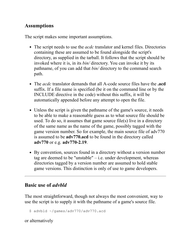#### **Assumptions**

The script makes some important assumptions.

- The script needs to use the *acdc* translator and kernel files. Directories containing these are assumed to be found alongside the script's directory, as supplied in the tarball. It follows that the script should be invoked where it is, in its *bin/* directory. You can invoke it by its pathname, of you can add that *bin/* directory to the command search path.
- The *acdc* translator demands that all A-code source files have the **.acd** suffix. If a file name is specified (be it on the command line or by the INCLUDE directive in the code) without this suffix, it will be automatically appended before any attempt to open the file.
- Unless the script is given the pathname of the game's source, it needs to be able to make a reasonable guess as to what source file should be used. To do so, it assumes that game source file(s) live in a directory of the same name as the name of the game, possibly tagged with the game version number. So for example, the main source file of adv770 is assumed to be **adv770.acd** to be found in the directory called **adv770** or e.g. **adv770-2.19**.
- By convention, sources found in a directory without a version number tag are deemed to be "unstable" – i.e. under development, whereas directories tagged by a version number are assumed to hold stable game versions. This distinction is only of use to game developers.

#### <span id="page-18-0"></span>**Basic use of** *advbld*

The most straightforward, though not always the most convenient, way to use the script is to supply it with the pathname of a game's source file.

```
 $ advbld ~/games/adv770/adv770.acd
```
or alternatively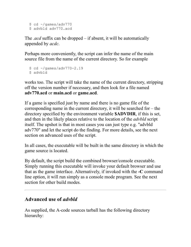```
$ cd ~/qames/adv770
 $ advbld adv770.acd
```
The *.acd* suffix can be dropped – if absent, it will be automatically appended by *acdc*.

Perhaps more conveniently, the script can infer the name of the main source file from the name of the current directory. So for example

```
 $ cd ~/games/adv770-2.19
 $ advbld
```
works too. The script will take the name of the current directory, stripping off the version number if necessary, and then look for a file named **adv770.acd** or **main.acd** or **game.acd**.

If a game is specified just by name and there is no game file of the corresponding name in the current directory, it will be searched for – the directory specified by the environment variable **\$ADVDIR**, if this is set, and then in the likely places relative to the location of the *advbld* script itself. The upshot is that in most cases you can just type e.g. "advbld adv770" and let the script do the finding. For more details, see the next section on advanced uses of the script.

In all cases, the executable will be built in the same directory in which the game source is located.

By default, the script build the combined browser/console executable. Simply running this executable will invoke your default browser and use that as the game interface. Alternatively, if invoked with the **-C** command line option, it will run simply as a console mode program. See the next section for other build modes.

#### <span id="page-19-0"></span>**Advanced use of** *advbld*

As supplied, the A-code sources tarball has the following directory hierarchy: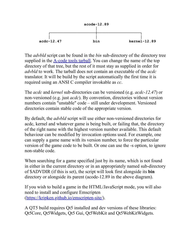

The *advbld* script can be found in the *bin* sub-directory of the directory tree supplied in the  $\Delta$ -code tools tarball. You can change the name of the top directory of that tree, but the rest of it must stay as supplied in order for *advbld* to work. The tarball does not contain an executable of the *acdc* translator. It will be build by the script automatically the first time it is required using an ANSI C compiler invokable as *cc*.

The *acdc* and *kernel* sub-directories can be versioned (e.g. *acdc-12.47*) or non-versioned (e.g. just *acdc*). By convention, directories without version numbers contain "unstable" code – still under development. Versioned directories contain stable code of the appropriate version.

By default, the *advbld* script will use either non-versioned directories for acdc, kernel and whatever game is being built, or failing that, the directory of the right name with the highest version number available. This default behaviour can be modified by invocation options used. For example, one can supply a game name with its version number, to force the particular version of the game code to be built. Or one can use the -s option, to ignore non-stable code.

When searching for a game specified just by its name, which is not found in either in the current directory or in an appropriately named sub-directory of \$ADVDIR (if this is set), the script will look first alongside its **bin** directory or alongside its parent (acode-12.89 in the above diagram).

If you wish to build a game in the HTML/JavaScript mode, you will also need to install and configure Emscripten [\(https://kripken.github.io/emscripten-site/](https://kripken.github.io/emscripten-site/)).

A QT5 build requires Qt5 installed and dev versions of these libraries: Qt5Core, Qt5Widgets, Qt5 Gui, Qt5WebKit and Qt5WebKitWidgets.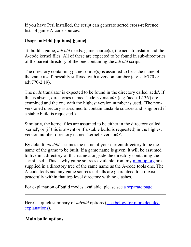If you have Perl installed, the script can generate sorted cross-reference lists of game A-code sources.

#### Usage: **advbld [options] [game]**

To build a game, *advbld* needs: game source(s), the acdc translator and the A-code kernel files. All of these are expected to be found in sub-directories of the parent directory of the one containing the *advbld* script.

The directory containing game source(s) is assumed to bear the name of the game itself, possibly suffixed with a version number (e.g. adv770 or adv770-2.19).

The *acdc* translator is expected to be found in the directory called 'acdc'. If this is absent, directories named 'acdc-<version>' (e.g. 'acdc-12.36') are examined and the one with the highest version number is used. (The nonversioned directory is assumed to contain unstable sources and is ignored if a stable build is requested.)

Similarly, the kernel files are assumed to be either in the directory called 'kernel', or (if this is absent or if a stable build is requested) in the highest version number directory named 'kernel-<version>'.

By default, *advbld* assumes the name of your current directory to be the name of the game to be built. If a game name is given, it will be assumed to live in a directory of that name alongside the directory containing the script itself. This is why game sources available from my [mipmip.org](https://mipmip.org/) are supplied in a directory tree of the same name as the A-code tools one. The A-code tools and any game sources tarballs are guaranteed to co-exist peacefully within that top level directory with no clashes.

For explanation of build modes available, please see [a separate page.](#page-28-0)

<span id="page-21-0"></span>Here's a quick summary of *advbld* options (see below for more detailed explanations).

#### **Main build options**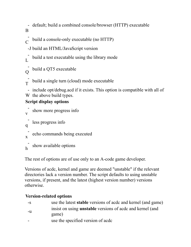- B default; build a combined console/browser (HTTP) executable

```
 -
\mathsf{C}\phantom{0}build a console-only executable (no HTTP)
```
-J build an HTML/JavaScript version

 -  $\overline{L}$ build a test executable using the library mode

```
 -
\overline{O}build a QT5 executable
```
 - T build a single turn (cloud) mode executable

 - include opt/debug.acd if it exists. This option is compatible with all of W the above build types.

#### **Script display options**

```
 -
v
   show more progress info
 -
q
   less progress info
 -
x
   echo commands being executed
 -
h
   show available options
```
The rest of options are of use only to an A-code game developer.

Versions of acdc, kernel and game are deemed "unstable" if the relevant directories lack a version number. The script defaults to using unstable versions, if present, and the latest (highest version number) versions otherwise.

#### **Version-related options**

| $-S$ | use the latest <b>stable</b> versions of acdc and kernel (and game) |
|------|---------------------------------------------------------------------|
| -u   | insist on using <b>unstable</b> versions of acdc and kernel (and    |
|      | game)                                                               |
|      | use the specified version of acdc                                   |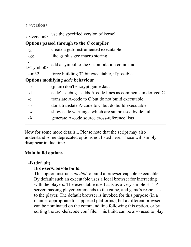a <version>

  $k$  <version> use the specified version of kernel **Options passed through to the C compiler** -g create a gdb-instrumented executable -gg like -g plus gcc macro storing -  $D$  <symbol to the C compilation command --m32 force building 32 bit executable, if possible **Options modifying** *acdc* **behaviour** -p (plain) don't encrypt game data -d acdc's -debug – adds A-code lines as comments in derived C -c translate A-code to C but do not build executable -b don't translate A-code to C but do build executable -w show acdc warnings, which are suppressed by default -X generate A-code source cross-reference lists

<span id="page-23-0"></span>Now for some more details... Please note that the script may also understand some deprecated options not listed here. Those will simply disappear in due time.

#### **Main build options**

#### -B (default)

#### **Browser/Console build**

This option instructs *advbld* to build a browser-capable executable. By default such an executable uses a local browser for interacting with the players. The executable itself acts as a very simple HTTP server, passing player commands to the game, and game's responses to the player. The default browser is invoked for this purpose (in a manner appropriate to supported platforms), but a different browser can be nominated on the command line following this option, or by editing the .acode/acode.conf file. This build can be also used to play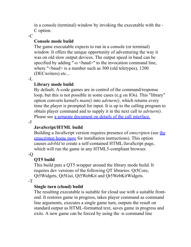in a console (terminal) window by invoking the executable with the - C option.

 $-C$ 

#### **Console mode build**

The game executable expects to run in a console (or terminal) window. It offers the unique opportunity of adventuring the way it was on old slow output devices. The output speed in baud can be specified by adding "- $o$  <br/>baud>" to the invocation command line, where "<br/>baud> is a number such as 300 (old teletypes), 1200 (DECwriters) etc...

 $-I_{\odot}$ 

#### **Library mode build**

By default, A-code games are in control of the command/response loop, but this is not possible in some cases (e.g on IOs). This "library" option converts kernel's *main()* into *advturn()*, which returns every time the player is prompted for input. It is up to the calling program to obtain player command and to supply it in the next call to *advturn()*. Please see [a separate document on details of the call interface.](#page-37-0)

 $-I$ 

#### **JavaScript/HTML build**

Building a JavaScript version requires presence of *emscripten* (see the [emscripten home page for installation instructions\). This option](https://kripken.github.io/emscripten-site/) causes *advbld* to create a self-contained HTML/JavaScript page, which will run the game in any HTML5-compliant browser.

 $-<sub>O</sub>$ 

#### **QT5 build**

This build puts a QT5 wrapper around the library mode build. It requires dev versions of the following QT libraries: Qt5Core, Qt5Widgets, Qt5Gui, Qt5WebKit and Qt5WebKitWidgets.

 $-T$ 

#### **Single turn (cloud) build**

The resulting executable is suitable for cloud use with a suitable frontend. It restores game in progress, takes player command as command line arguments, executes a single game turn, outputs the result on standard output as HTML-formatted text, saves game in progress and exits. A new game can be forced by using the -n command line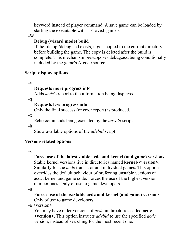keyword instead of player command. A save game can be loaded by starting the executable with  $-1 \leq$ saved game>.

-W

#### **Debug (wizard mode) build**

If the file opt/debug.acd exists, it gets copied to the current directory before building the game. The copy is deleted after the build is complete. This mechanism presupposes debug.acd being conditionally included by the game's A-code source.

#### **Script display options**

-v

#### **Requests more progress info**

Adds *acdc*'s report to the information being displayed.

-q

#### **Requests less progress info**

Only the final success (or error report) is produced.

 $-X$ 

Echo commands being executed by the *advbld* script

-h

Show available options of the *advbld* script

#### **Version-related options**

 $-S$ 

**Force use of the latest stable acdc and kernel (and game) versions**  Stable kernel versions live in directories named **kernel-<version>**. Similarly for the *acdc* translator and individual games. This option overrides the default behaviour of preferring unstable versions of acdc, kernel and game code. Forces the use of the highest version number ones. Only of use to game developers.

-u

**Forces use of the** *un***stable acdc and kernel (and game) versions** Only of use to game developers.

-a <version>

You may have older versions of *acdc* in directories called **acdc- <version>**. This option instructs *advbld* to use the specified *acdc* version, instead of searching for the most recent one.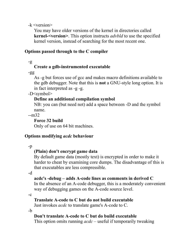-k <version>

You may have older versions of the kernel in directories called **kernel-<version>**. This option instructs *advbld* to use the specified kernel version, instead of searching for the most recent one.

#### **Options passed through to the C compiler**

 $-g$ 

#### **Create a gdb-instrumented executable**

-gg

As -g but forces use of gcc and makes macro definitions available to the gdb debugger. Note that this is **not** a GNU-style long option. It is in fact interpreted as -g -g.

-D<symbol>

#### **Define an additional compilation symbol**

NB: you can (but need not) add a space between -D and the symbol name.

--m32

#### **Force 32 build**

Only of use on 64 bit machines.

#### **Options modifying** *acdc* **behaviour**

#### -p

#### **(Plain) don't encrypt game data**

By default game data (mostly text) is encrypted in order to make it harder to cheat by examining core dumps. The disadvantage of this is that executables are less compressible.

-d

#### **acdc's -debug – adds A-code lines as comments in derived C**

In the absence of an A-code debugger, this is a moderately convenient way of debugging games on the A-code source level.

-c

#### **Translate A-code to C but do not build executable**

Just invokes *acdc* to translate game's A-code to C.

-b

#### **Don't translate A-code to C but do build executable**

This option omits running *acdc* – useful if temporarily tweaking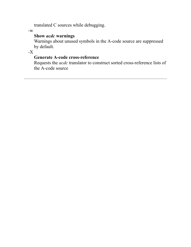translated C sources while debugging.

-w

#### **Show** *acdc* **warnings**

Warnings about unused symbols in the A-code source are suppressed by default.

 $-X$ 

#### **Generate A-code cross-reference**

Requests the *acdc* translator to construct sorted cross-reference lists of the A-code source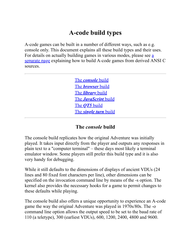# **A-code build types**

<span id="page-28-0"></span>A-code games can be built in a number of different ways, such as e.g. console only. This document explains all these build types and their uses. [For details on actually building games in various modes, please see a](#page-5-0) separate page explaining how to build A-code games from derived ANSI C sources.

> The *[console](#page-28-1)* build The *[browser](#page-29-0)* build The *[library](#page-29-1)* build The *[JavaScript](#page-30-0)* build The *QT5* [build](#page-30-1) The *[single turn](#page-30-2)* build

#### **The** *console* **build**

<span id="page-28-1"></span>The console build replicates how the original Adventure was initially played. It takes input directly from the player and outputs any responses in plain text to a "computer terminal" – these days most likely a terminal emulator window. Some players still prefer this build type and it is also very handy for debugging.

While it still defaults to the dimensions of displays of ancient VDUs (24 lines and 80 fixed font characters per line), other dimensions can be specified on the invocation command line by means of the -s option. The kernel also provides the necessary hooks for a game to permit changes to these defaults while playing.

The console build also offers a unique opportunity to experience an A-code game the way the original Adventure was played in 1970s/80s. The -o command line option allows the output speed to be set to the baud rate of 110 (a teletype), 300 (earliest VDUs), 600, 1200, 2400, 4800 and 9600.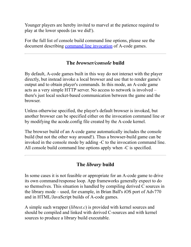Younger players are hereby invited to marvel at the patience required to play at the lower speeds (as we did!).

For the full list of console build command line options, please see the document describing [command line invocation](#page-32-0) of A-code games.

#### **The** *browser/console* **build**

<span id="page-29-0"></span>By default, A-code games built in this way do not interact with the player directly, but instead invoke a local browser and use that to render game's output and to obtain player's commands. In this mode, an A-code game acts as a very simple HTTP server. No access to network is involved – there's just local socket-based communication between the game and the browser.

Unless otherwise specified, the player's default browser is invoked, but another browser can be specified either on the invocation command line or by modifying the acode.config file created by the A-code kernel.

The browser build of an A-code game automatically includes the console build (but not the other way around!). Thus a browser-build game can be invoked in the console mode by adding -C to the invocation command line. All console build command line options apply when -C is specified.

#### **The** *library* **build**

<span id="page-29-1"></span>In some cases it is not feasible or appropriate for an A-code game to drive its own command/response loop. App frameworks generally expect to do so themselves. This situation is handled by compiling derived C sources in the library mode – used, for example, in Brian Ball's iOS port of Adv770 and in HTML/JavaScript builds of A-code games.

A simple such wrapper (*libtest.c*) is provided with kernel sources and should be compiled and linked with derived C-sources and with kernel sources to produce a library build executable.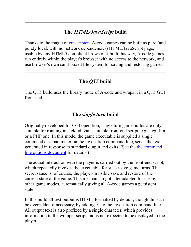#### **The** *HTML/JavaScript* **build**

<span id="page-30-0"></span>Thanks to the magic of <u>emscripten</u>, A-code games can be built as pure (and purely local, with no network dependencies) HTML/JavaScript page, usable by any HTML5 compliant browser. If built this way, A-code games run entirely within the player's browser with no access to the network, and use browser's own sand-boxed file system for saving and restoring games.

#### **The** *QT5* **build**

<span id="page-30-1"></span>The QT5 build uses the library mode of A-code and wraps it in a QT5 GUI front-end.

#### **The** *single turn* **build**

<span id="page-30-2"></span>Originally developed for CGI operation, single turn game builds are only suitable for running in a cloud, via a suitable front-end script, e.g. a cgi-bin or a PHP one. In this mode, the game executable is supplied a single command as a parameter on the invocation command line, sends the text [generated in response to standard output and exits. \(See the the command](#page-32-0) line options document for details.)

The actual interaction with the player is carried out by the front-end script, which repeatedly invokes the executable for successive game turns. The secret sauce is, of course, the player-invisible save and restore of the current state of the game. This mechanism got later adapted for use by other game modes, automatically giving all A-code games a persistent state.

In this build all text output is HTML-formatted by default, though this can be overridden if necessary, by adding -C to the invocation command line. All output text is also prefixed by a single character, which provides information to the wrapper script and is not expected to be displayed to the player.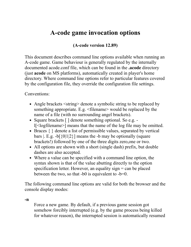# <span id="page-32-0"></span>**A-code game invocation options**

#### **(A-code version 12.89)**

This document describes command line options available when running an A-code game. Game behaviour is generally regulated by the internally documented acode.conf file, which can be found in the **.acode** directory (just **acode** on MS platforms), automatically created in player's home directory. Where command line options refer to particular features covered by the configuration file, they override the configuration file settings.

Conventions:

- Angle brackets  $\leq$ string behavior a symbolic string to be replaced by something appropriate. E.g.  $\leq$  filename would be replaced by the name of a file (with no surrounding angel brackets).
- Square brackets [ ] denote something optional. So e.g. l[<logfilename>] means that the name of the log file may be omitted.
- Braces  $\{\}$  denote a list of permissible values, separated by vertical bars |. E.g.  $-b$ [ $\{0|1|2\}$ ] means the -b may be optionally (square brackets!) followed by one of the three digits zero,one or two.
- All options are shown with a short (single dash) prefix, but double dashes are also accepted.
- Where a value can be specified with a command line option, the syntax shown is that of the value abutting directly to the option specification letter. However, an equality sign  $=$  can be placed between the two, so that  $-b0$  is equivalent to  $-b=0$ .

The following command line options are valid for both the browser and the console display modes:

**-n**

Force a new game. By default, if a previous game session got somehow forcibly interrupted (e.g. by the game process being killed for whatever reason), the interrupted session is automatically resumed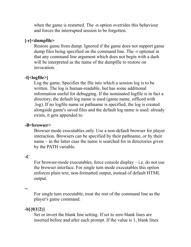when the game is restarted. The -n option overrides this behaviour and forces the interrupted session to be forgotten.

#### **[-r]<dumpfile>**

Restore game from dump. Ignored if the game does not support game dump files being specified on the command line. The -r optional in that any command line argument which does not begin with a dash will be interpreted as the name of the dumpfile to restore on invocation.

#### **-l[<logfile>]**

Log the game. Specifies the file into which a session log is to be written. The log is human-readable, but has some additional information useful for debugging. If the nominated logfile is in fact a directory, the default log name is used (game name, sifficed with .log). If no logfile name or pathname is specified, the log is created alongside game's saved files and the default log name is used. already exists, it gets appended to.

#### -**B**<br/>browser>

Browser mode executables only. Use a non-default browser for player interaction. Browsers can be specified by their pathname, or by their name – in the latter case the name is searched for in directories given by the PATH variable.

#### **-C**

For browser-mode executables, force console display – i.e. do not use the browser interface. For single turn mode executables this option enforces plain text, non-formatted output, instead of default HTML output.

**--**

For single turn executable, treat the rest of the command line as the player's game command.

#### **-b[{0|1|2}]**

Set or invert the blank line setting. If set to zero blank lines are inserted before and after each prompt. If the value is 1, blank lines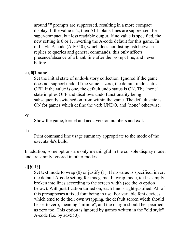around '?' prompts are suppressed, resulting in a more compact display. If the value is 2, then ALL blank lines are suppressed, for super-compact, but less readable output. If no value is specified, the new setting is 0 or 1, inverting the A-code default for this game. In old-style A-code (Adv550), which does not distinguish between replies to queries and general commands, this only affects presence/absence of a blank line after the prompt line, and never before it.

#### **-u{0|1|none}**

Set the initial state of undo-history collection. Ignored if the game does not support undo. If the value is zero, the default undo status is OFF. If the value is one, the default undo status is ON. The "none" state implies OFF and disallows undo functionality being subsequently switched on from within the game. The default state is ON for games which define the verb UNDO, and "none" otherwise.

#### **-v**

Show the game, kernel and acdc version numbers and exit.

#### **-h**

Print command line usage summary appropriate to the mode of the executable's build.

In addition, some options are only meaningful in the console display mode, and are simply ignored in other modes.

#### **-j[{0|1}]**

Set text mode to wrap (0) or justify (1). If no value is specified, invert the default A-code setting for this game. In wrap mode, text is simply broken into lines according to the screen width (see the -s option below). With justification turned on, each line is right-justified. All of this presupposes a fixed font being in use. For variable font devices, which tend to do their own wrapping, the default screen width should be set to zero, meaning "infinite", and the margin should be specified as zero too. This option is ignored by games written in the "old style" A-code (i.e. by adv550).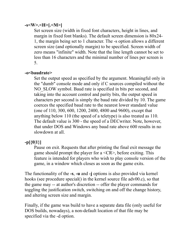#### **-s<W>.<H>[.<M>]**

Set screen size (width in fixed font characters, height in lines, and margin in fixed font blanks). The default screen dimension is 80x24- 1, the margin being set to 1 character. The -s option allows a different screen size (and optionally margin) to be specified. Screen width of zero means "infinite" width. Note that the line length cannot be set to less than 16 characters and the minimal number of lines per screen is 5.

#### **-o<baudrate>**

Set the output speed as specified by the argument. Meaningful only in the "dumb" console mode and only if C sources compiled without the NO SLOW symbol. Baud rate is specified in bits per second, and taking into the account control and parity bits, the output speed in characters per second is simply the baud rate divided by 10. The game coerces the specified baud rate to the nearest lower standard value (one of 110, 300, 600, 1200, 2400, 4800 and 9600), except that anything below 110 (the speed of a teletype) is also treated as 110. The default value is 300 - the speed of a DECwriter. Note, however, that under DOS and Windows any baud rate above 600 results in no slowdown at all.

#### **-p[{0|1}]**

Pause on exit. Requests that after printing the final exit message the game should prompt the player for a <CR>, before exiting. This feature is intended for players who wish to play console version of the game, in a window which closes as soon as the game exits.

The functionality of the **-s**, **-u** and **-j** options is also provided via kernel hooks (see procedure special() in the kernel source file adv00.c), so that the game may -- at author's discretion -- offer the player commands for toggling the justification switch, switching on and off the change history, and altering screen size and margin.

Finally, if the game was build to have a separate data file (only useful for DOS builds, nowadays), a non-default location of that file may be specified via the -d option.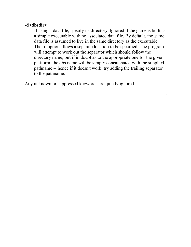#### **-d<dbsdir>**

If using a data file, specify its directory. Ignored if the game is built as a simple executable with no associated data file. By default, the game data file is assumed to live in the same directory as the executable. The -d option allows a separate location to be specified. The program will attempt to work out the separator which should follow the directory name, but if in doubt as to the appropriate one for the given platform, the dbs name will be simply concatenated with the supplied pathname -- hence if it doesn't work, try adding the trailing separator to the pathname.

Any unknown or suppressed keywords are quietly ignored.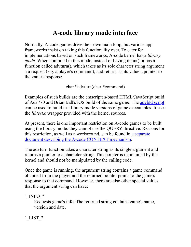# **A-code library mode interface**

Normally, A-code games drive their own main loop, but various app frameworks insist on taking this functionality over. To cater for implementations based on such frameworks, A-code kernel has a *library mode*. When compiled in this mode, instead of having main(), it has a function called advturn(), which takes as its sole character string argument a a request (e.g. a player's command), and returns as its value a pointer to the game's response.

char \*advturn(char \*command)

Examples of such builds are the emscripten-based HTML/JavaScript build of Adv770 and Brian Ball's iOS build of the same game. The [advbld script](#page-17-0) can be used to build test library mode versions of game executables. It uses the *libtest.c* wrapper provided with the kernel sources.

At present, there is one important restriction on A-code games to be built using the library mode: they cannot use the QUERY directive. Reasons for [this restriction, as well as a workaround, can be found in a separate](#page-40-0) document describing the A-code CONTEXT mechanism.

The advturn function takes a character string as its single argument and returns a pointer to a character string. This pointer is maintained by the kernel and should not be manipulated by the calling code.

Once the game is running, the argument string contains a game command obtained from the player and the returned pointer points to the game's response to that command. However, there are also other special values that the argument string can have:

"\_INFO\_"

Requests game's info. The returned string contains game's name, version and date.

"\_LIST\_"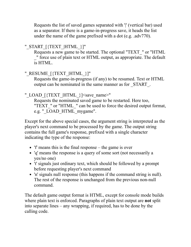Requests the list of saved games separated with '|' (vertical bar) used as a separator. If there is a game-in-progress save, it heads the list under the name of the game prefixed with a dot (e.g. .adv770).

## "\_START\_[{TEXT\_|HTML\_}]"

Requests a new game to be started. The optional "TEXT\_" or "HTML \_" force use of plain text or HTML output, as appropriate. The default is HTML.

### "\_RESUME\_[{TEXT\_|HTML\_}]"

Requests the game-in-progress (if any) to be resumed. Text or HTML output can be nominated in the same manner as for \_START\_.

### " LOAD [{TEXT\_|HTML\_}]<save\_name>"

Requests the nominated saved game to be restarted. Here too, "TEXT" or "HTML" can be used to force the desired output format, e.g. "\_LOAD\_HTML\_mygame".

Except for the above special cases, the argument string is interpreted as the player's next command to be processed by the game. The output string contains the full game's response, prefixed with a single character indicating the type of the response:

- 'f' means this is the final response the game is over
- 'q' means the response is a query of some sort (not necessarily a yes/no one)
- 't' signals just ordinary text, which should be followed by a prompt before requesting player's next command
- 'n' signals null response (this happens if the command string is null). The rest of the response is unchanged from the previous non-null command.

The default game output format is HTML, except for console mode builds where plain text is enforced. Paragraphs of plain text output are **not** split into separate lines – any wrapping, if required, has to be done by the calling code.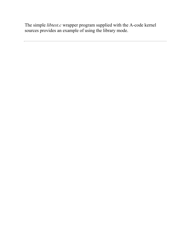The simple *libtest.c* wrapper program supplied with the A-code kernel sources provides an example of using the library mode.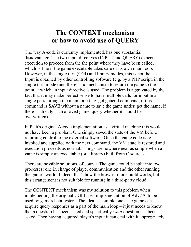# **The CONTEXT mechanism or how to avoid use of QUERY**

<span id="page-40-0"></span>The way A-code is currently implemented, has one substantial disadvantage. The two input directives (INPUT and QUERY) expect execution to proceed from the the point where they have been called, which is fine if the game executable takes care of its own main loop. However, in the single turn (CGI) and library modes, this is not the case. Input is obtained by other controlling software (e.g. by a PHP script, in the single turn mode) and there is no mechanism to return the game to the point at which an input directive is used. The problem is aggravated by the fact that it may make perfect sense to have multiple calls for input in a single pass through the main loop (e.g. get general command, if this command is SAVE without a name to save the game under, get the name; if there is already such a saved game, query whether it should be overwritten).

In Platt's original A-code implementation as a virtual machine this would not have been a problem. One simply saved the state of the VM before returning control to the external software. Once the game code is reinvoked and supplied with the next command, the VM state is restored and execution proceeds as normal. Things are nowhere near as simple when a game is simply an executable (or a library) built from C sources.

There are possible solutions, of course. The game could be split into two processes: one in charge of player communication and the other running the game's world. Indeed, that's how the browser mode build works, but this arrangement is not suitable for running in a third-party cloud.

The CONTEXT mechanism was my solution to this problem when implementing the original CGI-based implementation of Adv770 to be used by game's beta-testers. The idea is a simple one. The game can acquire query responses as a part of the main loop – it just needs to know that a question has been asked and specifically *what* question has been asked. Then having acquired player's input it can deal with it appropriately.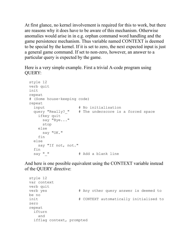At first glance, no kernel involvement is required for this to work, but there are reasons why it does have to be aware of this mechanism. Otherwise anomalies would arise in in e.g. orphan command word handling and the game persistence mechanism. Thus variable named CONTEXT is deemed to be special by the kernel. If it is set to zero, the next expected input is just a general game command. If set to non-zero, however, an answer to a particular query is expected by the game.

Here is a very simple example. First a trivial A-code program using QUERY:

```
style 12
verb quit
init
repeat
# (Some house-keeping code)
repeat
  input \qquad # No initialisation
  query "Really? " # The underscore is a forced space
     ifkey quit
      say "Bye..."
      stop
     else
      say "OK."
     fin
   else
    say "If not, not."
  fin<br>say " "
                    # Add a blank line
```
And here is one possible equivalent using the CONTEXT variable instead of the QUERY directive:

```
style 12
var context
verb quit
verb yes \# Any other query answer is deemed to
be no
init \# CONTEXT automatically initialised to
zero
repeat
  ifturn
    and
  ifflag context, prompted
```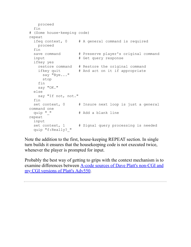```
 proceed
   fin
# (Some house-keeping code)
repeat
   ifeq context, 0 # A general command is required
    proceed
   fin
  save command # Preserve player's original command
  input \# Get query response
   ifkey yes
    restore command # Restore the original command
   ifkey quit # And act on it if appropriate
     say "Bye..."
      stop
    fin
    say "OK."
   else
    say "If not, not."
   fin
  set context, 0 \# Insure next loop is just a general
command one<br>quip " "
                     # Add a blank line
repeat
  input
  set context, 1 # Signal query processing is needed
   quip "f:Really?_"
```
Note the addition to the first, house-keeping REPEAT section. In single turn builds it ensures that the housekeeping code is not executed twice, whenever the player is prompted for input.

Probably the best way of getting to grips with the context mechanism is to [examine differences between A-code sources of Dave Platt's non-CGI and](https://mipmip.org/adv550/adv550-1.1-src.tgz) my CGI versions of Platt's Adv550.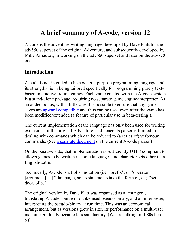# **A brief summary of A-code, version 12**

A-code is the adventure-writing language developed by Dave Platt for the adv550 superset of the original Adventure, and subsequently developed by Mike Arnautov, in working on the adv660 superset and later on the adv770 one.

# **Introduction**

A-code is not intended to be a general purpose programming language and its strengths lie in being tailored specifically for programming purely textbased interactive fiction games. Each game created with the A-code system is a stand-alone package, requiring no separate game engine/interpreter. As an added bonus, with a little care it is possible to ensure that any game saves are [upward compatible](#page-89-0) and thus can be used even after the game has been modified/extended (a feature of particular use in beta-testing!).

The current implementation of the language has only been used for writing extensions of the original Adventure, and hence its parser is limited to dealing with commands which can be reduced to (a series of) verb/noun commands. (See [a separate document](#page-94-0) on the current A-code parser.)

On the positive side, that implementation is sufficiently UTF8 compliant to allows games to be written in some languages and character sets other than English/Latin.

Technically, A-code is a Polish notation (i.e. "prefix", or "operator [argument [...]]") language, so its statements take the form of, e.g. "set door, oiled".

The original version by Dave Platt was organised as a "munger", translating A-code source into tokenised pseudo-binary, and an interpreter, interpreting the pseudo-binary at run time. This was an economical arrangement, but as versions grew in size, its performance on a multi-user machine gradually became less satisfactory. (We are talking mid-80s here! :-))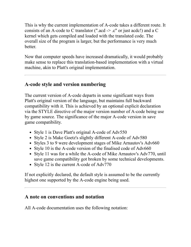This is why the current implementation of A-code takes a different route. It consists of an A-code to C translator (".acd -> .c" or just acdc!) and a C kernel which gets compiled and loaded with the translated code. The overall size of the program is larger, but the performance is very much better.

Now that computer speeds have increased dramatically, it would probably make sense to replace this translation-based implementation with a virtual machine, akin to Platt's original implementation.

# **A-code style and version numbering**

The current version of A-code departs in some significant ways from Platt's original version of the language, but maintains full backward compatibility with it. This is achieved by an optional explicit declaration via the STYLE directive of the major version number of A-code being use by game source. The significance of the major A-code version in save game compatibility.

- Style 1 is Dave Platt's original A-code of Adv550
- Style 2 is Make Goetz's slightly different A-code of Adv580
- Styles 3 to 9 were development stages of Mike Arnautov's Adv660
- Style 10 is the A-code version of the finalised code of Adv660
- Style 11 was for a while the A-code of Mike Arnautov's Adv770, until save game compatibility got broken by some technical developments.
- Style 12 is the current A-code of Adv770

If not explicitly declared, the default style is assumed to be the currently highest one supported by the A-code engine being used.

# **A note on conventions and notation**

All A-code documentation uses the following notation: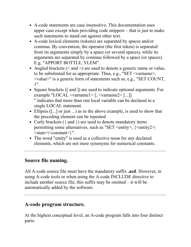- A-code statements are case insensitive. This documentation uses upper case except when providing code snippets – that is just to make such statements to stand out against other text.
- A-code lexical elements (tokens) are separated by spaces and/or commas. By convention, the operator (the first token) is separated from its arguments simply by a space (or several spaces), while its arguments are separated by commas followed by a space (or spaces). E.g. "APPORT BOTTLE, YLEM".
- Angled brackets  $(<$  and  $>$ ) are used to denote a generic name or value, to be substituted for as appropriate. Thus, e.g., "SET <varname>, <value>" is a generic form of statements such as, e.g., "SET COUNT, 1".
- Square brackets ([ and ]) are used to indicate optional arguments. For example "LOCAL <varname1> [, <varname2> [...]] " indicates that more than one local variable can be declared in a single LOCAL statement.
- Ellipsis ([...] or just ...) as in the above example, is used to show that the preceding element can be repeated.
- Curly brackets ({ and }) are used to denote mandatory items permitting some alternatives, such as "SET <entity>, {<entity2>| <state>|<constant>}".
- The word "entity" is used as a collective noun for any declared elements, which are not mere synonyms for numerical constants.

# **Source file naming.**

All A-code source file must have the mandatory suffix **.acd**. However, in using A-code tools or when using the A-code INCLUDE directive to include another source file, this suffix may be omitted – it will be automatically added by the software.

# **A-code program structure.**

At the highest conceptual level, an A-code program falls into four distinct parts: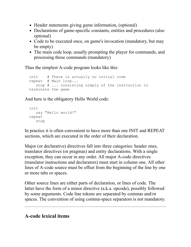- Header statements giving game information, (optional)
- Declarations of game-specific constants, entities and procedures (also optional)
- Code to be executed once, on game's invocation (mandatory, but may be empty)
- The main code loop, usually prompting the player for commands, and processing those commands (mandatory)

Thus the simplest A-code program looks like this:

```
init # There is actually no initial code
repeat # Main loop...
   stop # ... consisting simply of the instruction to
terminate the game
```
And here is the obligatory Hello World code:

```
init
    say "Hello world!"
repeat
   stop
```
In practice it is often convenient to have more than one INIT and REPEAT sections, which are executed in the order of their declaration.

Major (or declarative) directives fall into three categories: header ones, translator directives (or pragmas) and entity declarations. With a single exception, they can occur in any order. All major A-code directives (translator instructions and declarators) must start in column one. All other lines of A-code source must be offset from the beginning of the line by one or more tabs or spaces.

Other source lines are either parts of declaration, or lines of code. The latter have the form of a minor directive (a.k.a. opcode), possibly followed by some arguments. Code line tokens are separated by commas and/or spaces. The convention of using comma-space separators is not mandatory.

# **A-code lexical items**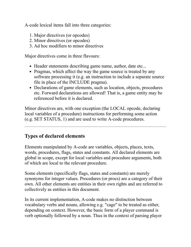A-code lexical items fall into three categories:

- 1. Major directives (or opcodes)
- 2. Minor directives (or opcodes)
- 3. Ad hoc modifiers to minor directives

Major directives come in three flavours:

- Header statements describing game name, author, date etc...
- Pragmas, which affect the way the game source is treated by any software processing it (e.g. an instruction to include a separate source file in place of the INCLUDE pragma).
- Declarations of game elements, such as location, objects, procedures etc. Forward declarations are allowed! That is, a game entity may be referenced before it is declared.

Minor directives are, with one exception (the LOCAL opcode, declaring local variables of a procedure) instructions for performing some action (e.g. SET STATUS, 1) and are used to write A-code procedures.

# **Types of declared elements**

Elements manipulated by A-code are variables, objects, places, texts, words, procedures, flags, states and constants. All declared elements are global in scope, except for local variables and procedure arguments, both of which are local to the relevant procedure.

Some elements (specifically flags, states and constants) are merely synonyms for integer values. Procedures (or procs) are a category of their own. All other elements are entities in their own rights and are referred to collectively as entities in this document.

In its current implementation, A-code makes no distinction between vocabulary verbs and nouns, allowing e.g. "cage" to be treated as either, depending on context. However, the basic form of a player command is verb optionally followed by a noun. Thus in the context of parsing player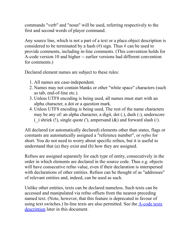commands "verb" and "noun" will be used, referring respectively to the first and second words of player command.

Any source line, which is not a part of a text or a place.object description is considered to be terminated by a hash  $(\#)$  sign. Thus  $\#$  can be used to provide comments, including in-line comments. (This convention holds for A-code version 10 and higher -- earlier versions had different convention for comments.)

Declared element names are subject to these rules:

- 1. All names are case-independent.
- 2. Names may not contain blanks or other "white space" characters (such as tab, end-of-line etc.).
- 3. Unless UTF8 encoding is being used, all names must start with an alpha character, a dot or a question mark.
- 4. Unless UTF8 encoding is being used, The rest of the name characters may be any of: an alpha character, a digit, dot (.), dash (-), underscore () shriek (!), single quote ('), ampersand  $(\&)$  and forward slash ( $\land$ ).

All declared (or automatically declared) elements other than states, flags or constants are automatically assigned a "reference number", or *refno* for short. You do not need to worry about specific refnos, but it is useful to understand that (a) they exist and (b) how they are assigned.

Refnos are assigned separately for each type of entity, consecutively in the order in which elements are declared in the source code. Thus e.g. objects will have consecutive refno value, even if their declaration is interspersed with declarations of other entities. Refnos can be thought of as "addresses" of relevant entities and, indeed, can be used as such.

Unlike other entities, texts can be declared nameless. Such texts can be accessed and manipulated via refno offsets from the nearest preceding named text. (Note, however, that this feature is deprecated in favour of using text switches.) In-line texts are also permitted. See the  $\triangle$ -code texts description later in this document.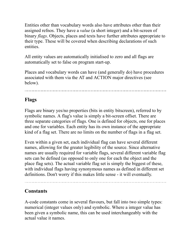Entities other than vocabulary words also have attributes other than their assigned refnos. They have a *value* (a short integer) and a bit-screen of binary *flags*. Objects, places and texts have further attributes appropriate to their type. These will be covered when describing declarations of such entities.

All entity values are automatically initialised to zero and all flags are automatically set to false on program start-up.

Places and vocabulary words can have (and generally do) have procedures associated with them via the AT and ACTION major directives (see below).

# **Flags**

Flags are binary yes/no properties (bits in entity bitscreen), referred to by symbolic names. A flag's value is simply a bit-screen offset. There are three separate categories of flags. One is defined for objects, one for places and one for variables. Each entity has its own instance of the appropriate kind of a flag set. There are no limits on the number of flags in a flag set.

Even within a given set, each individual flag can have several different names, allowing for the greater legibility of the source. Since alternative names are usually required for variable flags, several different variable flag sets can be defined (as opposed to only one for each the object and the place flag sets). The actual variable flag set is simply the biggest of these, with individual flags having synonymous names as defined in different set definitions. Don't worry if this makes little sense - it will eventually.

### **Constants**

A-code constants come in several flavours, but fall into two simple types: numerical (integer values only) and symbolic. Where a integer value has been given a symbolic name, this can be used interchangeably with the actual value it names.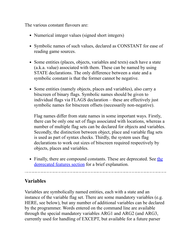The various constant flavours are:

- Numerical integer values (signed short integers)
- Symbolic names of such values, declared as CONSTANT for ease of reading game sources.
- Some entities (places, objects, variables and texts) each have a state (a.k.a. value) associated with them. These can be named by using STATE declarations. The only difference between a state and a symbolic constant is that the former cannot be negative.
- Some entities (namely objects, places and variables), also carry a bitscreen of binary flags. Symbolic names should be given to individual flags via FLAGS declaration – these are effectively just symbolic names for bitscreen offsets (necessarily non-negative).

Flag names differ from state names in some important ways. Firstly, there can be only one set of flags associated with locations, whereas a number of multiple flag sets can be declared for objects and variables. Secondly, the distinction between object, place and variable flag sets is used as part of syntax checks. Thirdly, the system uses flag declarations to work out sizes of bitscreen required respectively by objects, places and variables.

• [Finally, there are compound constants. These are deprecated. See the](#page-85-0) deprecated features section for a brief explanation.

# **Variables**

Variables are symbolically named entities, each with a state and an instance of the variable flag set. There are some mandatory variables (e.g. HERE, see below), but any number of additional variables can be declared by the programmer. Words entered on the command line are available through the special mandatory variables ARG1 and ARG2 (and ARG3, currently used for handling of EXCEPT, but available for a future parser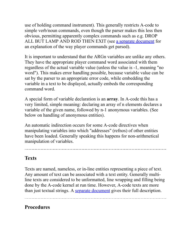use of holding command instrument). This generally restricts A-code to simple verb/noun commands, even though the parser makes this less then obvious, permitting apparently complex commands such as e.g. DROP ALL BUT LAMP AND ROD THEN EXIT (see [a separate document](#page-94-0) for an explanation of the way player commands get parsed).

It is important to understand that the ARGn variables are unlike any others. They have the appropriate player command word associated with them regardless of the actual variable value (unless the value is -1, meaning "no word"). This makes error handling possible, because variable value can be sat by the parser to an appropriate error code, while embedding the variable in a text to be displayed, actually embeds the corresponding command word.

A special form of variable declaration is an **array**. In A-code this has a very limited, simple meaning: declaring an array of n elements declares a variable of the given name, followed by n-1 anonymous variables. (See below on handling of anonymous entities).

An automatic indirection occurs for some A-code directives when manipulating variables into which "addresses" (refnos) of other entities have been loaded. Generally speaking this happens for non-arithmetical manipulation of variables.

# **Texts**

Texts are named, nameless, or in-line entities representing a piece of text. Any amount of text can be associated with a text entity. Generally multiline texts are considered to be unformatted, line wrapping and filling being done by the A-code kernel at run time. However, A-code texts are more than just textual strings. A [separate document](#page-119-0) gives their full description.

### **Procedures**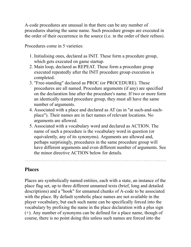A-code procedures are unusual in that there can be any number of procedures sharing the same name. Such procedure groups are executed in the order of their occurrence in the source (i.e. in the order of their refnos).

Procedures come in 5 varieties:

- 1. Initialising ones, declared as INIT. These form a procedure group, which gets executed on game startup.
- 2. Main loop, declared as REPEAT. These form a procedure group executed repeatedly after the INIT procedure group execution is completed.
- 3. "Free-standing" declared as PROC (or PROCEDURE). These procedures are all named. Procedure arguments (if any) are specified on the declaration line after the procedure's name. If two or more form an identically named procedure group, they must all have the same number of arguments.
- 4. Associated with a place and declared as AT (as in "at such-and-suchplace"). Their names are in fact names of relevant locations. No arguments are allowed.
- 5. Associated with a vocabulary word and declared as ACTION. The name of such a procedure is the vocabulary word in question (or equivalently, any of its synonyms). Arguments are allowed and, perhaps surprisingly, procedures in the same procedure group will have different arguments and even different number of arguments. See the minor directive ACTION below for details.

# **Places**

Places are symbolically named entities, each with a state, an instance of the place flag set, up to three different unnamed texts (brief, long and detailed descriptions) and a "hook" for unnamed chunks of A-code to be associated with the place. By default symbolic place names are not available in the player vocabulary, but each such name can be specifically forced into the vocabulary by prefixing the name in the place declaration with a plus sign (+). Any number of synonyms can be defined for a place name, though of course, there is no point doing this unless such names are forced into the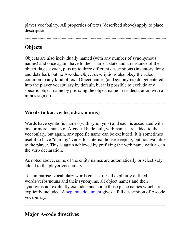player vocabulary. All properties of texts (described above) apply to place descriptions.

# **Objects**

Objects are also individually named (with any number of synonymous names) and once again, have to their name a state and an instance of the object flag set each, plus up to three different descriptions (inventory, long and detailed), but no A-code. Object descriptions also obey the rules common to any kind of text. Object names (and synonyms) do get entered into the player vocabulary by default, but it is possible to exclude any specific object name by prefixing the object name in its declaration with a minus sign (-).

## **Words (a.k.a. verbs, a.k.a. nouns)**

Words have symbolic names (with synonyms) and each is associated with one or more chunks of A-code. By default, verb names are added to the vocabulary, but again, any specific name can be excluded. It is sometimes useful to have "dummy" verbs for internal house-keeping, but not available to the player. This is again achieved by prefixing the verb name with a -, in the verb declaration.

As noted above, some of the entity names are automatically or selectively added to the player vocabulary.

To summarise, vocabulary words consist of: all explicitly defined words/verbs/nouns and their synonyms, all object names and their synonyms not explicitly excluded and some those place names which are explicitly included. A [separate document](#page-113-0) gives a full description of A-code vocabulary.

# **Major A-code directives**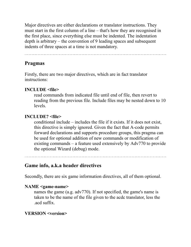Major directives are either declarations or translator instructions. They must start in the first column of a line – that's how they are recognised in the first place, since everything else must be indented. The indentation depth is arbitrary – the convention of 9 leading spaces and subsequent indents of three spaces at a time is not mandatory.

### **Pragmas**

Firstly, there are two major directives, which are in fact translator instructions:

#### **INCLUDE <file>**

read commands from indicated file until end of file, then revert to reading from the previous file. Include files may be nested down to 10 levels.

#### **INCLUDE? <file>**

conditional include – includes the file if it exists. If it does not exist, this directive is simply ignored. Given the fact that A-code permits forward declarations and supports procedure groups, this pragma can be used for optional addition of new commands or modification of existing commands – a feature used extensively by Adv770 to provide the optional Wizard (debug) mode.

#### **Game info, a.k.a header directives**

Secondly, there are six game information directives, all of them optional.

#### **NAME <game-name>**

names the game (a.g. adv770). If not specified, the game's name is taken to be the name of the file given to the acdc translator, less the .acd suffix.

#### **VERSION <version>**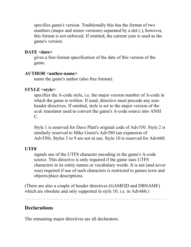specifies game's version. Traditionally this has the format of two numbers (major and minor versions) separated by a dot (.), however, this format is not enforced. If omitted, the current year is used as the game's version.

#### **DATE <date>**

gives a free-format specification of the date of this version of the game.

#### **AUTHOR <author-name>**

name the game's author (also free format).

### **STYLE <style>**

specifies the A-code style, i.e. the major version number of A-code in which the game is written. If used, directive must precede any nonheader directives. If omitted, style is set to the major version of the *acdc* translator used to convert the game's A-code source into ANSI C.

Style 1 is reserved for Dave Platt's original code of Adv550. Style 2 is similarly reserved to Mike Goetz's Adv580 (an expansion of Adv550). Styles 3 to 9 are not in use. Style 10 is reserved for Adv660.

### **UTF8**

signals use of the UTF8 character encoding in the game's A-code source. This directive is only required if the game uses UTF8 characters in its entity names or vocabulary words. It is not (and never was) required if use of such characters is restricted to games texts and objects/place descriptions.

(There are also a couple of header directives (GAMEID and DBNAME) which are obsolete and only supported in style 10, i.e. in Adv660.)

# **Declarations**

The remaining major directives are all declarators.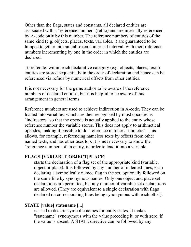Other than the flags, states and constants, all declared entities are associated with a "reference number" (refno) and are internally referenced by A-code **only** by this number. The reference numbers of entities of the same kind (e.g. objects, places, texts, variables...) are guaranteed to be lumped together into an unbroken numerical interval, with their reference numbers incrementing by one in the order in which the entities are declared.

To reiterate: within each declarative category (e.g. objects, places, texts) entities are stored sequentially in the order of declaration and hence can be referenced via refnos by numerical offsets from other entities.

It is not necessary for the game author to be aware of the reference numbers of declared entities, but it is helpful to be aware of this arrangement in general terms.

Reference numbers are used to achieve indirection in A-code. They can be loaded into variables, which are then recognised by most opcodes as "indirectors" so that the opcode is actually applied to the entity whose reference number the variable stores. This does not apply to arithmetical opcodes, making it possible to do "reference number arithmetic". This allows, for example, referencing nameless texts by offsets from other named texts, and has other uses too. It is **not** necessary to know the "reference number" of an entity, in order to load it into a variable.

### **FLAGS {VARIABLE|OBJECT|PLACE}**

starts the declaration of a flag set of the appropriate kind (variable, object or place). It is followed by any number of indented lines, each declaring a symbolically named flag in the set, optionally followed on the same line by synonymous names. Only one object and place set declarations are permitted, but any number of variable set declarations are allowed. (They are equivalent to a single declaration with flags declared on corresponding lines being synonymous with each other).

### **STATE [value] statename [...]**

is used to declare symbolic names for entity states. It makes "statename" synonymous with the value preceding it, or with zero, if the value is absent. A STATE directive can be followed by any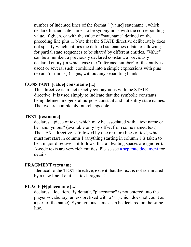number of indented lines of the format " [value] statename", which declare further state names to be synonymous with the corresponding value, if given, or with the value of "statename" defined on the preceding line plus 1. Note that the STATE directive deliberately does not specify which entities the defined statenames relate to, allowing for partial state sequences to be shared by different entities. "Value" can be a number, a previously declared constant, a previously declared entity (in which case the "reference number" of the entity is used) or several such, combined into a simple expressions with plus (+) and/or minus(-) signs, without any separating blanks.

#### **CONSTANT [value] constname [...]**

This directive is in fact exactly synonymous with the STATE directive. It is used simply to indicate that the symbolic constants being defined are general purpose constant and not entity state names. The two are completely interchangeable.

#### **TEXT [textname]**

declares a piece of text, which may be associated with a text name or be "anonymous" (available only by offset from some named text). The TEXT directive is followed by one or more lines of text, which must **not** start in column 1 (anything starting in column 1 is taken to be a major directive -- it follows, that all leading spaces are ignored). A-code texts are very rich entities. Please see [a separate document](#page-119-0) for details.

#### **FRAGMENT textname**

Identical to the TEXT directive, except that the text is not terminated by a new line. I.e. it is a text fragment.

#### **PLACE [+]placename [...]**

declares a location. By default, "placename" is not entered into the player vocabulary, unless prefixed with a '+' (which does not count as a part of the name). Synonymous names can be declared on the same line.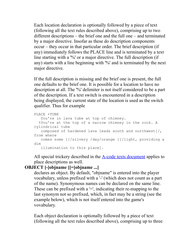Each location declaration is optionally followed by a piece of text (following all the text rules described above), comprising up to two different descriptions – the brief one and the full one – and terminated by a major directive. Insofar as these do description components occur – they occur in that particular order. The brief description (if any) immediately follows the PLACE line and is terminated by a text line starting with a '%' or a major directive. The full description (if any) starts with a line beginning with '%' and is terminated by the next major directive.

If the full description is missing and the brief one is present, the full one defaults to the brief one. It is possible for a location to have no description at all. The '%' delimiter is not itself considered to be a part of the description. If a text switch is encountered in a description being displayed, the current state of the location is used as the switch qualifier. Thus for example

```
PLACE +TUBE
   You're in lava tube at top of chimney.
   %You're at the top of a narrow chimney in the rock. A
cylindrical tube
    composed of hardened lava leads south and northwest[/,
from where
   comes some ][/silvery /day/orange ][/light, providing a
dim
    illumination to this place].
```
All special trickery described in the [A-code texts document](#page-119-0) applies to place descriptions as well.

### **OBJECT [-]objname [[=]objname ...]**

declares an object. By default, "objname" is entered into the player vocabulary, unless prefixed with a '-' (which does not count as a part of the name). Synonymous names can be declared on the same line. These can be prefixed with a  $=$ , indicating their re-mapping to the last synonym not so prefixed, which, in fact may be a string (see the example below), which is not itself entered into the game's vovabulary.

Each object declaration is optionally followed by a piece of text (following all the text rules described above), comprising up to three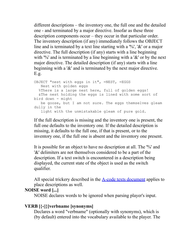different descriptions – the inventory one, the full one and the detailed one - and terminated by a major directive. Insofar as these three description components occur – they occur in that particular order. The inventory description (if any) immediately follows the OBJECT line and is terminated by a text line starting with a  $\%$ , ' $\&$ ' or a major directive. The full description (if any) starts with a line beginning with '%' and is terminated by a line beginning with a '&' or by the next major directive. The detailed description (if any) starts with a line beginning with a '&' and is terminated by the next major directive. E.g.

OBJECT "nest with eggs in it", =NEST, =EGGS Nest with golden eggs %There is a large nest here, full of golden eggs! &The nest holding the eggs is lined with some sort of bird down - might be goose, but I am not sure. The eggs themselves gleam dully in the light with the unmistakable gleam of pure gold.

If the full description is missing and the inventory one is present, the full one defaults to the inventory one. If the detailed description is missing, it defaults to the full one, if that is present, or to the inventory one, if the full one is absent and the inventory one present.

It is possible for an object to have no description at all. The '%' and '&' delimiters are not themselves considered to be a part of the description. If a text switch is encountered in a description being displayed, the current state of the object is used as the switch qualifier.

All special trickery described in the [A-code texts document](#page-119-0) applies to place descriptions as well.

#### **NOISE word [...]**

NOISE declares words to be ignored when parsing player's input.

#### **VERB [{-||}]verbname [synonyms]**

Declares a word "verbname" (optionally with synonyms), which is (by default) entered into the vocabulary available to the player. The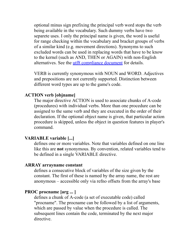optional minus sign prefixing the principal verb word stops the verb being available in the vocabulary. Such dummy verbs have two separete uses. I only the principal name is given, the word is useful for range checking within the vocabulary and bracket groups of verbs of a similar kind (e.g. movement directions). Synonyms to such excluded words can be used in replacing words that have to be know to the kernel (such as AND, THEN or AGAIN) with non-English alternatives. See the [utf8 compliance document](#page-108-0) for details.

VERB is currently synonymous with NOUN and WORD. Adjectives and prepositions are not currently supported. Distinction between different word types are up to the game's code.

#### **ACTION verb [objname]**

The major directive ACTION is used to associate chunks of A-code (procedures) with individual verbs. More than one procedure can be assigned to the same verb and they are executed in the order of their declaration. If the optional object name is given, that particular action procedure is skipped, unless the object in question features in player's command.

#### **VARIABLE variable [...]**

defines one or more variables. Note that variables defined on one line like this are **not** synonymous. By convention, related variables tend to be defined in a single VARIABLE directive.

#### **ARRAY arrayname constant**

defines a consecutive block of variables of the size given by the constant. The first of these is named by the array name, the rest are anonymous – accessible only via refno offsets from the array's base

#### **PROC procname [arg ... ]**

defines a chunk of A-code (a set of executable code) called "procname". The procname can be followed by a list of arguments, which are passed by value when the procedure is called. The subsequent lines contain the code, terminated by the next major directive.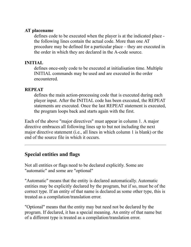#### **AT placename**

defines code to be executed when the player is at the indicated place the following lines contain the actual code. More than one AT procedure may be defined for a particular place – they are executed in the order in which they are declared in the A-code source.

#### **INITIAL**

defines once-only code to be executed at initialisation time. Multiple INITIAL commands may be used and are executed in the order encountered.

#### **REPEAT**

defines the main action-processing code that is executed during each player input. After the INITIAL code has been executed, the REPEAT statements are executed. Once the last REPEAT statement is executed, the program loops back and starts again with the first.

Each of the above "major directives" must appear in column 1. A major directive embraces all following lines up to but not including the next major directive statement (i.e., all lines in which column 1 is blank) or the end of the source file in which it occurs.

# **Special entities and flags**

Not all entities or flags need to be declared explicitly. Some are "automatic" and some are "optional"

"Automatic" means that the entity is declared automatically. Automatic entities may be explicitly declared by the program, but if so, must be of the correct type. If an entity of that name is declared as some other type, this is treated as a compilation/translation error.

"Optional" means that the entity may but need not be declared by the program. If declared, it has a special meaning. An entity of that name but of a different type is treated as a compilation/translation error.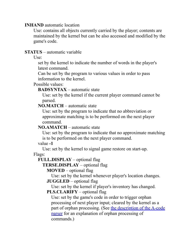#### **INHAND** automatic location

Use: contains all objects currently carried by the player; contents are maintained by the kernel but can be also accessed and modified by the game's code.

#### **STATUS** – automatic variable

 $Use:$ 

set by the kernel to indicate the number of words in the player's latest command.

Can be set by the program to various values in order to pass information to the kernel.

#### Possible values:

#### **BADSYNTAX** – automatic state

Use: set by the kernel if the current player command cannot be parsed.

#### **NO.MATCH** – automatic state

Use: set by the program to indicate that no abbreviation or approximate matching is to be performed on the next player command.

#### **NO.AMATCH** – automatic state

Use: set by the program to indicate that no approximate matching is to be performed on the next player command.

#### value **-1**

Use: set by the kernel to signal game restore on start-up.

#### Flags:

#### **FULL.DISPLAY** – optional flag

**TERSE.DISPLAY** – optional flag

**MOVED** – optional flag

Use: set by the kernel whenever player's location changes.

**JUGGLED** – optional flag

Use: set by the kernel if player's inventory has changed. **PLS.CLARIFY** – optional flag

Use: set by the game's code in order to trigger orphan processing of next player input; cleared by the kernel as a [part of orphan processing. \(See the description of the A-code](#page-94-0) parser for an explanation of orphan processing of commands.)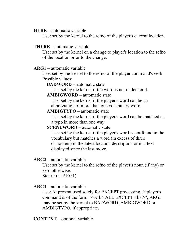**HERE** – automatic variable

Use: set by the kernel to the refno of the player's current location.

#### **THERE** – automatic variable

Use: set by the kernel on a change to player's location to the refno of the location prior to the change.

#### **ARG1** – automatic variable

Use: set by the kernel to the refno of the player command's verb Possible values:

**BADWORD** – automatic state

Use: set by the kernel if the word is not understood.

#### **AMBIGWORD** – automatic state

Use: set by the kernel if the player's word can be an abbreviation of more than one vocabulary word.

**AMBIGTYPO** – automatic state

Use: set by the kernel if the player's word can be matched as a typo in more than one way

#### **SCENEWORD** – automatic state

Use: set by the kernel if the player's word is not found in the vocabulary but matches a word (in excess of three characters) in the latest location description or in a text displayed since the last move.

#### **ARG2** – automatic variable

Use: set by the kernel to the refno of the player's noun (if any) or zero otherwise.

States: (as ARG1)

### **ARG3** – automatic variable

Use: At present used solely for EXCEPT processing. If player's command is of the form "<verb> ALL EXCEPT <list>", ARG3 may be set by the kernel to BADWORD, AMBIGWORD or AMBIGTYPO, if appropriate.

**CONTEXT** – optional variable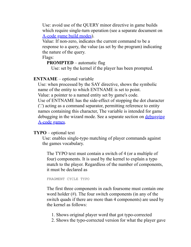Use: avoid use of the QUERY minor directive in game builds which require single-turn operation (see a separate document on [A-code game build modes\)](#page-28-0).

Value: If non-zero, indicates the current command to be a response to a query, the value (as set by the program) indicating the nature of the query.

Flags:

#### **PROMPTED** – automatic flag

Use: set by the kernel if the player has been prompted.

### **ENTNAME** – optional variable

Use: when processed by the SAY directive, shows the symbolic name of the entity to which ENTNAME is set to point.

Value: a pointer to a named entity set by game's code.

Use of ENTNAME has the side-effect of stopping the dot character ('.') acting as a command separator, permitting reference to entity names containing this character, The variable is intended for game [debugging in the wizard mode. See a separate section on debugging](#page-141-0) A-code games.

### **TYPO** – optional text

Use: enables single-typo matching of player commands against the games vocabulary.

The TYPO text must contain a switch of 4 (or a multiple of four) components. It is used by the kernel to explain a typo match to the player. Regardless of the number of components, it must be declared as

FRAGMENT CYCLE TYPO

The first three components in each foursome must contain one word holder (#). The four switch components (in any of the switch quads if there are more than 4 components) are used by the kernel as follows:

- 1. Shows original player word that got typo-corrected
- 2. Shows the typo-corrected version for what the player gave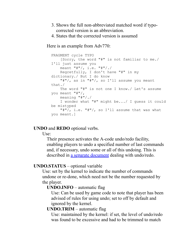- 3. Shows the full non-abbreviated matched word if typocorrected version is an abbreviation.
- 4. States that the corrected version is assumed

Here is an example from Adv770:

```
FRAGMENT cycle TYPO
     [Sorry, the word "#" is not familiar to me./
I'll just assume you
     meant "#"/, i.e. "#"/./
     Regretfully, I don't have "#" in my
dictionary./ But I do know
     "#"/, as in "#"/, so I'll assume you meant
that./
     The word "#" is not one I know./ Let's assume
you meant "#"/,
     meaning "#"/./
     I wonder what "#" might be.../ I guess it could
be mistyped
    "\#"\!/, i.e. "\#"\!/, so I'll assume that was what
you meant.]
```
#### **UNDO** and **REDO** optional verbs.

Use:

Their presence activates the A-code undo/redo facility, enabling players to undo a specified number of last commands and, if necessary, undo some or all of this undoing. This is described in [a separate document](#page-111-0) dealing with undo/redo.

#### **UNDO.STATUS** – optional variable

Use: set by the kernel to indicate the number of commands undone or re-done, which need not be the number requested by the player.

#### **UNDO.INFO** – automatic flag

Use: Can be used by game code to note that player has been advised of rules for using undo; set to off by default and ignored by the kernel.

#### **UNDO.TRIM** – automatic flag

Use: maintained by the kernel: if set, the level of undo/redo was found to be excessive and had to be trimmed to match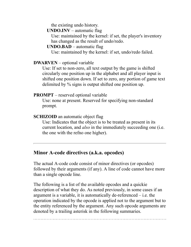the existing undo history.

**UNDO.INV** – automatic flag

Use: maintained by the kernel: if set, the player's inventory has changed as the result of undo/redo.

#### **UNDO.BAD** – automatic flag

Use: maintained by the kernel: if set, undo/redo failed.

### **DWARVEN** – optional variable

Use: If set to non-zero, all text output by the game is shifted circularly one position up in the alphabet and all player input is shifted one position down. If set to zero, any portion of game text delimited by % signs is output shifted one position up.

### **PROMPT** – reserved optional variable

Use: none at present. Reserved for specifying non-standard prompt.

### **SCHIZOID** an automatic object flag

Use: Indicates that the object is to be treated as present in its current location, and *also* in the immediately succeeding one (i.e. the one with the refno one higher).

### **Minor A-code directives (a.k.a. opcodes)**

The actual A-code code consist of minor directives (or opcodes) followed by their arguments (if any). A line of code cannot have more than a single opcode line.

The following is a list of the available opcodes and a quickie description of what they do. As noted previously, in some cases if an argument is a variable, it is automatically de-referenced – i.e. the operation indicated by the opcode is applied not to the argument but to the entity referenced by the argument. Any such opcode arguments are denoted by a trailing asterisk in the following summaries.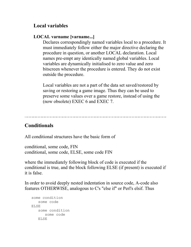# **Local variables**

### **LOCAL varname [varname...]**

Declares correspondingly named variables local to a procedure. It must immediately follow either the major directive declaring the procedure in question, or another LOCAL declaration. Local names pre-empt any identically named global variables. Local variables are dynamically initialised to zero value and zero bitscreen whenever the procedure is entered. They do not exist outside the procedure.

Local variables are not a part of the data set saved/restored by saving or restoring a game image. Thus they can be used to preserve some values over a game restore, instead of using the (now obsolete) EXEC 6 and EXEC 7.

# **Conditionals**

All conditional structures have the basic form of

```
conditional, some code, FIN
conditional, some code, ELSE, some code FIN
```
where the immediately following block of code is executed if the conditional is true, and the block following ELSE (if present) is executed if it is false.

In order to avoid deeply nested indentation in source code, A-code also features OTHERWISE, analogous to C's "else if" or Perl's elsif. Thus

```
 some condition
    some code
 ELSE
    some condition
       some code
    ELSE
```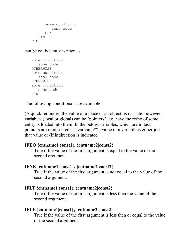```
 some condition
        some code
       FIN
    FIN
 FIN
```
can be equivalently written as

```
 some condition
    some code
 OTHERWISE
 some condition
    some code
 OTHERWISE
 some condition
   some code
 FIN
```
The following conditionals are available:

(A quick reminder: the value of a place or an object, is its state; however, variables (local or global) can be "pointers", i.e. have the refno of some entity is loaded into them. In the below, variables, which are in fact pointers are represented as "varname\*".) value of a variable is either just that value or (if indirection is indicated

#### **IFEQ {entname1|const1}, {entname2|const2}**

True if the value of the first argument is equal to the value of the second argument.

#### **IFNE {entname1|const1}, {entname2|const2}**

True if the value of the first argument is not equal to the value of the second argument.

#### **IFLT {entname1|const1}, {entname2|const2}**

True if the value of the first argument is less then the value of the second argument.

### **IFLE {entname1|const1}, {entname2|const2}**

True if the value of the first argument is less then or equal to the value of the second argument.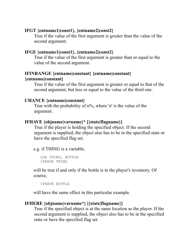#### **IFGT {entname1|const1}, {entname2|const2}**

True if the value of the first argument is greater than the value of the second argument.

### **IFGE {entname1|const1}, {entname2|const2}**

True if the value of the first argument is greater than or equal to the value of the second argument.

### **IFINRANGE {entname|constant} {entname|constant} {entname|constant}**

True if the value of the first argument is greater or equal to that of the second argument, but less or equal to the value of the third one.

#### **CHANCE {entname|constant}**

True with the probability of n%, where 'n' is the value of the argument.

### **IFHAVE {objname|varname}\* [{state|flagname}]**

True if the player is holding the specified object. If the second argument is supplied, the object also has to be in the specified state or have the specified flag set.

e.g. if THING is a variable,

```
 LDA THING, BOTTLE
 IFHAVE THING
```
will be true if and only if the bottle is in the player's inventory. Of course,

```
 IFHAVE BOTTLE
```
will have the same effect in this particular example.

### **IFHERE {objname|varname\*} [{state|flagname}]**

True if the specified object is at the same location as the player. If the second argument is supplied, the object also has to be in the specified state or have the specified flag set.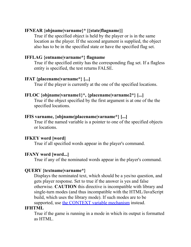### **IFNEAR {objname|varname}\* [{state|flagname}]**

True if the specified object is held by the player or is in the same location as the player. If the second argument is supplied, the object also has to be in the specified state or have the specified flag set.

### **IFFLAG {entname|varname\*} flagname**

True if the specified entity has the corresponding flag set. If a flagless entity is specified, the test returns FALSE.

### **IFAT {placename|varname\*} [...]**

True if the player is currently at the one of the specified locations.

### **IFLOC {objname|varname1}\*, {placename|varname2\*} [...]**

True if the object specified by the first argument is at one of the the specified locations.

### **IFIS varname, {objname|placename|varname\*} [...]**

True if the named variable is a pointer to one of the specified objects or locations.

### **IFKEY word [word]**

True if all specified words appear in the player's command.

### **IFANY word [word...]**

True if any of the nominated words appear in the player's command.

### **QUERY {textname|varname\*}**

Displays the nominated text, which should be a yes/no question, and gets player response. Set to true if the answer is yes and false otherwise. **CAUTION** this directive is incompatible with library and single-turn modes (and thus incompatible with the HTML/JavaScript build, which uses the library mode). If such modes are to be supported, use [the CONTEXT variable mechanism](#page-40-0) instead.

### **IFHTML**

True if the game is running in a mode in which its output is formatted as HTML.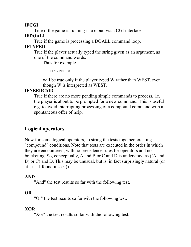#### **IFCGI**

True if the game is running in a cloud via a CGI interface.

### **IFDOALL**

True if the game is processing a DOALL command loop.

### **IFTYPED**

True if the player actually typed the string given as an argument, as one of the command words.

Thus for example

```
 IFTYPED W
```
will be true only if the player typed W rather than WEST, even though W is interpreted as WEST.

### **IFNEEDCMD**

True if there are no more pending simple commands to process, i.e. the player is about to be prompted for a new command. This is useful e.g. to avoid interrupting processing of a compound command with a spontaneous offer of help.

# **Logical operators**

Now for some logical operators, to string the tests together, creating "compound" conditions. Note that tests are executed in the order in which they are encountered, with no precedence rules for operators and no bracketing. So, conceptually, A and B or C and D is understood as ((A and B) or C) and D. This may be unusual, but is, in fact surprisingly natural (or at least I found it so :-)).

### **AND**

"And" the test results so far with the following test.

### **OR**

"Or" the test results so far with the following test.

### **XOR**

"Xor" the test results so far with the following test.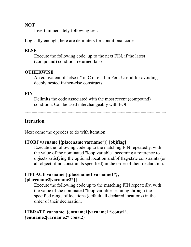#### **NOT**

Invert immediately following test.

Logically enough, here are delimiters for conditional code.

#### **ELSE**

Execute the following code, up to the next FIN, if the latest (compound) condition returned false.

## **OTHERWISE**

An equivalent of "else if" in C or elsif in Perl. Useful for avoiding deeply nested if-then-else constructs.

#### **FIN**

Delimits the code associated with the most recent (compound) condition. Can be used interchangeably with EOI.

# **Iteration**

Next come the opcodes to do with iteration.

# **ITOBJ varname [{placename|varname\*}] [objflag]**

Execute the following code up to the matching FIN repeatedly, with the value of the nominated "loop variable" becoming a reference to objects satisfying the optional location and/of flag/state constraints (or all object, if no constraints specified) in the order of their declaration.

#### **ITPLACE varname [{placename1|varname1\*}, {placename2|varname2\*}]**

Execute the following code up to the matching FIN repeatedly, with the value of the nominated "loop variable" running through the specified range of locations (default all declared locations) in the order of their declaration.

# **ITERATE varname, {entname1|varname1\*|const1}, {entname2|varname2\*|const2}**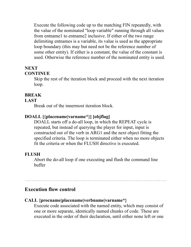Execute the following code up to the matching FIN repeatedly, with the value of the nominated "loop variable" running through all values from entname1 to entname2 inclusive. If either of the two range delimiting entnames is a variable, its value is used as the appropriate loop boundary (this may but need not be the reference number of some other entity). If either is a constant, the value of the constant is used. Otherwise the reference number of the nominated entity is used.

# **NEXT**

#### **CONTINUE**

Skip the rest of the iteration block and proceed with the next iteration loop.

## **BREAK**

#### **LAST**

Break out of the innermost iteration block.

# **DOALL [{placename|varname\*}] [objflag]**

DOALL starts off a do-all loop, in which the REPEAT cycle is repeated, but instead of querying the player for input, input is constructed out of the verb in ARG1 and the next object fitting the specified criteria. The loop is terminated either when no more objects fit the criteria or when the FLUSH directive is executed.

# **FLUSH**

Abort the do-all loop if one executing and flush the command line buffer

# **Execution flow control**

#### **CALL {procname|placename|verbname|varname\*}**

Execute code associated with the named entity, which may consist of one or more separate, identically named chunks of code. These are executed in the order of their declaration, until either none left or one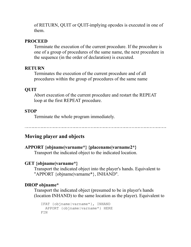of RETURN, QUIT or QUIT-implying opcodes is executed in one of them.

#### **PROCEED**

Terminate the execution of the current procedure. If the procedure is one of a group of procedures of the same name, the next procedure in the sequence (in the order of declaration) is executed.

#### **RETURN**

Terminates the execution of the current procedure and of all procedures within the group of procedures of the same name

## **QUIT**

Abort execution of the current procedure and restart the REPEAT loop at the first REPEAT procedure.

#### **STOP**

Terminate the whole program immediately.

# **Moving player and objects**

#### **APPORT {objname|varname\*} {placename|varname2\*}**

Transport the indicated object to the indicated location.

#### **GET {objname|varname\*}**

Transport the indicated object into the player's hands. Equivalent to "APPORT {objname|varname\*}, INHAND".

#### **DROP objname\***

Transport the indicated object (presumed to be in player's hands (location INHAND) to the same location as the player). Equivalent to

```
 IFAT {objname|varname*}, INHAND
  APPORT {objname|varname*} HERE
 FIN
```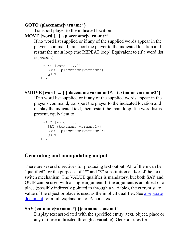## **GOTO {placename|varname\*}**

Transport player to the indicated location.

# **MOVE [word [...]] {placename|varname\*}**

If no word list supplied or if any of the supplied words appear in the player's command, transport the player to the indicated location and restart the main loop (the REPEAT loop).Equivalent to (if a word list is present)

```
 IFANY [word [...]]
    GOTO {placename|varname*}
    QUIT
 FIN
```
# **SMOVE [word [...]] {placename|varname1\*} {textname|varname2\*}**

If no word list supplied or if any of the supplied words appear in the player's command, transport the player to the indicated location and display the indicated text, then restart the main loop. If a word list is present, equivalent to

```
 IFANY [word [...]]
   SAY {textname|varname1*}
    GOTO {placename|varname2*}
    QUIT
 FIN
```
# **Generating and manipulating output**

There are several directives for producing text output. All of them can be "qualified" for the purposes of "#" and "\$" substitution and/or of the text switch mechanism. The VALUE qualifier is mandatory, but both SAY and QUIP can be used with a single argument. If the argument is an object or a place (possibly indirectly pointed to through a variable), the current state [value of the object or place is used as the implicit qualifier. See a separate](#page-119-0) document for a full explanation of A-code texts.

# **SAY {entname|varname\*} [{entname|constant}]**

Display text associated with the specified entity (text, object, place or any of these indirected through a variable). General rules for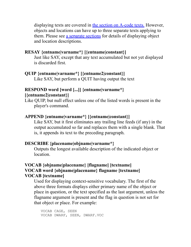displaying texts are covered in [the section on A-code texts.](#page-119-0) However, objects and locations can have up to three separate texts applying to them. Please see [a separate sections](#page-148-0) for details of displaying object and location descriptions.

## **RESAY {entname|varname\*} [{entname|constant}]**

Just like SAY, except that any text accumulated but not yet displayed is discarded first.

## **QUIP {entname|varname\*} [{entname2|constant}]**

Like SAY, but perform a QUIT having output the text

## **RESPOND word [word [...]] {entname|varname\*} [{entname2|constant}]**

Like QUIP, but null effect unless one of the listed words is present in the player's command.

## **APPEND {entname|varname\*} [{entname|constant}]**

Like SAY, but it first eliminates any trailing line feeds (if any) in the output accumulated so far and replaces them with a single blank. That is, it appends its text to the preceding paragraph.

#### **DESCRIBE {placename|objname|varname\*}**

Outputs the longest available description of the indicated object or location.

## **VOCAB {objname|placename} [flagname] [textname] VOCAB word {objname|placename} flagname [textname] VOCAB [textname]**

Used for displaying context-sensitive vocabulary. The first of the above three formats displays either primary name of the object or place in question, or the text specified as the last argument, unless the flagname argument is present and the flag in question is not set for that object or place. For example:

```
 VOCAB CAGE, SEEN 
 VOCAB DWARF, SEEN, DWARF.VOC
```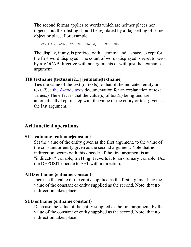The second format applies to words which are neither places nor objects, but their listing should be regulated by a flag setting of some object or place. For example:

VOCAB CHASM, SW.OF.CHASM, BEEN.HERE

The display, if any, is prefixed with a comma and a space, except for the first word displayed. The count of words displayed is reset to zero by a VOCAB directive with no arguments or with just the textname argument.

#### **TIE textname [textname2...] [entname|textname]**

Ties the value of the text (or texts) to that of the indicated entity or text. (See [the A-code texts](#page-119-0) documentation for an explanation of text values.) The effect is that the value(s) of text(s) being tied are automatically kept in step with the value of the entity or text given as the last argument.

#### **Arithmetical operations**

#### **SET entname {entname|constant}**

Set the value of the entity given as the first argument, to the value of the constant or entity given as the second argument. Note that **no** indirection occurs with this opcode. If the first argument is an "indirector" variable, SETting it reverts it to an ordinary variable. Use the DEPOSIT opcode to SET with indirection.

#### **ADD entname {entname|constant}**

Increase the value of the entity supplied as the first argument, by the value of the constant or entity supplied as the second. Note, that **no** indirection takes place!

#### **SUB entname {entname|constant}**

Decrease the value of the entity supplied as the first argument, by the value of the constant or entity supplied as the second. Note, that **no** indirection takes place!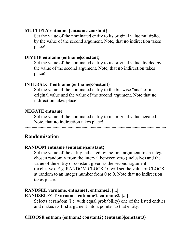#### **MULTIPLY entname {entname|constant}**

Set the value of the nominated entity to its original value multiplied by the value of the second argument. Note, that **no** indirection takes place!

#### **DIVIDE entname {entname|constant}**

Set the value of the nominated entity to its original value divided by the value of the second argument. Note, that **no** indirection takes place!

#### **INTERSECT entname {entname|constant}**

Set the value of the nominated entity to the bit-wise "and" of its original value and the value of the second argument. Note that **no** indirection takes place!

#### **NEGATE entname**

Set the value of the nominated entity to its original value negated. Note, that **no** indirection takes place!

# **Randomisation**

#### **RANDOM entname {entname|constant}**

Set the value of the entity indicated by the first argument to an integer chosen randomly from the interval between zero (inclusive) and the value of the entity or constant given as the second argument (exclusive). E.g. RANDOM CLOCK 10 will set the value of CLOCK at random to an integer number from 0 to 9. Note that **no** indirection takes place.

## **RANDSEL varname, entname1, entname2, [...] RANDSELECT varname, entname1, entname2, [...]**

Selects at random (i.e. with equal probability) one of the listed entities and makes its first argument into a pointer to that entity.

# **CHOOSE entnam {entnam2|constant2} {entnam3|constant3}**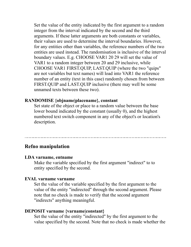Set the value of the entity indicated by the first argument to a random integer from the interval indicated by the second and the third arguments. If these latter arguments are both constants or variables, their values are used to determine the interval boundaries. However, for any entities other than variables, the reference numbers of the two entities are used instead. The randomisation is inclusive of the interval boundary values. E.g. CHOOSE VAR1 20 29 will set the value of VAR1 to a random integer between 20 and 29 inclusive, while CHOOSE VAR1 FIRST.QUIP, LAST.QUIP (where the two "quips" are not variables but text names) will load into VAR1 the reference number of an entity (text in this case) randomly chosen from between FIRST.QUIP and LAST.QUIP inclusive (there may well be some unnamed texts between these two).

#### **RANDOMISE {objname|placename}, constant**

Set state of the object or place to a random value between the base lower bound indicated by the constant (usually 0), and the highest numbered text switch component in any of the object's or location's description.

#### **Refno manipulation**

#### **LDA varname, entname**

Make the variable specified by the first argument "indirect" to to entity specified by the second.

#### **EVAL varname varname**

Set the value of the variable specified by the first argument to the value of the entity "indirected" through the second argument. Please note that no check is made to verify that the second argument "indirects" anything meaningful.

#### **DEPOSIT varname {varname|constant}**

Set the value of the entity "indirected" by the first argument to the value specified by the second. Note that no check is made whether the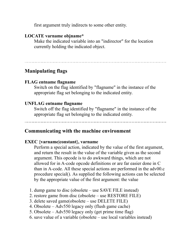first argument truly indirects to some other entity.

#### **LOCATE varname objname\***

Make the indicated variable into an "indirector" for the location currently holding the indicated object.

# **Manipulating flags**

#### **FLAG entname flagname**

Switch on the flag identified by "flagname" in the instance of the appropriate flag set belonging to the indicated entity.

#### **UNFLAG entname flagname**

Switch off the flag identified by "flagname" in the instance of the appropriate flag set belonging to the indicated entity.

# **Communicating with the machine environment**

#### **EXEC {varname|constant}, varname**

Perform a special action, indicated by the value of the first argument, and return the result in the value of the variable given as the second argument. This opcode is to do awkward things, which are not allowed for in A-code opcode definitions or are far easier done in C than in A-code. All these special actions are performed in the adv00.c procedure special(). As supplied the following actions can be selected by the appropriate value of the first argument: the value

- 1. dump game to disc (obsolete use SAVE FILE instead)
- 2. restore game from disc (obsolete use RESTORE FILE)
- 3. delete saved game(obsolete use DELETE FILE)
- 4. Obsolete Adv550 legacy only (flush game cache)
- 5. Obsolete Adv550 legacy only (get prime time flag)
- 6. save value of a variable (obsolete use local variables instead)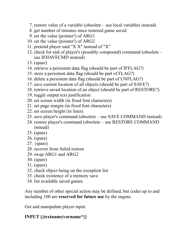- 7. restore value of a variable (obsolete use local variables instead)
- 8. get number of minutes since restored game saved
- 9. set the value (pointer!) of ARG1
- 10. set the value (pointer!) of ARG2
- 11. pretend player said "X X" instead of "X"
- 12. check for end of player's (possibly compound) command (obsolete use IFHAVECMD instead)
- 13. (spare)
- 14. retrieve a persistent data flag (should be part of IFFLAG?)
- 15. store a persistent data flag (should be part of FLAG?)
- 16. delete a persistent data flag (should be part of UNFLAG?)
- 17. save current location of all objects (should be part of SAVE?)
- 18. retrieve saved location of an object (should be part of RESTORE?)
- 19. toggle output text justification
- 20. set screen width (in fixed font characters)
- 21. set page margin (in fixed font characters)
- 22. set screen height (in lines)
- 23. save player's command (obsolete use SAVE COMMAND instead)
- 24. restore player's command (obsolete use RESTORE COMMAND instead)
- 25. (spare)
- 26. (spare)
- 27.  ${space}$
- 28. recover from failed restore
- 29. swap ARG1 and ARG2
- 30. (spare)
- 31. (spare)
- 32. check object being on the exception list
- 33. check existence of a memory save
- 34. list available saved games

Any number of other special action may be defined, but codes up to and including 100 are **reserved for future use** by the engine.

Get and manipulate player input.

# **INPUT [{textname|varname\*}]**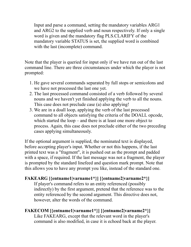Input and parse a command, setting the mandatory variables ARG1 and ARG2 to the supplied verb and noun respectively. If only a single word is given and the mandatory flag PLS.CLARIFY of the mandatory variable STATUS is set, the supplied word is combined with the last (incomplete) command.

Note that the player is queried for input only if we have run out of the last command line. There are three circumstances under which the player is not prompted:

- 1. He gave several commands separated by full stops or semicolons and we have not processed the last one yet.
- 2. The last processed command consisted of a verb followed by several nouns and we haven't yet finished applying the verb to all the nouns. This case does not preclude case (a) also applying!
- 3. We are in a doall loop, applying the verb of the last processed command to all objects satisfying the criteria of the DOALL opcode, which started the loop – and there is at least one more object to process. Again, this case does not preclude either of the two preceding cases applying simultaneously.

If the optional argument is supplied, the nominated text is displayed, before accepting player's input. Whether or not this happens, if the last printed text was a "fragment", it is pushed out as the prompt and padded with a space, if required. If the last message was not a fragment, the player is prompted by the standard linefeed and question mark prompt. Note that this allows you to have any prompt you like, instead of the standard one.

# **FAKEARG [{entname1|varname1\*}] [{entname2|varname2\*}]**

If player's command refers to an entity referenced (possibly indirectly) by the first argument, pretend that the reference was to the entity referenced by the second argument. This directive does not, however, alter the words of the command.

# **FAKECOM [{entname1|varname1\*}] [{entname2|varname2\*}]** Like FAKEARG, except that the relevant word in the player's command is also modified, in case it is echoed back at the player.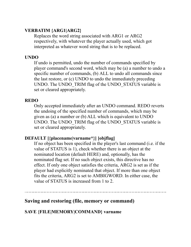# **VERBATIM {ARG1|ARG2}**

Replaces the word string associated with ARG1 or ARG2 respectively, with whatever the player actually used, which got interpreted as whatever word string that is to be replaced.

# **UNDO**

If undo is permitted, undo the number of commands specified by player command's second word, which may be (a) a number to undo a specific number of commands, (b) ALL to undo all commands since the last restore, or (c) UNDO to undo the immediately preceding UNDO. The UNDO\_TRIM flag of the UNDO\_STATUS variable is set or cleared appropriately.

## **REDO**

Only accepted immediately after an UNDO command. REDO reverts the undoing of the specified number of commands, which may be given as (a) a number or (b) ALL which is equivalent to UNDO UNDO. The UNDO\_TRIM flag of the UNDO\_STATUS variable is set or cleared appropriately.

# **DEFAULT [{placename|varname\*}] [objflag]**

If no object has been specified in the player's last command (i.e. if the value of STATUS is 1), check whether there is an object at the nominated location (default HERE) and, optionally, has the nominated flag set. If no such object exists, this directive has no effect. If only one object satisfies the criteria, ARG2 is set as if the player had explicitly nominated that object. If more than one object fits the criteria, ARG2 is set to AMBIGWORD. In either case, the value of STATUS is increased from 1 to 2.

# **Saving and restoring (file, memory or command)**

# **SAVE {FILE|MEMORY|COMMAND} varname**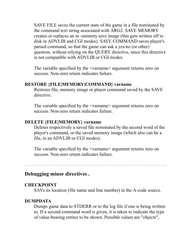SAVE FILE saves the current state of the game in a file nominated by the command text string associated with ARG2. SAVE MEMORY creates or replaces an in -memory save image (this gets written off to disk in ADVLIB and CGI modes). SAVE COMMAND saves player's parsed command, so that the game can ask a yes/no (or other) question, without relying on the QUERY directive, since this directive is not compatible with ADVLIB or CGI modes.

The variable specified by the <varname> argument returns zero on success. Non-zero return indicates failure.

#### **RESTORE {FILE|MEMORY|COMMAND} varname**

Restores file, memory image or player command saved by the SAVE directive.

The variable specified by the <varname> argument returns zero on success. Non-zero return indicates failure.

#### **DELETE {FILE|MEMORY} varname**

Deletes respectively a saved file nominated by the second word of the player's command, or the saved memory image (which also can be a file, in an ADVLIB or CGI modes).

The variable specified by the <varname> argument returns zero on success. Non-zero return indicates failure.

#### **Debugging minor directives .**

#### **CHECKPOINT**

SAYs its location (file name and line number) in the A-code source.

#### **DUMPDATA**

Dumps game data to STDERR or to the log file if one is being written to. If a second command word is given, it is taken to indicate the type of value-bearing entites to be shown. Possible values are "objects",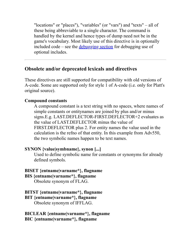"locations" or "places"), "variables" (or "vars") and "texts" – all of these being abbreviable to a single character. The command is handled by the kernel and hence types of dump need not be in the game's vocabulary. Most likely use of this directive is in optionally included code – see the  $\frac{\text{debugging section}}{\text{f}}$  $\frac{\text{debugging section}}{\text{f}}$  $\frac{\text{debugging section}}{\text{f}}$  for debugging use of optional includes.

# **Obsolete and/or deprecated lexicals and directives**

These directives are still supported for compatibility with old versions of A-code. Some are supported only for style 1 of A-code (i.e. only for Platt's original source).

# **Compound constants**

A compound constant is a text string with no spaces, where names of simple constants or entitynames are joined by plus and/or minus signs.E.g. LAST.DEFLECTOR-FIRST.DEFLECTOR+2 evaluates as the value of LAST.DEFLECTOR minus the value of FIRST.DEFLECTOR plus 2. For entity names the value used in the calculation is the refno of that entity. In this example from Adv550, the two symbolic names happen to be text names.

# **SYNON {value|symbname}, synon [...]**

Used to define symbolic name for constants or synonyms for already defined symbols.

# **BISET {entname|varname\*}, flagname**

**BIS {entname|varname\*}, flagname**

Obsolete synonym of FLAG.

# **BITST {entname|varname\*}, flagname**

**BIT {entname|varname\*}, flagname**

Obsolete synonym of IFFLAG.

## **BICLEAR {entname|varname\*}, flagname BIC {entname|varname\*}, flagname**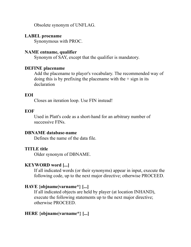Obsolete synonym of UNFLAG.

#### **LABEL procname**

Synonymous with PROC.

#### **NAME entname, qualifier**

Synonym of SAY, except that the qualifier is mandatory.

## **DEFINE placename**

Add the placename to player's vocabulary. The recommended way of doing this is by prefixing the placename with the  $+$  sign in its declaration

## **EOI**

Closes an iteration loop. Use FIN instead!

# **EOF**

Used in Platt's code as a short-hand for an arbitrary number of successive FINs.

#### **DBNAME database-name**

Defines the name of the data file.

#### **TITLE title**

Older synonym of DBNAME.

# **KEYWORD word [...]**

If all indicated words (or their synonyms) appear in input, execute the following code, up to the next major directive; otherwise PROCEED.

# **HAVE {objname|varname\*} [...]**

If all indicated objects are held by player (at location INHAND), execute the following statements up to the next major directive; otherwise PROCEED.

# **HERE {objname|varname\*} [...]**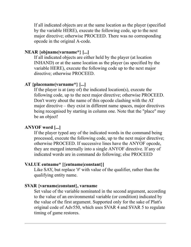If all indicated objects are at the same location as the player (specified by the variable HERE), execute the following code, up to the next major directive; otherwise PROCEED. There was no corresponding opcode in the original A-code.

# **NEAR {objname|varname\*} [...]**

If all indicated objects are either held by the player (at location INHAND) or at the same location as the player (as specified by the variable HERE), execute the following code up to the next major directive; otherwise PROCEED.

# **AT {placename|varname\*} [...]**

If the player is at (any of) the indicated location(s), execute the following code, up to the next major directive; otherwise PROCEED. Don't worry about the name of this opcode clashing with the AT major directive – they exist in different name spaces, major directives being recognised by starting in column one. Note that the "place" may be an object!

# **ANYOF word [...]**

If the player typed any of the indicated words in the command being processed, execute the following code, up to the next major directive; otherwise PROCEED. If successive lines have the ANYOF opcode, they are merged internally into a single ANYOF directive. If any of indicated words are in command do following; else PROCEED

# **VALUE entname\* [{entname|constant}]**

Like SAY, but replace '#' with value of the qualifier, rather than the qualifying entity name.

# **SVAR {varname|constant}, varname**

Set value of the variable nominated in the second argument, according to the value of an environmental variable (or condition) indicated by the value of the first argument. Supported only for the sake of Platt's original code of Adv550, which uses SVAR 4 and SVAR 5 to regulate timing of game restores.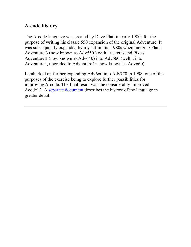# **A-code history**

The A-code language was created by Dave Platt in early 1980s for the purpose of writing his classic 550 expansion of the original Adventure. It was subsequently expanded by myself in mid 1980s when merging Platt's Adventure 3 (now known as Adv550 ) with Luckett's and Pike's AdventureII (now known as Adv440) into Adv660 (well... into Adventure4, upgraded to Adventure4+, now known as Adv660).

I embarked on further expanding Adv660 into Adv770 in 1998, one of the purposes of the exercise being to explore further possibilities for improving A-code. The final result was the considerably improved Acode12. A [separate document](#page-149-0) describes the history of the language in greater detail.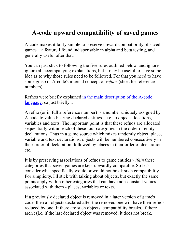# **A-code upward compatibility of saved games**

A-code makes it fairly simple to preserve upward compatibility of saved games – a feature I found indispensable in alpha and beta testing, and generally useful after that.

You can just stick to following the five rules outlined below, and ignore ignore all accompanying explanations, but it may be useful to have some idea as to why those rules need to be followed. For that you need to have some grasp of A-code's internal concept of *refnos* (short for reference numbers).

[Refnos were briefly explained in the main description of the A-code](#page-48-0) language, so just briefly...

A refno (or in full a reference number) is a number uniquely assigned by A-code to value-bearing declared entities  $-$  i.e. to objects, locations, variables and texts. The important point is that these refnos are allocated sequentially within each of these four categories in the order of entity declarations. Thus in a game source which mixes randomly object, place, variable and text declarations, objects will be numbered consecutively in their order of declaration, followed by places in their order of declaration etc.

It is by preserving associations of refnos to game entities *within* these categories that saved games are kept upwardly compatible. So let's consider what specifically would or would not break such compatibility. For simplicity, I'll stick with talking about objects, but exactly the same points apply within other categories that can have non-constant values associated with them - places, variables or texts.

If a previously declared object is removed in a later version of game's code, then all objects declared after the removed one will have their refnos reduced by one. If there are such objects, compatibility breaks. If there aren't (i.e. if the last declared object was removed, it does not break.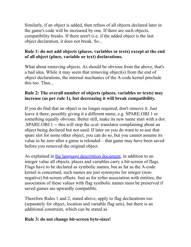Similarly, if an object is added, then refnos of all objects declared later in the game's code will be increased by one. If there are such objects, compatibility breaks. If there aren't (i.e. if the added object is the last object declaration, it does not break. So...

## **Rule 1: do not add objects (places, variables or texts) except at the end of all object (place, variable or text) declarations.**

What about removing objects. As should be obvious from the above, that's a bad idea. While it may seem that removing object(s) from the end of object declarations, the internal mechanics of the A-code kernel preclude this too. Thus...

# **Rule 2: The overall number of objects (places, variables or texts) may increase (as per rule 1), but decreasing it will break compatibility.**

If you do find that an object is no longer required, don't remove it. Just leave it there, possibly giving it a different name, e.g. SPARE.OBJ.1 or something equally obvious. Better still, make its new name start with a dot: .SPARE.OBJ.1 -- this will stop the *acdc* translator complaining about an object being declared but not used. If later on you do want to re-use that spare slot for some other object, you can do so, but you cannot assume its value to be zero after a game is reloaded – that game may have been saved before you removed the original object.

As explained in [the language description document,](#page-49-0) in addition to an integer value all objects, places and variables carry a bit-screen of flags. Flags have to be declared as symbolic names, but as far as the A-code kernel is concerned, such names are just synonyms for integer (nonnegative) bit-screen offsets. Just as for refno association with entities, the association of these values with flag symbolic names must be preserved if saved games are upwardly compatible.

Therefore Rules 1 and 2, stated above, apply to flag declarations too (separately for object, location and variable flag sets), but there is an additional constraint, which can be stated as

# **Rule 3: do not change bit-screen byte-sizes!**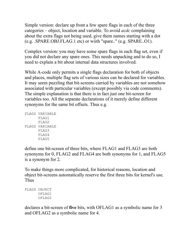Simple version: declare up front a few spare flags in each of the three categories – object, location and variable. To avoid *acdc* complaining about the extra flags not being used, give them names starting with a dot (e.g. .SPARE.OBJ.FLAG.1 etc) or wiith "spare.." (e.g. SPARE..O1).

Complex version: you may have some spare flags in each flag set, even if you did not declare any spare ones. This needs unpacking and to do so, I need to explain a bit about internal data structures involved.

While A-code only permits a single flags declaration for both of objects and places, multiple flag sets of various sizes can be declared for variables. It may seem puzzling that bit-screens carried by variables are not somehow associated with particular variables (except possibly via code comments). The simple explanation is that there is in fact just one bit-screen for variables too. All the separate declarations of it merely define different synonyms for the same bit offsets. Thus e.g.

```
FLAGS VARIABLE
      FLAG1
       FLAG2
FLAGS VARIABLE
       FLAG3
       FLAG4
       FLAG5
```
define one bit-screen of three bits, where FLAG1 and FLAG3 are both synonyms for 0, FLAG2 and FLAG4 are both synonyms for 1, and FLAG5 is a synonym for 2.

To make things more complicated, for historical reasons, location and object bit-screens automatically reserve the first three bits for kernel's use. Thus

```
FLAGS OBJECT
       OFLAG1
       OFLAG2
```
declares a bit-screen of **five** bits, with OFLAG1 as a symbolic name for 3 and OFLAG2 as a symbolic name for 4.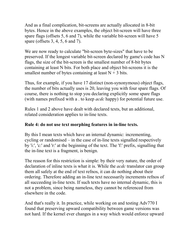And as a final complication, bit-screens are actually allocated in 8-bit bytes. Hence in the above examples, the object bit-screen will have three spare flags (offsets 5, 6 and 7), while the variable bit-screen will have 5 spare (offsets 3, 4, 5, 6 and 7).

We are now ready to calculate "bit-screen byte-sizes" that have to be preserved. If the longest variable bit-screen declared by game's code has N flags, the size of the bit-screen is the smallest number of 8-bit bytes containing at least N bits. For both place and object bit-screens it is the smallest number of bytes containing at least  $N + 3$  bits.

Thus, for example, if you have 17 distinct (non-synonymous) object flags, the number of bits actually uses is 20, leaving you with four spare flags. Of course, there is nothing to stop you declaring explicitly some spare flags (with names prefixed with a . to keep *acdc* happy) for potential future use.

Rules 1 and 2 above have dealt with declared texts, but an additional, related consideration applies to in-line texts.

# **Rule 4: do not use text morphing features in in-line texts.**

By this I mean texts which have an internal dynamic: incrementing, cycling or randomised – in the case of in-line texts signalled respectively by 'i:', 'c:' and 'r:' at the beginning of the text. The 'f:' prefix, signalling that the in-line text is a fragment, is benign.

The reason for this restriction is simple: by their very nature, the order of declaration of inline texts is what it is. While the *acdc* translator can group them all safely at the end of text refnos, it can do nothing about their ordering. Therefore adding an in-line text necessarily increments refnos of all succeeding in-line texts. If such texts have no internal dynamic, this is not a problem, since being nameless, they cannot be referenced from elsewhere in the code.

And that's really it. In practice, while working on and testing Adv770 I found that preserving upward compatibility between game versions was not hard. If the kernel ever changes in a way which would enforce upward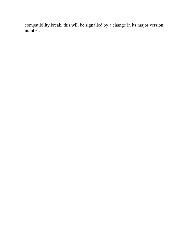compatibility break, this will be signalled by a change in its major version number.

<u> 1980 - Johann Barn, amerikan besteman besteman besteman besteman besteman besteman besteman besteman bestema</u>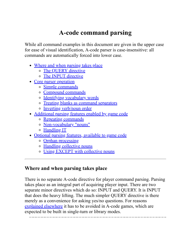# **A-code command parsing**

While all command examples in this document are given in the upper case for ease of visual identification, A-code parser is case-insensitive: all commands are automatically forced into lower case.

- [Where and when parsing takes place](#page-94-0)
	- [The QUERY directive](#page-94-1)
	- o [The INPUT directive](#page-95-0)
- [Core parser operation](#page-96-0)
	- [Simple commands](#page-96-1)
	- [Compound commands](#page-96-2)
	- [Identifying vocabulary words](#page-97-0)
	- [Treating blanks as command separators](#page-99-0)
	- [Inverting verb/noun order](#page-99-1)
- [Additional parsing features enabled by game code](#page-99-2)
	- o [Repeating commands](#page-99-3)
	- [Non-vocabulary "nouns"](#page-100-0)
	- [Handling IT](#page-102-0)
- [Optional parsing features, available to game code](#page-103-0)
	- o [Orphan processing](#page-103-1)
	- [Handling collective nouns](#page-104-0)
	- [Using EXCEPT with collective nouns](#page-106-0)

# <span id="page-94-0"></span>**Where and when parsing takes place**

<span id="page-94-1"></span>There is no separate A-code directive for player command parsing. Parsing takes place as an integral part of acquiring player input. There are two separate minor directives which do so: INPUT and QUERY. It is INPUT that does the heavy lifting. The much simpler QUERY directive is there merely as a convenience for asking yes/no questions. For reasons [explained elsewhere](#page-40-0) it has to be avoided in A-code games, which are expected to be built in single-turn or library modes.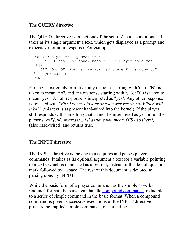# **The QUERY directive**

The QUERY directive is in fact one of the set of A-code conditionals. It takes as its single argument a text, which gets displayed as a prompt and expects yes or no in response. For example:

```
QUERY "Do you really mean it?"
   SAY "It shall be done, boss!" # Player said yes
ELSE
    SAY "Oh, OK. You had me worried there for a moment." 
# Player said no
FIN
```
Parsing is extremely primitive: any response starting with 'n' (or 'N') is taken to mean "no", and any response starting with 'y' (or 'Y') is taken to mean "yes". A null response is interpreted as "yes". Any other response is rejected with "*Eh? Do me a favour and answer yes or no! Which will it be?*" (this text is at present hard-wired into the kernel). If the player still responds with something that cannot be interpreted as yes or no, the parser says "*(OK, smartass... I'll assume you mean YES - so there!)*" (also hard-wired) and returns true.

# <span id="page-95-0"></span>**The INPUT directive**

The INPUT directive is the one that acquires and parses player commands. It takes as its optional argument a text (or a variable pointing to a text), which is to be used as a prompt, instead of the default question mark followed by a space. The rest of this document is devoted to parsing done by INPUT.

While the basic form of a player command has the simple "<verb> <noun>" format, the parser can handle [compound commands](#page-96-2), reducible to a series of simple command in the basic format. When a compound command is given, successive executions of the INPUT directive process the implied simple commands, one at a time.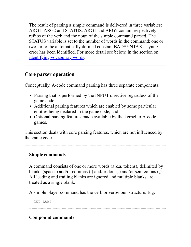The result of parsing a simple command is delivered in three variables: ARG1, ARG2 and STATUS. ARG1 and ARG2 contain respectively refnos of the verb and the noun of the simple command parsed. The STATUS variable is set to the number of words in the command: one or two, or to the automatically defined constant BADSYNTAX a syntax error has been identified. For more detail see below, in the section on [identifying vocabulary words](#page-97-0).

# <span id="page-96-0"></span>**Core parser operation**

Conceptually, A-code command parsing has three separate components:

- Parsing that is performed by the INPUT directive regardless of the game code,
- Additional parsing features which are enabled by some particular entities being declared in the game code, and
- Optional parsing features made available by the kernel to A-code games.

This section deals with core parsing features, which are not influenced by the game code.

# <span id="page-96-1"></span>**Simple commands**

A command consists of one or more words (a.k.a. tokens), delimited by blanks (spaces) and/or commas (,) and/or dots (.) and/or semicolons (;). All leading and trailing blanks are ignored and multiple blanks are treated as a single blank.

A simple player command has the verb or verb/noun structure. E.g.

GET LAMP

# <span id="page-96-2"></span>**Compound commands**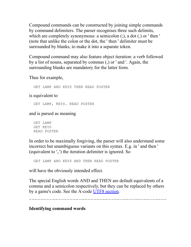Compound commands can be constructed by joining simple commands by command delimiters. The parser recognises three such delimits, which are completely synonymous: a semicolon (;), a dot (.) or ' then ' (note that unlike the colon or the dot, the ' then ' delimiter must be surrounded by blanks, to make it into a separate token.

Compound command may also feature object iteration: a verb followed by a list of nouns, separated by commas (,) or ' and '. Again, the surrounding blanks are mandatory for the latter form.

Thus for example,

GET LAMP AND KEYS THEN READ POSTER

is equivalent to

GET LAMP, KEYS. READ POSTER

and is parsed as meaning

GET LAMP GET KEYS READ POSTER

In order to be maximally forgiving, the parser will also understand some incorrect but unambiguous variants on this syntax. E.g. in ' and then ' (equivalent to ',.') the iteration delimiter is ignored. So

GET LAMP AND KEYS AND THEN READ POSTER

will have the obviously intended effect.

The special English words AND and THEN are default equivalents of a comma and a semicolon respectively, but they can be replaced by others by a game's code. See the A-code <u>UTF8 section</u>.

#### <span id="page-97-0"></span>**Identifying command words**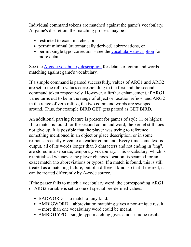Individual command tokens are matched against the game's vocabulary. At game's discretion, the matching process may be

- restricted to exact matches, or
- permit minimal (automatically derived) abbreviations, or
- permit single typo correction see the [vocabulary description](#page-113-0) for more details.

See the **[A-code vocabulary description](#page-113-0)** for details of command words matching against game's vocabulary.

If a simple command is parsed successfully, values of ARG1 and ARG2 are set to the refno values corresponding to the first and the second command token respectively. However, a further enhancement, if ARG1 value turns out to be in the range of object or location refnos, and ARG2 in the range of verb refnos, the two command words are swapped around. Thus, for example BIRD GET gets parsed as GET BIRD.

An additional parsing feature is present for games of style 11 or higher. If no match is found for the second command word, the kernel still does not give up. It is possible that the player was trying to reference something mentioned in an object or place description, or in some response recently given to an earlier command. Every time some text is output, all of its words longer than 3 characters and not ending in "ing", are stored in a separate, temporary vocabulary. This vocabulary, which is re-initialised whenever the player changes location, is scanned for an exact match (no abbreviations or typos). If a match is found, this is still treated as a matching failure, but of a different kind, so that if desired, it can be treated differently by A-code source.

If the parser fails to match a vocabulary word, the corresponding ARG1 or ARG2 variable is set to one of special pre-defined values:

- BADWORD no match of any kind.
- AMBIGWORD abbreviation matching gives a non-unique result – more than one vocabulary word could be meant.
- AMBIGTYPO single typo matching gives a non-unique result.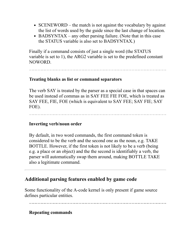- SCENEWORD the match is not against the vocabulary by against the list of words used by the guide since the last change of location.
- BADSYNTAX any other parsing failure. (Note that in this case the STATUS variable is also set to BADSYNTAX.)

Finally if a command consists of just a single word (the STATUS variable is set to 1), the ARG2 variable is set to the predefined constant NOWORD.

#### <span id="page-99-0"></span>**Treating blanks as list or command separators**

The verb SAY is treated by the parser as a special case in that spaces can be used instead of commas as in SAY FEE FIE FOE, which is treated as SAY FEE, FIE, FOE (which is equivalent to SAY FEE; SAY FIE; SAY FOE).

#### <span id="page-99-1"></span>**Inverting verb/noun order**

By default, in two word commands, the first command token is considered to be the verb and the second one as the noun, e.g. TAKE BOTTLE. However, if the first token is not likely to be a verb (being e.g. a place or an object) and the the second is identifiably a verb, the parser will automatically swap them around, making BOTTLE TAKE also a legitimate command.

# <span id="page-99-2"></span>**Additional parsing features enabled by game code**

Some functionality of the A-code kernel is only present if game source defines particular entities.

#### <span id="page-99-3"></span>**Repeating commands**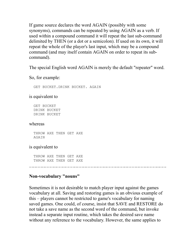If game source declares the word AGAIN (possibly with some synonyms), commands can be repeated by using AGAIN as a verb. If used within a compound command it will repeat the last sub-command delimited by THEN (or a dot or a semicolon). If used on its own, it will repeat the whole of the player's last input, which may be a compound command (and may itself contain AGAIN on order to repeat its subcommand).

The special English word AGAIN is merely the default "repeater" word.

So, for example:

GET BUCKET.DRINK BUCKET. AGAIN

is equivalent to

GET BUCKET DRINK BUCKET DRINK BUCKET

#### whereas

THROW AXE THEN GET AXE AGAIN

#### is equivalent to

THROW AXE THEN GET AXE THROW AXE THEN GET AXE

# <span id="page-100-0"></span>**Non-vocabulary "nouns"**

Sometimes it is not desirable to match player input against the games vocabulary at all. Saving and restoring games is an obvious example of this – players cannot be restricted to game's vocabulary for naming saved games. One could, of course, insist that SAVE and RESTORE do not take a save name as the second word of the command, but invoke instead a separate input routine, which takes the desired save name without any reference to the vocabulary. However, the same applies to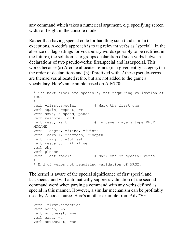any command which takes a numerical argument, e.g. specifying screen width or height in the console mode.

Rather than having special code for handling such (and similar) exceptions, A-code's approach is to tag relevant verbs as "special". In the absence of flag settings for vocabulary words (possibly to be rectified in the future), the solution is to groups declaration of such verbs between declarations of two pseudo-verbs: first.special and last.special. This works because (a) A-code allocates refnos (in a given entity category) in the order of declarations and (b) if prefixed with '-' these pseudo-verbs are themselves allocated refno, but are not added to the game's vocabulary. Here's an example based on Adv770:

```
# The next block are specials, not requiring validation of
ARG2.
#
verb -first.special # Mark the first one
verb again, repeat, =r
verb save, suspend, pause
verb restore, load
verb rest, wait \qquad # In case players type REST
MYGAME
verb !length, =!line, =!width
verb !scroll, =!screen, =!depth
verb !margin, =!offset
verb restart, initialise
verb why
verb please
verb -last.special # Mark end of special verbs
#
# End of verbs not requiring validation of ARG2.
```
The kernel is aware of the special significance of first.special and last.special and will automatically suppress validation of the second command word when parsing a command with any verbs defined as special in this manner. However, a similar mechanism can be profitably used by A-code source. Here's another example from Adv770:

```
verb -first.direction
verb north, =n
verb northeast, =ne
verb east, =e
verb southeast, =se
```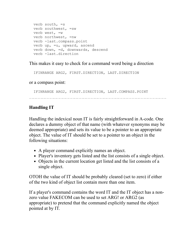```
verb south, =s
verb southwest, =sw
verb west, =w
verb northwest, =nw
verb -last.compass.point
verb up, =u, upward, ascend
verb down, =d, downwards, descend
verb -last.direction
```
This makes it easy to check for a command word being a direction

IFINRANGE ARG2, FIRST.DIRECTION, LAST.DIRECTION

or a compass point:

IFINRANGE ARG2, FIRST.DIRECTION, LAST.COMPASS.POINT

# <span id="page-102-0"></span>**Handling IT**

Handling the indexical noun IT is fairly straightforward in A-code. One declares a dummy object of that name (with whatever synonyms may be deemed appropriate) and sets its value to be a pointer to an appropriate object. The value of IT should be set to a pointer to an object in the following situations:

- A player command explicitly names an object.
- Player's inventory gets listed and the list consists of a single object.
- Objects in the current location get listed and the list consists of a single object.

OTOH the value of IT should be probably cleared (set to zero) if either of the two kind of object list contain more than one item.

If a player's command contains the word IT and the IT object has a nonzero value FAKECOM can be used to set ARG! or ARG2 (as appropriate) to pretend that the command explicitly named the object pointed at by IT.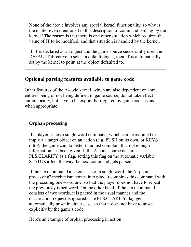None of the above involves any special kernel functionality, so why is the matter even mentioned in this description of command parsing by the kernel? The reason is that there is one other situation which requires the value of IT to be modified, and that situation is handled by the kernel.

If IT is declared as an object and the game source successfully uses the DEFAULT directive to select a default object, then IT is automatically set by the kernel to point at the object defaulted to.

# <span id="page-103-0"></span>**Optional parsing features available to game code**

Other features of the A-code kernel, which are also dependent on some entities being or not being defined in game source, do not take effect automatically, but have to be explicitly triggered by game code as and when appropriate.

# <span id="page-103-1"></span>**Orphan processing**

If a player issues a single word command, which can be assumed to imply a a target object on an action (e.g. PUSH on its own, or KEYS ditto), the game can do better than just complain that not enough information has been given. If the A-code source declares PLS.CLARIFY as a flag, setting this flag on the automatic variable STATUS affect the way the next command gets parsed.

If the next command also consists of a single word, the "orphan processing" mechanism comes into play. It combines this command with the preceding one-word one, so that the player does not have to repeat the previously typed word. On the other hand, if the next command consists of two words, it is parsed in the usual manner and the clarification request is ignored. The PLS.CLARIFY flag gets automatically unset in either case, so that it does not have to unset explicitly by the game's code.

Here's an example of orphan processing in action: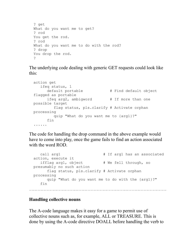```
? get
What do you want me to get?
? rod
You get the rod.
? rod
What do you want me to do with the rod?
? drop
You drop the rod.
?
```
The underlying code dealing with generic GET requests could look like this:

```
action get
    ifeq status, 1
     default portable # Find default object
flagged as portable
     ifeq arg2, ambigword \qquad # If more than one
possible target
         flag status, pls.clarify # Activate orphan
processing
         quip "What do you want me to {arg1}?"
      fin
......
```
The code for handling the drop command in the above example would have to come into play, once the game fails to find an action associated with the word ROD.

```
call arg1 # If arg1 has an associatedaction, execute it
  ifflag arg1, object # We fell through, so
presumably no such action
      flag status, pls.clarify # Activate orphan
processing
      quip "What do you want me to do with the {arg1}?"
   fin
```
#### <span id="page-104-0"></span>**Handling collective nouns**

The A-code language makes it easy for a game to permit use of collective nouns such as, for example, ALL or TREASURE. This is done by using the A-code directive DOALL before handling the verb to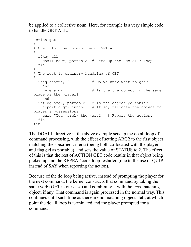be applied to a collective noun. Here, for example is a very simple code to handle GET ALL:

```
action get
#
# Check for the command being GET ALL.
# ifkey all 
    doall here, portable # Sets up the "do all" loop
  fin
#
# The rest is ordinary handling of GET
#
 ifeq status, 2 + Do we know what to get?
    and
  ifhere arg2 # Is the the object in the same
place as the player?
     and
   ifflag arg2, portable # Is the object portable?
    apport arg2, inhand # If so, relocate the object to
player's possessions
    quip "You {arg1} the {arg2} # Report the action.
   fin
fin
```
The DOALL directive in the above example sets up the do all loop of command processing, with the effect of setting ARG2 to the first object matching the specified criteria (being both co-located with the player and flagged as portable), and sets the value of STATUS to 2. The effect of this is that the rest of ACTION GET code results in that object being picked up and the REPEAT code loop restarted (due to the use of QUIP instead of SAY when reporting the action).

Because of the do loop being active, instead of prompting the player for the next command, the kernel constructs that command by taking the same verb (GET in our case) and combining it with the *next* matching object, if any. That command is again processed in the normal way. This continues until such time as there are no matching objects left, at which point the do all loop is terminated and the player prompted for a command.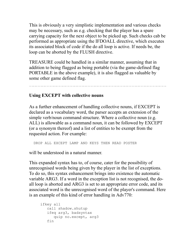This is obviously a very simplistic implementation and various checks may be necessary, such as e.g. checking that the player has a spare carrying capacity for the next object to be picked up. Such checks cab be performed as appropriate using the IFDOALL directive, which executes its associated block of code if the do all loop is active. If needs be, the loop can be aborted by the FLUSH directive.

TREASURE could be handled in a similar manner, assuming that in addition to being flagged as being portable (via the game-defined flag PORTABLE in the above example), it is also flagged as valuable by some other game defined flag.

## <span id="page-106-0"></span>**Using EXCEPT with collective nouns**

As a further enhancement of handling collective nouns, if EXCEPT is declared as a vocabulary word, the parser accepts an extension of the simple verb/noun command structure. Where a collective noun (e.g. ALL) is allowable as a command noun, it can be followed by EXCEPT (or a synonym thereof) and a list of entities to be exempt from the requested action. For example:

DROP ALL EXCEPT LAMP AND KEYS THEN READ POSTER

will be understood in a natural manner.

This expanded syntax has to, of course, cater for the possibility of unrecognised words being given by the player in the list of exceptions. To do so, this syntax enhancement brings into existence the automatic variable ARG3. If a word in the exception list is not recognised, the doall loop is aborted and ARG3 is set to an appropriate error code, and its associated word is the unrecognised word of the player's command. Here is an example of this kind of error handling in Adv770:

```
 ifkey all
    call shadow.shutup
    ifeq arg3, badsyntax
       quip no.except, arg3
    fin
```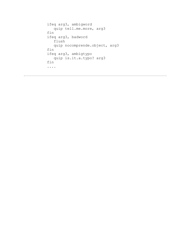```
 ifeq arg3, ambigword
    quip tell.me.more, arg3
 fin
 ifeq arg3, badword
    flush
    quip nocomprende.object, arg3
 fin
 ifeq arg3, ambigtypo
    quip is.it.a.typo? arg3
 fin
 ....
```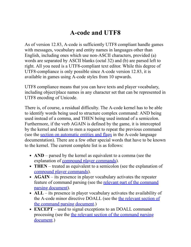# **A-code and UTF8**

As of version 12.83, A-code is sufficiently UTF8 compliant handle games with messages, vocabulary and entity names in languages other than English, including ones which use non-ASCII characters, provided (a) words are separated by ASCII blanks (octal 32) and (b) are parsed left to right. All you need is a UTF8-compliant text editor. While this degree of UTF8-compliance is only possible since A-code version 12.83, it is available in games using A-code styles from 10 upwards.

UTF8 compliance means that you can have texts and player vocabulary, including object/place names in any character set that can be represented in UTF8 encoding of Unicode.

There is, of course, a residual difficulty. The A-code kernel has to be able to identify words being used to structure complex command: AND being used instead of a comma, and THEN being used instead of a semicolon. Furthermore, if the verb AGAIN is defined by the game, it is intercepted by the kernel and taken to men a request to repeat the previous command (see the [section on automatic entities and flags](#page-61-0) in the A-code language documentation). There are a few other special words that have to be known to the kernel. The current complete list is as follows:

- **AND** parsed by the kernel as equivalent to a comma (see the explanation of <u>compound player commands</u>).
- **THEN** treated as equivalent to a semicolon (see the explanation of [compound player commands\)](#page-96-0).
- **AGAIN** its presence in player vocabulary activates the repeater [feature of command parsing \(see the relevant part of the command](#page-99-0) parsing document).
- ALL its presence in player vocabulary activates the availability of [the A-code minor directive DOALL \(see the the relevant section of](#page-104-0) the command parsing document.)
- **EXCEPT** used to signal exceptions to an DOALL command [processing \(see the the relevant section of the command parsing](#page-104-0) document.)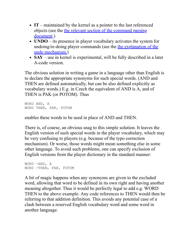- **IT** maintained by the kernel as a pointer to the last referenced [objects \(see the the relevant section of the command parsing](#page-102-0) document.)
- **UNDO** its presence in player vocabulary activates the system for [undoing/re-doing player commands \(see the the explanation of the](#page-111-0) undo mechanism.)
- **SAY** use in kernel is experimental, will be fully described in a later A-code version.

The obvious solution in writing a game in a language other than English is to declare the appropriate synonyms for such special words. (AND and THEN are defined automatically, but can be also defined explicitly as vocabulary words.) E.g. in Czech the equivalent of AND is A, and of THEN is PAK (or POTOM). Thus

WORD AND, A WORD THEN, PAK, POTOM

enables these words to be used in place of AND and THEN.

There is, of course, an obvious snag to this simple solution. It leaves the English version of such special words in the player vocabulary, which may be very confusing to players (e.g. because of the typo correction mechanism). Or worse, those words might mean something else in some other language. To avoid such problems, one can specify exclusion of English versions from the player dictionary in the standard manner:

WORD -AND, A WORD -THEN, PAK, POTOM

A bit of magic happens when any synonyms are given to the excluded word, allowing that word to be defined in its own right and having another meaning altogether. Thus it would be perfectly legal to add e.g. WORD THEN to the above example. Any code references to THEN would then be referring to that addition definition. This avoids any potential case of a clash between a reserved English vocabulary word and some word in another language.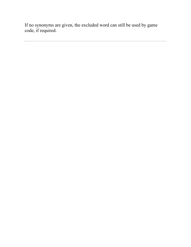If no synonyms are given, the excluded word can still be used by game code, if required.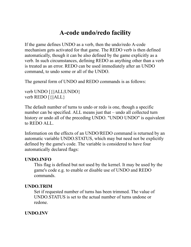# **A-code undo/redo facility**

<span id="page-111-0"></span>If the game defines UNDO as a verb, then the undo/redo A-code mechanism gets activated for that game. The REDO verb is then defined automatically, though it can be also defined by the game explicitly as a verb. In such circumstances, defining REDO as anything other than a verb is treated as an error. REDO can be used immediately after an UNDO command, to undo some or all of the UNDO.

The general form of UNDO and REDO commands is as follows:

verb UNDO [{||ALL|UNDO} verb REDO [{||ALL}

The default number of turns to undo or redo is one, though a specific number can be specified. ALL means just that – undo all collected turn history or undo all of the preceding UNDO. "UNDO UNDO" is equivalent to REDO ALL.

Information on the effects of an UNDO/REDO command is returned by an automatic variable UNDO.STATUS, which may but need not be explicitly defined by the game's code. The variable is considered to have four automatically declared flags:

#### **UNDO.INFO**

This flag is defined but not used by the kernel. It may be used by the game's code e.g. to enable or disable use of UNDO and REDO commands.

#### **UNDO.TRIM**

Set if requested number of turns has been trimmed. The value of UNDO.STATUS is set to the actual number of turns undone or redone.

#### **UNDO.INV**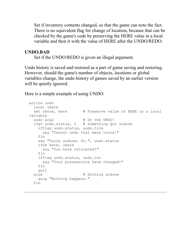Set if inventory contents changed, so that the game can note the fact. There is no equivalent flag for change of location, because that can be checked by the game's code by preserving the HERE value in a local variable and then it with the value of HERE after the UNDO/REDO.

#### **UNDO.BAD**

Set if the UNDO/REDO is given an illegal argument.

Undo history is saved and restored as a part of game saving and restoring. However, should the game's number of objects, locations or global variables change, the undo history of games saved by an earlier version will be quietly ignored.

Here is a simple example of using UNDO:

```
action undo
   local uhere
 set uhere, here \qquad # Preserve value of HERE in a local
variable
 undo arg2 # Do the UNDO!
   ifgt undo.status, 0 # Something got undone
     ifflag undo.status, undo.trim
       say "Cannot undo that many turns!"
     fin
     say "Turns undone: $n.", undo.status
     ifne here, uhere
       say "You have relocated!"
     fin
     ifflag undo.status, undo.inv
       say "Your possessions have changed!"
     fin
    quit
   else # Nothing undone
    quip "Nothing happens."
   fin
```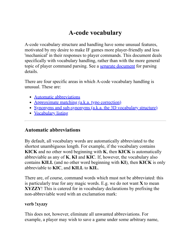# **A-code vocabulary**

<span id="page-113-1"></span>A-code vocabulary structure and handling have some unusual features, motivated by my desire to make IF games more player-friendly and less 'mechanical' in their responses to player commands. This document deals specifically with vocabulary handling, rather than with the more general topic of player command parsing. See a [separate document](#page-94-0) for parsing details.

There are four specific areas in which A-code vocabulary handling is unusual. These are:

- [Automatic abbreviations](#page-113-0)
- [Approximate matching \(a.k.a. typo correction\)](#page-114-0)
- [Synonyms and sub-synonyms \(a.k.a. the 3D vocabulary structure\)](#page-115-0)
- [Vocabulary listing](#page-116-0)

## <span id="page-113-0"></span>**Automatic abbreviations**

By default, all vocabulary words are automatically abbreviated to the shortest unambiguous length. For example, if the vocabulary contains **KICK** and no other word beginning with **K**, then **KICK** is automatically abbreviable as any of **K**, **KI** and **KIC**. If, however, the vocabulary also contains **KILL** (and no other word beginning with **KI**), then **KICK** is only abbreviable to **KIC**, and **KILL** to **KIL**.

There are, of course, command words which must not be abbreviated: this is particularly true for any magic words. E.g. we do not want **X** to mean **XYZZY**! This is catered for in vocabulary declarations by prefixing the non-abbreviable word with an exclamation mark:

#### **verb !xyzzy**

This does not, however, eliminate all unwanted abbreviations. For example, a player may wish to save a game under some arbitrary name,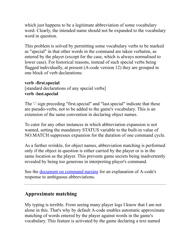which just happens to be a legitimate abbreviation of some vocabulary word. Clearly, the intended name should not be expanded to the vocabulary word in question.

This problem is solved by permitting some vocabulary verbs to be marked as "special" in that other words in the command are taken verbatim, as entered by the player (except for the case, which is always normalised to lower case). For historical reasons, instead of such special verbs being flagged individually, at present (A-code version 12) they are grouped in one block of verb declarations:

#### **verb -first.special**

[standard declarations of any special verbs] **verb -last.special**

The '-' sign preceding "first.special" and "last.special" indicate that these are pseudo-verbs, not to be added to the game's vocabulary. This is an extension of the same convention in declaring object names.

To cater for any other instances in which abbreviation expansion is not wanted, setting the mandatory STATUS variable to the built-in value of NO.MATCH suppresses expansion for the duration of one command cycle.

As a further wrinkle, for object names, abbreviation matching is performed only if the object in question is either carried by the player or is in the same location as the player. This prevents game secrets being inadvertently revealed by being too generous in interpreting player's command.

See the [document on command parsing](#page-94-0) for an explanation of A-code's response to ambiguous abbreviations.

# <span id="page-114-0"></span>**Approximate matching**

My typing is terrible. From seeing many player logs I know that I am not alone in this. That's why by default A-code enables automatic approximate matching of words entered by the player against words in the game's vocabulary. This feature is activated by the game declaring a text named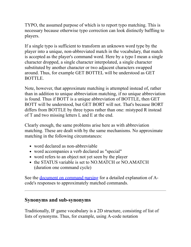TYPO, the assumed purpose of which is to report typo matching. This is necessary because otherwise typo correction can look distinctly baffling to players.

If a single typo is sufficient to transform an unknown word type by the player into a unique, non-abbreviated match in the vocabulary, that match is accepted as the player's command word. Here by a typo I mean a single character dropped, a single character interpolated, a single character substituted by another character or two adjacent characters swapped around. Thus, for example GET BOTTEL will be understood as GET BOTTLE.

Note, however, that approximate matching is attempted instead of, rather than in addition to unique abbreviation matching, if no unique abbreviation is found. Thus if BOTT is a unique abbreviation of BOTTLE, then GET BOTT will be understood, but GET BORT will not. That's because BORT differs from BOTTLE by three typos rather than one: mistyped R instead of T and two missing letters L and E at the end.

Clearly enough, the same problems arise here as with abbreviation matching. These are dealt with by the same mechanisms. No approximate matching in the following circumstances:

- word declared as non-abbreviable
- word accompanies a verb declared as "special"
- word refers to an object not yet seen by the player
- the STATUS variable is set to NO.MATCH or NO.AMATCH (duration one command cycle)

See the <u>document on command parsing</u> for a detailed explanation of Acode's responses to approximately matched commands.

# <span id="page-115-0"></span>**Synonyms and sub-synonyms**

Traditionally, IF game vocabulary is a 2D structure, consisting of list of lists of synonyms. Thus, for example, using A-code notation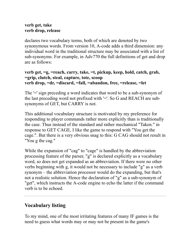#### **verb get, take verb drop, release**

declares two vocabulary terms, both of which are denoted by two synonymous words. From version 10, A-code adds a third dimension: any individual word in the traditional structure may be associated with a list of sub-synonyms. For example, in Adv770 the full definitions of get and drop are as follows:

#### **verb get, =g, =reach, carry, take, =t, pickup, keep, hold, catch, grab, =grip, clutch, steal, capture, tote, scoop verb drop, =dr, =discard, =fall, =abandon, free, =release, =let**

The '=' sign preceding a word indicates that word to be a sub-synonym of the last preceding word not prefixed with '='. So G and REACH are subsynonyms of GET, but CARRY is not.

This additional vocabulary structure is motivated by my preference for responding to player commands rather more explicitly than is traditionally the case. Thus instead of the standard and rather mechanical "Taken." in response to GET CAGE, I like the game to respond with "You get the cage.". But there is a very obvious snag to this: G CAG should not result in "You g the cag."

While the expansion of "cag" to "cage" is handled by the abbreviation processing feature of the parser, "g" is declared explicitly as a vocabulary word, so does not get expanded as an abbreviation. If there were no other verbs beginning with g, it would not be necessary to include "g" as a verb synonym – the abbreviation processor would do the expanding, but that's not a realistic solution. Hence the declaration of "g" as a sub-synonym of "get", which instructs the A-code engine to echo the latter if the command verb is to be echoed.

# <span id="page-116-0"></span>**Vocabulary listing**

To my mind, one of the most irritating features of many IF games is the need to guess what words may or may not be present in the game's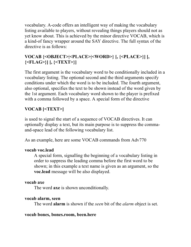vocabulary. A-code offers an intelligent way of making the vocabulary listing available to players, without revealing things players should not as yet know about. This is achieved by the minor directive VOCAB, which is a kind-of fancy wrapper around the SAY directive. The full syntax of the directive is as follows:

# **VOCAB {<OBJECT>|<PLACE>|<WORD>} [, {<PLACE>}] [, {<FLAG>}] [, {<TEXT>}]**

The first argument is the vocabulary word to be conditionally included in a vocabulary listing. The optional second and the third arguments specify conditions under which the word is to be included. The fourth argument, also optional, specifies the text to be shown instead of the word given by the 1st argument. Each vocabulary word shown to the player is prefixed with a comma followed by a space. A special form of the directive

# **VOCAB [<TEXT>]**

is used to signal the start of a sequence of VOCAB directives. It can optionally display a text, but its main purpose is to suppress the commaand-space lead of the following vocabulary list.

As an example, here are some VOCAB commands from Adv770

#### **vocab voc.lead**

A special form, signalling the beginning of a vocabulary listing in order to suppress the leading comma before the first word to be shown; in this example a text name is given as an argument, so the **voc.lead** message will be also displayed.

### **vocab axe**

The word **axe** is shown unconditionally.

### **vocab alarm, seen**

The word **alarm** is shown if the *seen* bit of the *alarm* object is set.

### **vocab bones, bones.room, been.here**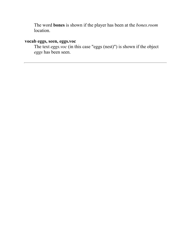The word **bones** is shown if the player has been at the *bones.room* location.

### **vocab eggs, seen, eggs.voc**

The text *eggs.voc* (in this case "eggs (nest)") is shown if the object *eggs* has been seen.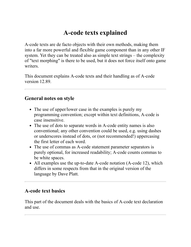# **A-code texts explained**

A-code texts are de facto objects with their own methods, making them into a far more powerful and flexible game component than in any other IF system. Yet they can be treated also as simple text strings – the complexity of "text morphing" is there to be used, but it does not force itself onto game writers.

This document explains A-code texts and their handling as of A-code version 12.89.

## **General notes on style**

- The use of upper/lower case in the examples is purely my programming convention; except within text definitions, A-code is case insensitive.
- The use of dots to separate words in A-code entity names is also conventional; any other convention could be used, e.g. using dashes or underscores instead of dots, or (not recommended!) uppercasing the first letter of each word.
- The use of commas as A-code statement parameter separators is purely optional, for increased readability; A-code counts commas to be white spaces.
- All examples use the up-to-date A-code notation (A-code 12), which differs in some respects from that in the original version of the language by Dave Platt.

# **A-code text basics**

This part of the document deals with the basics of A-code text declaration and use.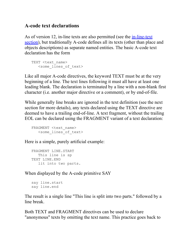## **A-code text declarations**

As of version 12, in-line texts are also permitted (see the *in-line-text* section), but traditionally A-code defines all its texts (other than place and objects descriptions) as separate named entities. The basic A-code text declaration has the form

```
TEXT <text name>
    <some_lines_of_text>
```
Like all major A-code directives, the keyword TEXT must be at the very beginning of a line. The text lines following it must all have at least one leading blank. The declaration is terminated by a line with a non-blank first character (i.e. another major directive or a comment), or by end-of-file.

While generally line breaks are ignored in the text definition (see the next section for more details), any texts declared using the TEXT directive are deemed to have a trailing end-of-line. A text fragment, without the trailing EOL can be declared using the FRAGMENT variant of a text declaration:

```
FRAGMENT <text name>
    <some_lines_of_text>
```
Here is a simple, purely artificial example:

```
 FRAGMENT LINE.START
    This line is sp
 TEXT LINE.END
    lit into two parts.
```
When displayed by the A-code primitive SAY

```
 say line.start
 say line.end
```
The result is a single line "This line is split into two parts." followed by a line break.

Both TEXT and FRAGMENT directives can be used to declare "anonymous" texts by omitting the text name. This practice goes back to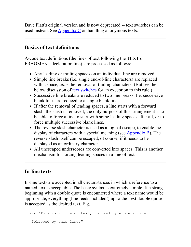Dave Platt's original version and is now deprecated -- text switches can be used instead. See  $\Delta$ ppendix C on handling anonymous texts.

## **Basics of text definitions**

A-code text definitions (the lines of text following the TEXT or FRAGMENT declaration line), are processed as follows:

- Any leading or trailing spaces on an individual line are removed.
- Simple line breaks (i.e. single end-of-line characters) are replaced with a space, *after* the removal of trailing characters. (But see the below discussion of <u>text switches</u> for an exception to this rule.)
- Successive line breaks are reduced to two line breaks. I.e. successive blank lines are reduced to a single blank line
- If after the removal of leading spaces, a line starts with a forward slash, the slash is removed; the only purpose of this arrangement is to be able to force a line to start with some leading spaces after all, or to force multiple successive blank lines.
- The reverse slash character is used as a logical escape, to enable the display of characters with a special meaning (see  $\Delta$ ppendix B). The reverse slash itself can be escaped, of course, if it needs to be displayed as an ordinary character.
- All unescaped underscores are converted into spaces. This is another mechanism for forcing leading spaces in a line of text.

# <span id="page-121-0"></span>**In-line texts**

In-line texts are accepted in all circumstances in which a reference to a named text is acceptable. The basic syntax is extremely simple. If a string beginning with a double quote is encountered where a text name would be appropriate, everything (line feeds included!) up to the next double quote is accepted as the desired text. E.g.

```
say "This is a line of text, follwed by a blank line...
 followed by this line."
```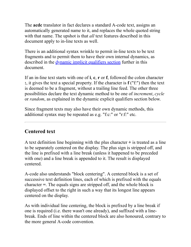The **acdc** translator in fact declares a standard A-code text, assigns an automatically generated name to it, and replaces the whole quoted string with that name. The upshot is that *all* text features described in this document apply to in-line texts as well.

There is an additional syntax wrinkle to permit in-line texts to be text fragments and to permit them to have their own internal dynamics, as described in the <u>[dynamic implicit qualifiers section](#page-131-0)</u> further in this document.

If an in-line text starts with one of **i**, **c**, **r** or **f**, followed the colon character **:**, it gives the text a special property. If the character is **f** ("f:") then the text is deemed to be a fragment, without a trailing line feed. The other three possibilities declare the text dynamic method to be one of *increment*, *cycle* or *random*, as explained in the dynamic explicit qualifiers section below.

Since fragment texts may also have their own dynamic methods, this additional syntax may be repeated as e.g. "f:c:" or "r:f:" etc.

# **Centered text**

A text definition line beginning with the plus character **+** is treated as a line to be separately centered on the display. The plus sign is stripped off, and the line is prefixed with a line break (unless it happened to be preceded with one) and a line break is appended to it. The result is displayed centered.

A-code also understands "block centering". A centered block is a set of successive text definition lines, each of which is prefixed with the equals character **=**. The equals signs are stripped off, and the whole block is displayed offset to the right in such a way that its longest line appears centered on the display.

As with individual line centering, the block is prefixed by a line break if one is required (i.e. there wasn't one already), and suffixed with a linebreak. Ends of line within the centered block are also honoured, contrary to the more general A-code convention.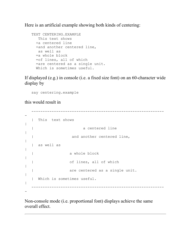Here is an artificial example showing both kinds of centering:

```
 TEXT CENTERING.EXAMPLE
    This text shows
   +a centered line
   +and another centered line,
   as well as
   =a whole block
   =of lines, all of which
   =are centered as a single unit.
   Which is sometimes useful.
```
If displayed (e.g.) in console (i.e. a fixed size font) on an 60-character wide display by

say centering.example

this would result in

-

```
 -----------------------------------------------------------
-
   | This text shows 
|
  | a centered line
|
  | and another centered line,
|
  | as well as 
|
   | a whole block 
|
  | of lines, all of which 
|
  | are centered as a single unit.
\vert | Which is sometimes useful. 
|
        -----------------------------------------------------------
```
Non-console mode (i.e. proportional font) displays achieve the same overall effect.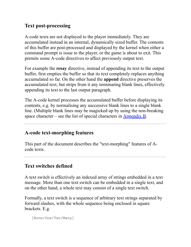# **Text post-processing**

A-code texts are not displayed to the player immediately. They are accumulated instead in an internal, dynamically sized buffer. The contents of this buffer are post-processed and displayed by the kernel when either a command prompt is issue to the player, or the game is about to exit. This permits some A-code directives to affect previously output text.

For example the **resay** directive, instead of appending its text to the output buffer, first empties the buffer so that its text completely replaces anything accumulated so far. On the other hand the **append** directive preserves the accumulated text, but strips from it any terminating blank lines, effectively appending its text to the last output paragraph.

The A-code kernel processes the accumulated buffer before displaying its contents, e.g. by normalising any successive blank lines to a single blank line. (Multiple blank lines may be magicked up by using the non-breaking space character – see the list of special characters in  $\Delta$ ppendix B.

# **A-code text-morphing features**

This part of the document describes the "text-morphing" features of Acode texts.

# <span id="page-124-0"></span>**Text switches defined**

A text switch is effectively an indexed array of strings embedded in a text message. More than one text switch can be embedded in a single text, and on the other hand, a whole text may consist of a single text switch.

Formally, a text switch is a sequence of arbitrary text strings separated by forward slashes, with the whole sequence being enclosed in square brackets. E.g.

[None/One/Two/Many]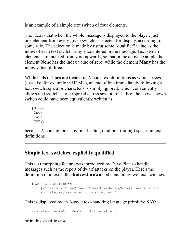is an example of a simple text switch of four elements.

The idea is that when the whole message is displayed to the player, just one element from every given switch is selected for display, according to some rule. The selection is made by using some "qualifier" value as the index of each text switch array encountered in the message. Text switch elements are indexed from zero upwards, so that in the above example the element **None** has the index value of zero, while the element **Many** has the index value of three.

While ends of lines are treated in A-code text definitions as white spaces (just like, for example in HTML), an end of line immediately following a text switch separator character **/** is simply ignored, which conveniently allows text switches to be spread across several lines. E.g. the above shown switch could have been equivalently written as

 [None/ One/ Two/ Many]

because A-code ignores any line-leading (and line-trailing) spaces in text definitions.

# **Simple text switches, explicitly qualified**

This text morphing feature was introduced by Dave Platt to handle messages such as the report of dwarf attacks on the player. Here's the definition of a text called **knives.thrown** and containing two text switches:

```
 TEXT KNIVES.THROWN
     [/One/Two/Three/Four/Five/Six/Seven/Many] nasty sharp 
     kni[/fe is/ves are] thrown at you!
```
This is displayed by an A-code text-handling language primitive SAY:

```
say <text name>, [<explicit qualifier>]
```
or in this specific case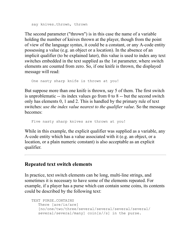```
 say knives.thrown, thrown
```
The second parameter ("thrown") is in this case the name of a variable holding the number of knives thrown at the player, though from the point of view of the language syntax, it could be a constant, or any A-code entity possessing a value (e.g. an object or a location). In the absence of an implicit qualifier (to be explained later), this value is used to index any text switches embedded in the text supplied as the 1st parameter, where switch elements are counted from zero. So, if one knife is thrown, the displayed message will read:

```
 One nasty sharp knife is thrown at you!
```
But suppose more than one knife is thrown, say 5 of them. The first switch is unproblematic -- its index values go from 0 to 8 -- but the second switch only has elements 0, 1 and 2. This is handled by the primary rule of text switches: *use the index value nearest to the qualifier value*. So the message becomes:

```
 Five nasty sharp knives are thrown at you!
```
While in this example, the explicit qualifier was supplied as a variable, any A-code entity which has a value associated with it (e.g. an object, or a location, or a plain numeric constant) is also acceptable as an explicit qualifier.

### **Repeated text switch elements**

In practice, text switch elements can be long, multi-line strings, and sometimes it is necessary to have some of the elements repeated. For example, if a player has a purse which can contain some coins, its contents could be described by the following text:

```
 TEXT PURSE.CONTAINS
    There [are/is/are] 
    [no/one/two/three/several/several/several/several/
    several/several/many] coin[s//s] in the purse.
```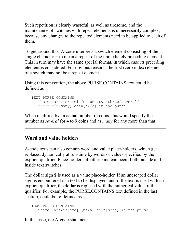Such repetition is clearly wasteful, as well as tiresome, and the maintenance of switches with repeat elements is unnecessarily complex, because any changes to the repeated elements need to be applied to each of them.

To get around this, A-code interprets a switch element consisting of the single character **=** to mean a repeat of the immediately preceding element. This in turn may have the same special format, in which case its preceding element is considered. For obvious reasons, the first (zero index) element of a switch may not be a repeat element.

Using this convention, the above PURSE.CONTAINS text could be defined as

```
 TEXT PURSE.CONTAINS
    There [are/is/are] [no/one/two/three/several/
   =/-/-/-/=/many] coin[s//s] in the purse.
```
When qualified by an actual number of coins, this would specify the number as *several* for 4 to 9 coins and as *many* for any more than that.

# **Word and value holders**

A-code texts can also contain word and value place-holders, which get replaced dynamically at run-time by words or values specified by the explicit qualifier. Place-holders of either kind can occur both outside and inside text switches.

The dollar sign **\$** is used as a value place-holder. If an unescaped dollar sign is encountered in a text to be displayed, and if the text is used with an explicit qualifier, the dollar is replaced with the numerical value of the qualifier. For example, the PURSE.CONTAINS text defined in the last section, could be re-defined as

```
 TEXT PURSE.CONTAINS
    There [are/is/are] [no/$] coin[s//s] in the purse.
```
In this case, the A-code statement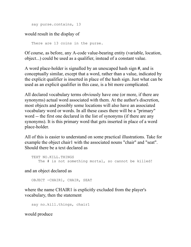say purse.contains, 13

would result in the display of

There are 13 coins in the purse.

Of course, as before, any A-code value-bearing entity (variable, location, object...) could be used as a qualifier, instead of a constant value.

A word place-holder is signalled by an unescaped hash sign **#**, and is conceptually similar, except that a word, rather than a value, indicated by the explicit qualifier is inserted in place of the hash sign. Just what can be used as an explicit qualifier in this case, is a bit more complicated.

All declared vocabulary terms obviously have one (or more, if there are synonyms) actual word associated with them. At the author's discretion, most objects and possibly some locations will also have an associated vocabulary word or words. In all these cases there will be a "primary" word -- the first one declared in the list of synonyms (if there are any synonyms). It is this primary word that gets inserted in place of a word place-holder.

All of this is easier to understand on some practical illustrations. Take for example the object chair1 with the associated nouns "chair" and "seat". Should there be a text declared as

```
 TEXT NO.KILL.THINGS
   The # is not something mortal, so cannot be killed!
```
and an object declared as

OBJECT -CHAIR1, CHAIR, SEAT

where the name CHAIR1 is explicitly excluded from the player's vocabulary, then the statement

```
 say no.kill.things, chair1
```
would produce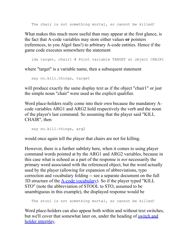The chair is not something mortal, so cannot be killed!

What makes this much more useful than may appear at the first glance, is the fact that A-code variables may store either values **or** pointers (references, to you Algol fans!) to arbitrary A-code entities. Hence if the game code executes somewhere the statement

lda target, chair1 # Point variable TARGET at object CHAIR1

where "target" is a variable name, then a subsequent statement

```
 say no.kill.things, target
```
will produce exactly the same display text as if the object "chair1" or just the simple noun "chair" were used as the explicit qualifier.

Word place-holders really come into their own because the mandatory Acode variables ARG1 and ARG2 hold respectively the verb and the noun of the player's last command. So assuming that the player said "KILL CHAIR", then

```
 say no.kill.things, arg2
```
would once again tell the player that chairs are not for killing.

However, there is a further subtlety here, when it comes to using player command words pointed at by the ARG1 and ARG2 variables, because in this case what is echoed as a part of the response is *not* necessarily the primary word associated with the referenced object, but the word actually used by the player (allowing for expansion of abbreviations, typo correction and vocabulary folding -- see a separate document on the full 3D structure of the  $\triangle$ -code vocabulary). So if the player typed "KILL STO" (note the abbreviation of STOOL to STO, assumed to be unambiguous in this example), the displayed response would be

```
The stool is not something mortal, so cannot be killed!
```
Word place-holders can also appear both within and without text switches, [but we'll cover that somewhat later on, under the heading of switch and](#page-133-0) holder interplay.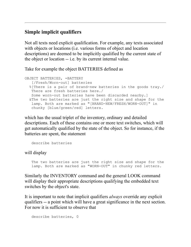# **Simple implicit qualifiers**

Not all texts need explicit qualification. For example, any texts associated with objects or locations (*i.e.* various forms of object and location descriptions) are deemed to be implicitly qualified by the current state of the object or location -- i.e. by its current internal value.

Take for example the object BATTERIES defined as

```
OBJECT BATTERIES, =BATTERY
    [/Fresh/Worn-out] batteries
   %[There is a pair of brand-new batteries in the goods tray./
    There are fresh batteries here./
    Some worn-out batteries have been discarded nearby.]
   &The two batteries are just the right size and shape for the
    lamp. Both are marked as "[BRAND-NEW/FRESH/WORN-OUT]" in
    chunky [blue/green/red] letters.
```
which has the usual triplet of the inventory, ordinary and detailed descriptions. Each of these contains one or more text switches, which will get automatically qualified by the state of the object. So for instance, if the batteries are spent, the statement

describe batteries

will display

 The two batteries are just the right size and shape for the lamp. Both are marked as "WORN-OUT" in chunky red letters.

Similarly the INVENTORY command and the general LOOK command will display their appropriate descriptions qualifying the embedded text switches by the object's state.

It is important to note that implicit qualifiers *always* override any explicit qualifiers -- a point which will have a great significance in the next section. For now it is sufficient to observe that

```
 describe batteries, 0
```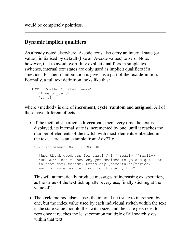would be completely pointless.

# <span id="page-131-0"></span>**Dynamic implicit qualifiers**

As already noted elsewhere, A-code texts also carry an internal state (or value), initialised by default (like all A-code values) to zero. Note, however, that to avoid overriding explicit qualifiers in simple text switches, internal text states are only used as implicit qualifiers if a "method" for their manipulation is given as a part of the text definition. Formally, a full text definition looks like this:

```
TEXT [<method>] <text name>
    <line_of_text> 
    [....]
```
where <method> is one of **increment**, **cycle**, **random** and **assigned**. All of these have different effects.

If the method specified is **increment**, then every time the text is displayed, its internal state is incremented by one, until it reaches the number of elements of the switch with most elements embedded in the text. Here is an example from Adv770:

```
TEXT increment ONCE.IS.ENOUGH
   [And thank goodness for that! /]I [/really /*really* /
   *REALLY* ]don't know why you decided to go and get lost
   in that dark forest. Let's say [once/twice/thrice/
  enough] is enough and not do it again, huh?
```
This will automatically produce messages of increasing exasperation, as the value of the text tick up after every use, finally sticking at the value of 4.

The **cycle** method also causes the internal text state to increment by one, but the index value used by each individual switch within the text is the state value modulo the switch size, and the state gets reset to zero once it reaches the least common multiple of all switch sizes within that text.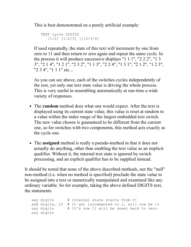This is best demonstrated on a purely artificial example:

```
 TEXT cycle DIGITS
    [1/2] [1/2/3] [1/2/3/4]
```
If used repeatedly, the state of this text will increment by one from zero to 11 and then return to zero again and repeat the same cycle. In the process it will produce successive displays "1 1 1", "2 2 2", "1 3 3", "2 1 4", "1 2 1", "2 3 2", "1 1 3", "2 2 4", "1 3 1", "2 1 2", "1 2 3", "2 3 4", "1 1 1" etc...

As you can see above, each of the switches cycles independently of the rest, yet only one text state value is driving the whole process. This is very useful in assembling automatically at run-time a wide variety of responses.

- The **random** method does what one would expect. After the text is displayed using its current state value, this value is reset at random to a value within the index range of the largest embedded text switch. The new value chosen is guaranteed to be different from the current one, so for switches with two components, this method acts exactly as the cycle one.
- The **assigned** method is really a pseudo-method in that it does not actually do anything, other than enabling the text value as an implicit qualifier. Without it, the internal text state is ignored by switch processing, and an explicit qualifier has to be supplied instead.

It should be noted that none of the above described methods, nor the "null" non-method (i.e. when no method is specified) preclude the state value to be assigned into a text or numerically manipulated and examined like any ordinary variable. So for example, taking the above defined DIGITS text, the statements

```
say digits # Internal state starts from 0!
 add digits, 10 # It got incremented to 1, will now be 11
 say digits # It's now 11 will be reset back to zero
 say digits
```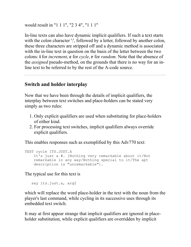would result in "1 1 1", "2 3 4", "1 1 1"

In-line texts can also have dynamic implicit qualifiers. If such a text starts with the colon character ':', followed by a letter, followed by another colon, these three characters are stripped off and a dynamic method is associated with the in-line text in question on the basis of the letter between the two colons: **i** for *increment*, **c** for *cycle*, **r** for *random*. Note that the absence of the *assigned* pseudo-method, on the grounds that there is no way for an inline text to be referred to by the rest of the A-code source.

## <span id="page-133-0"></span>**Switch and holder interplay**

Now that we have been through the details of implicit qualifiers, the interplay between text switches and place-holders can be stated very simply as two rules:

- 1. Only explicit qualifiers are used when substituting for place-holders of either kind.
- 2. For processing text switches, implicit qualifiers always override explicit qualifiers.

This enables responses such as exemplified by this Adv770 text:

```
TEXT cycle ITS.JUST.A
     It's just a #. [Nothing very remarkable about it/Not
     remarkable in any way/Nothing special to it/The apt 
     description is "unremarkable"].
```
The typical use for this text is

say its.just.a, arg2

which will replace the word place-holder in the text with the noun from the player's last command, while cycling in its successive uses through its embedded text switch.

It may at first appear strange that implicit qualifiers are ignored in placeholder substitution, while explicit qualifiers are overridden by implicit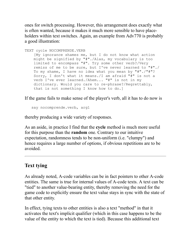ones for switch processing. However, this arrangement does exactly what is often wanted, because it makes it much more sensible to have placeholders within text switches. Again, an example from Adv770 is probably a good illustration:

```
TEXT cycle NOCOMPRENDE.VERB
     [My ignorance shames me, but I do not know what action
    might be signified by "#"./Alas, my vocabulary is too
     limited to encompass "#". Try some other verb?/Very
     remiss of me to be sure, but I've never learned to "#"./
     To my shame, I have no idea what you mean by "#"./"#"? 
     Sorry, I don't what it means./I am afraid "#" is not a 
     verb I've ever learned./Ahem... "#" is not in my
     dictionary. Would you care to re-phrase?/Regrettably,
     that is not something I know how to do.]
```
If the game fails to make sense of the player's verb, all it has to do now is

say nocomprende.verb, arg1

thereby producing a wide variety of responses.

As an aside, in practice I find that the **cycle** method is much more useful for this purpose than the **random** one. Contrary to our intuitive expectation, randomness tends to be non-uniform (i.e. "clumpy") and hence requires a large number of options, if obvious repetitions are to be avoided.

## **Text tying**

As already noted, A-code variables can be in fact pointers to other A-code entities. The same is true for internal values of A-code texts. A text can be "tied" to another value-bearing entity, thereby removing the need for the game code to explicitly ensure the text value stays in sync with the state of that other entity.

In effect, tying texts to other entities is also a text "method" in that it activates the text's implicit qualifier (which in this case happens to be the value of the entity to which the text is tied). Because this additional text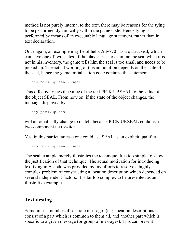method is not purely internal to the text, there may be reasons for the tying to be performed dynamically within the game code. Hence tying is performed by means of an executable language statement, rather than in text declaration.

Once again, an example may be of help. Adv770 has a quartz seal, which can have one of two states. If the player tries to examine the seal when it is not in his inventory, the game tells him the seal is too small and needs to be picked up. The actual wording of this admonition depends on the state of the seal, hence the game initialisation code contains the statement

```
 tie pick.up.seal, seal
```
This effectively ties the value of the text PICK.UP.SEAL to the value of the object SEAL. From now on, if the state of the object changes, the message displayed by

say pick.up.seal

will automatically change to match, because PICK.UP.SEAL contains a two-component text switch.

Yes, in this particular case one could use SEAL as an explicit qualifier:

say pick.up.seal, seal

The seal example merely illustrates the technique. It is too simple to show the justification of that technique. The actual motivation for introducing text tying in A-code was provided by my efforts to resolve a highly complex problem of constructing a location description which depended on several independent factors. It is far too complex to be presented as an illustrative example.

# **Text nesting**

Sometimes a number of separate messages (e.g. location descriptions) consist of a part which is common to them all, and another part which is specific to a given message (or group of messages). This can present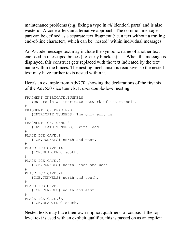maintenance problems (e.g. fixing a typo in *all* identical parts) and is also wasteful. A-code offers an alternative approach. The common message part can be defined as a separate text fragment (i.e. a text without a trailing end-of-line character), which can be "nested" within individual messages.

An A-code message text may include the symbolic name of another text enclosed in unescaped braces (i.e. curly brackets): {}. When the message is displayed, this construct gets replaced with the text indicated by the text name within the braces. The nesting mechanism is recursive, so the nested text may have further texts nested within it.

Here's an example from Adv770, showing the declarations of the first six of the Adv550's ice tunnels. It uses double-level nesting.

```
FRAGMENT INTRICATE.TUNNELS
    You are in an intricate network of ice tunnels.
#
FRAGMENT ICE.DEAD.END
   {INTRICATE.TUNNELS} The only exit is
#
FRAGMENT ICE.TUNNELS
    {INTRICATE.TUNNELS} Exits lead
#
PLACE ICE.CAVE.1
    {ICE.TUNNELS} north and west.
#
PLACE ICE.CAVE.1A
   {ICE.DEAD.END} south.
#
PLACE ICE.CAVE.2
   {ICE.TUNNELS} north, east and west.
#
PLACE ICE.CAVE.2A
   {ICE.TUNNELS} north and south.
#
PLACE ICE.CAVE.3
   {ICE.TUNNELS} north and east.
#
PLACE ICE.CAVE.3A
    {ICE.DEAD.END} south.
```
Nested texts may have their own implicit qualifiers, of course. If the top level text is used with an explicit qualifier, this is passed on as an explicit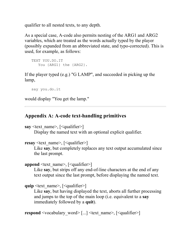qualifier to all nested texts, to any depth.

As a special case, A-code also permits nesting of the ARG1 and ARG2 variables, which are treated as the words actually typed by the player (possibly expanded from an abbreviated state, and typo-corrected). This is used, for example, as follows:

```
 TEXT YOU.DO.IT
   You {ARG1} the {ARG2}.
```
If the player typed (e.g.) "G LAMP", and succeeded in picking up the lamp,

```
 say you.do.it
```
would display "You get the lamp."

## **Appendix A: A-code text-handling primitives**

**say** <text\_name>, [<qualifier>]

Display the named text with an optional explicit qualifier.

```
resay <text_name>, [<qualifier>]
```
Like **say**, but completely replaces any text output accumulated since the last prompt.

**append**  $\leq$  text name $>$ ,  $\leq$  qualifier $\geq$ 

Like **say**, but strips off any end-of-line characters at the end of any text output since the last prompt, before displaying the named text.

```
quip <text_name>, [<qualifier>]
```
Like **say**, but having displayed the text, aborts all further processing and jumps to the top of the main loop (i.e. equivalent to a **say** immediately followed by a **quit**).

**respond** <vocabulary word> [...] <text name>, [<qualifier>]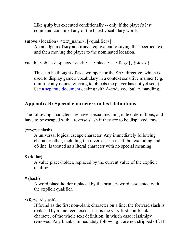Like **quip** but executed conditionally -- only if the player's last command contained any of the listed vocabulary words.

```
smove < location > < text_name >, [<qualifier > ]
```
An amalgam of **say** and **move**, equivalent to saying the specified text and then moving the player to the nominated location.

**vocab**  $\{\leq\text{object}\geq|\leq\text{place}\geq\rangle, \{\leq\text{place}\geq\rangle, \{\leq\text{flag}\geq\rangle, \{\leq\text{text}\geq\rangle\}$ 

This can be thought of as a wrapper for the SAY directive, which is used to display game's vocabulary in a context sensitive manner (e.g. omitting any nouns referring to objects the player has not yet seen). See [a separate document](#page-113-1) dealing with A-code vocabulary handling.

# <span id="page-138-0"></span>**Appendix B: Special characters in text definitions**

The following characters are have special meaning in text definitions, and have to be escaped with a reverse slash if they are to be displayed "raw".

(reverse slash)

A universal logical escape character. Any immediately following character other, including the reverse slash itself, but excluding endof-line, is treated as a literal character with no special meaning.

**\$** (dollar)

A value place-holder, replaced by the current value of the explicit qualifier

**#** (hash)

A word place-holder replaced by the primary word associated with the explicit qualifier.

**/** (forward slash)

If found as the first non-blank character on a line, the forward slash is replaced by a line feed, except if it is the very first non-blank character of the whole text definition, in which case it issimlpy removed. Any blanks immediately following it are not stripped off. If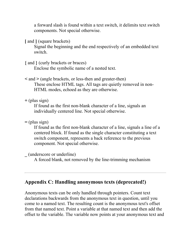a forward slash is found within a text switch, it delimits text switch components. Not special otherwise.

**[** and **]** (square brackets)

Signal the beginning and the end respectively of an embedded text switch.

**{** and **}** (curly brackets or braces)

Enclose the symbolic name of a nested text.

**<** and **>** (angle brackets, or less-then and greater-then)

These enclose HTML tags. All tags are quietly removed in non-HTML modes, echoed as they are otherwise.

**+** (plus sign)

If found as the first non-blank character of a line, signals an individually centered line. Not special otherwise.

**=** (plus sign)

If found as the first non-blank character of a line, signals a line of a centered block. If found as the single character constituting a text switch component, represents a back reference to the previous component. Not special otherwise.

**\_** (underscore or underline)

A forced blank, not removed by the line-trimming mechanism

## <span id="page-139-0"></span>**Appendix C: Handling anonymous texts (deprecated!)**

Anonymous texts can be only handled through pointers. Count text declarations backwards from the anonymous text in question, until you come to a named text. The resulting count is the anonymous text's offset from that named text. Point a variable at that named text and then add the offset to the variable. The variable now points at your anonymous text and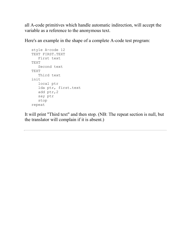all A-code primitives which handle automatic indirection, will accept the variable as a reference to the anonymous text.

Here's an example in the shape of a complete A-code test program:

```
 style A-code 12
 TEXT FIRST.TEXT
   First text
 TEXT
    Second text
 TEXT
   Third text
 init
    local ptr
    lda ptr, first.text
    add ptr,2
   say ptr
    stop
 repeat
```
It will print "Third text" and then stop. (NB: The repeat section is null, but the translator will complain if it is absent.)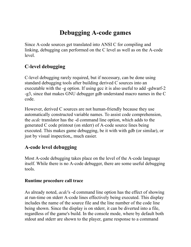# **Debugging A-code games**

Since A-code sources get translated into ANSI C for compiling and linking, debugging can performed on the C level as well as on the A-code level.

# **C-level debugging**

C-level debugging rarely required, but if necessary, can be done using standard debugging tools after building derived C sources into an executable with the -g option. If using gcc it is also useful to add -gdwarf-2 -g3, since that makes GNU debugger gdb understand macro names in the C code.

However, derived C sources are not human-friendly because they use automatically constructed variable names. To assist code comprehension, the *acdc* translator has the -d command line option, which adds to the generated C code printout (on stderr) of A-code source lines being executed. This makes game debugging, be it with with gdb (or similar), or just by visual inspection,, much easier.

## **A-code level debugging**

Most A-code debugging takes place on the level of the A-code language itself. While there is no A-code debugger, there are some useful debugging tools.

#### **Runtime procedure call trace**

As already noted, *acdc*'s -d command line option has the effect of showing at run-time on stderr A-code lines effectively being executed. This display includes the name of the source file and the line number of the code line being shown. Since the display is on stderr, it can be diverted into a file, regardless of the game's build. In the console mode, where by default both stdout and stderr are shown to the player, game response to a command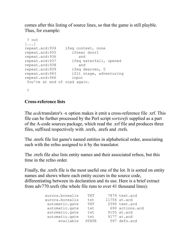comes after this listing of source lines, so that the game is still playble. Thus, for example:

```
 ? out
[\ldots]repeat.acd:934 ifeq context, none
repeat.acd:935 ifnear door1
repeat.acd:936 and
repeat.acd:937 ifeq waterfall, opened
repeat.acd:938 and
repeat.acd:939 ifeq dwarven, 0
repeat.acd:943 iflt stage, adventuring
repeat.acd:946 input
You're at end of road again.
  ?
```
#### **Cross-reference lists**

The *acdc*translator's -x option makes it emit a cross-reference file .xrf. This file can be further processed by the Perl script *sortxrefs* supplied as a part of the A-code sources package, which read the .xrf file and produces three files, suffixed respectively with .xrefs, .nrefs and .rrefs.

The .nrefs file list game's named entities in alphabetical order, associating each with the refno assigned to it by the translator.

The .rrefs file also lists entity names and their associated refnos, but this time in the refno order.

Finally, the .xrefs file is the most useful one of the lot. It is sorted on entity names and shows where each entity occurs in the source code, differentiating between its declaration and its use. Here is a brief extract from adv770.xrefs (the whole file runs to over 41 thousand lines):

| aurora.borealis | TXT          | 7879 text.acd   |
|-----------------|--------------|-----------------|
| aurora.borealis | txt          | 11756 at.acd    |
| automatic.gate  | TXT          | 2590 text.acd   |
| automatic.gate  | txt          | 690 actions.acd |
| automatic.gate  | txt          | 9155 at.acd     |
| automatic.gate  | txt          | 9177 at.acd     |
| available       | <b>STATE</b> | 597 defs.acd    |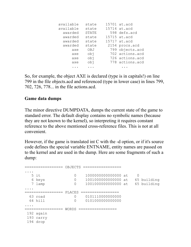| available | state | 15701 at.acd    |
|-----------|-------|-----------------|
| available | state | 15714 at.acd    |
| awarded   | STATE | 598 defs.acd    |
| awarded   | state | 15715 at.acd    |
| awarded   | state | 15717 at.acd    |
| awarded   | state | 2154 procs.acd  |
| axe       | OBJ   | 799 objects.acd |
| axe       | obj   | 702 actions.acd |
| axe       | cbj   | 726 actions.acd |
| axe       | ido   | 778 actions.acd |
|           |       |                 |

So, for example, the object AXE is declared (type is in capitals!) on line 799 in the file objects.acd and referenced (type in lower case) in lines 799, 702, 726, 778... in the file actions.acd.

#### **Game data dumps**

The minor directive DUMPDATA, dumps the current state of the game to standard error. The default display contains no symbolic names (because they are not known to the kernel), so interpreting it requires constant reference to the above mentioned cross-reference files. This is not at all convenient.

However, if the game is translated int C with the -d option, or if it's source code defines the special variable ENTNAME, entity names are passed on to the kernel and are used in the dump. Here are some fragments of such a dump:

```
================= OBJECTS =================
....
 5 it 0 1000000000000000 at 0
 6 keys 0 1001000000000000 at 65 building
 7 lamp 0 1001000000000000 at 65 building
....
================= PLACES =================
  63 road 0 0101110000000000
  64 hill 0 0101000000000000
....
================= WORDS =================
 192 again
 193 carry
 194 drop
```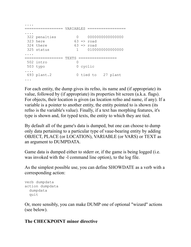```
....
================= VARIABLES =================
....
 322 penalties 0 0000000000000000
323 here 63 => road
324 there 63 \Rightarrow road
 325 status 1 0100000000000000
....
================= TEXTS =================
 502 intro 0
 503 typo 0 cyclic
....
 693 plant.2 0 tied to 27 plant
...
```
For each entity, the dump gives its refno, its name and (if appropriate) its value, followed by (if appropriate) its properties bit screen (a.k.a. flags). For objects, their location is given (as location refno and name, if any). If a variable is a pointer to another entity, the entity pointed to is shown (its refno is the variable's value). Finally, if a text has morphing features, it's type is shown and, for typed texts, the entity to which they are tied.

By default all of the game's data is dumped, but one can choose to dump only data pertaining to a particular type of vaue-bearing entity by adding OBJECT, PLACE (or LOCATION), VARIABLE (or VARS) or TEXT as an argument to DUMPDATA.

Game data is dumped either to stderr or, if the game is being logged (i.e. was invoked with the -l command line option), to the log file.

As the simplest possible use, you can define SHOWDATE as a verb with a corresponding action:

```
verb dumpdata
action dumpdata
  dumpdata
   quit
```
Or, more sensibly, you can make DUMP one of optional "wizard" actions (see below).

### **The CHECKPOINT minor directive**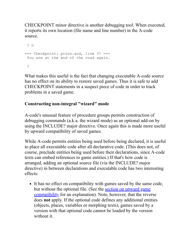CHECKPOINT minor directive is another debugging tool. When executed, it reports its own location (file name and line number) in the A-code source.

```
 ? n
=== Checkpoint: procs.acd, line 37 ===
You are at the end of the road again.
  ?
```
What makes this useful is the fact that changing executable A-code source has no effect on its ability to restore saved games. Thus it is safe to add CHECKPOINT statements in a suspect piece of code in order to track problems in a saved game.

### **Constructing non-integral "wizard" mode**

A-code's unusual feature of procedure groups permits construction of debugging commands (a.k.a. the wizard mode) as an optional add-on by using the INCLUDE? major directive. Once again this is made more useful by upward compatibility of saved games.

While A-code permits entities being used before being declared, it is useful to place all executable code after all declarative code. (This does not, of course, preclude entities being used before their declarations, since A-code texts can embed references to game entities.) If that's how code is arranged, adding an optional source file (via the INCLUDE? major directive) in between declarations and executable code has two interesting effects:

It has no effect on compatibility with games saved by the same code, but without the optional file. (See the section on upward game [compatibility for an explanation\). Note, however, that the reve](#page-89-0)rse does **not** apply. If the optional code defines any additional entities (objects, places, variables or morphing texts), games saved by a version with that optional code cannot be loaded by the version without it.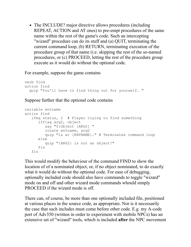• The INCLUDE? major directive allows procedures (including REPEAT, ACTION and AT ones) to pre-empt procedures of the same name within the rest of the game's code. Such an intercepting "wizard" procedure can do its stuff and (a) QUIT, terminating the current command loop, (b) RETURN, terminating execution of the procedure group of that name (i.e. skipping the rest of the so-named procedures, or (c) PROCEED, letting the rest of the procedure group execute as it would do without the optional code.

For example, suppose the game contains

```
verb find
action find
   quip "You'll have to find thing out for yourself. "
```
Suppose further that the optional code contains

```
variable entname
action find
    ifeq status, 2 # Player trying to find something
       ifflag arg2, object
          say "f:Object {ARG2} "
          locate entname, arg2
          quip "is at {ENTNAME}." # Terminates command loop
       else
          quip "{ARG2} is not an object!"
       fin
    fin
```
This would modify the behaviour of the command FIND to show the location of of a nominated object, or, if no object nominated, to do exactly what it would do without the optional code. For ease of debugging, optionally included code should also have commands to toggle "wizard" mode on and off and other wizard mode commands whould simply PROCEED if the wizard mode is off.

There can, of course, be more than one optionally included file, positioned at various places in the source code, as appropriate. Nor is it necessarily the case that such includes must come before other code. E.g. my A-code port of Adv350 (written in order to experiment with mobile NPCs) has an extensive set of "wizard" tools, which is included **after** the NPC movement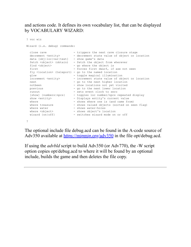and actions code. It defines its own vocabulary list, that can be displayed by VOCABULARY WIZARD:

```
 ? voc wiz
 Wizard (i.e. debug) commands:
close cave \sim - triggers the next cave closure stage
 decrement <entity> - decrement state value of object or location
 data [obj|loc|var|text] - show game's data
 fetch <object> (obtain) - fetch the object from wherever
find <object> - go where the object is
first - forces first dwarf, if axe not seen
  fly <location> (teleport) - go to the named location
 glow - toggle magical illumination
 increment <entity> - increment state value of object or location
next - go to the next higher location
 notbeen - show locations not yet visited
previous - go to the next lower location
runout - sets event clock to zero
 [show] {numbers|npcs} - toggles loc number/npcs repeated display
 show <entity> - Displays entity's current value
where - shows where one is (and came from)
where treasure - shows valued objects (sorted on seen flag)
where water - shows water-holes
where <object> - shows object's location
wizard {on|off} - switches wizard mode on or off
 ?
```
The optional include file debug.acd can be found in the A-code source of Adv350 available at <https://mipmip.org/adv350>in the file opt/debug.acd.

If using the *advbld* script to build Adv350 (or Adv770), the -W script option copies opt/debug.acd to where it will be found by an optional include, builds the game and then deletes the file copy.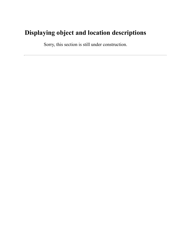# **Displaying object and location descriptions**

Sorry, this section is still under construction.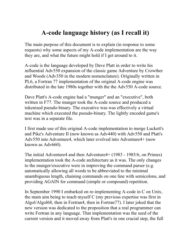# **A-code language history (as I recall it)**

The main purpose of this document is to explain (in response to some requests) why some aspects of my A-code implementation are the way they are, and what the future might hold if I get around to it.

A-code is the language developed by Dave Platt in order to write his influential Adv550 expansion of the classic game Adventure by Crowther and Woods (Adv350 in the modern nomenclature). Originally written in PL6, a Fortran 77 implementation of the original A-code engine was distributed in the late 1980s together with the the Adv550 A-code source.

Dave Platt's A-code engine had a "munger" and an "executive", both written in F77. The munger took the A-code source and produced a tokenised pseudo-binary. The executive was was effectively a virtual machine which executed the pseudo-binary. The lightly encoded game's text was in a separate file.

I first made use of this original A-code implementation to merge Luckett's and Pike's Adventure II (now known as Adv440) with Adv550 and Platt's Adv550 into Adventure4, which later evolved into Adventure4+ (now known as Adv660).

The initial Adventure4 and then Adventure4+ (1983 - 1985/6, on Primes) implementation took the A-code architecture as it was. The only changes to the munger/executive were in improving the command parser (e.g. automatically allowing all words to be abbreviated to the minimal unambiguous length, chaining commands on one line with semicolons, and providing AGAIN for command (simple or compound) repetition.

In September 1990 I embarked on re-implementing A-code in C on Unix, the main aim being to teach myself C (my previous expertise was first in Algol/Algol68, then in Fortran4, then in Fortran77). I later joked that the new version was dedicated to the proposition that a real programmer can write Fortran in any language. That implementation was the seed of the current version and it moved away from Platt's in one crucial step, the full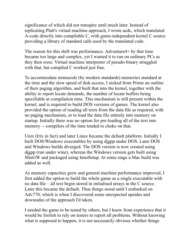significance of which did not transpire until much later. Instead of replicating Platt's virtual machine approach, I wrote acdc, which translated A-code directly into compilable C, with game-independent kernel C source providing a library of standard calls used by the translated code.

The reason for this shift was performance. Adventure4+ by that time became too large and complex, yet I wanted it to run on ordinary PCs as they then were. Virtual machine interpreter of pseudo-binary struggled with that, but compiled C worked just fine.

To accommodate minuscule (by modern standards) memories standard at the time and the slow speed of disk access, I nicked from Prime an outline of their paging algorithm, and built that into the kernel, together with the ability to report locate demands, the number of locate buffers being specifiable at compilation time. This mechanism is still present within the kernel, and is required to build DOS versions of games. The kernel also provided the option of reading all texts from the data file as required, with no paging mechanism, or to load the data file entirely into memory on startup. Initially there was no option for pre-loading all of the text into memory -- compilers of the time tended to choke on that.

Unix (Irix in fact) and later Linux became the default platform. Initially I built DOS/Windows executables by using djgpp under DOS. Later DOS and Windows builds diverged. The DOS version is now created using djgpp (run under wine), whereas the Windows version gets built using MinGW and packaged using InnoSetup. At some stage a Mac build was added as well.

As memory capacities grew and general machine performance improved, I first added the option to build the whole game as a single executable with no data file – all text begin stored in initialised arrays in the C source. Later this became the default. Thus things stood until I embarked on Adv770, which is when I discovered some unexpected upsides and downsides of the approach I'd taken.

I needed the game to be tested by others, but I knew from experience that it would be foolish to rely on testers to report all problems. Without knowing what is supposed to happen, it is not necessarily obvious whether things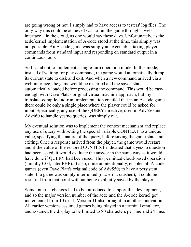are going wrong or not. I simply had to have access to testers' log files. The only way this could be achieved was to run the game through a web interface – in the cloud, as one would say these days. Unfortunately, as the acdc/kernel implementation of A-code stood at the time, this simply was not possible. An A-code game was simply an executable, taking player commands from standard input and responding on standard output in a continuous loop.

So I sat about to implement a single-turn operation mode. In this mode, instead of waiting for play command, the game would automatically dump its current state to disk and exit. And when a new command arrived via a web interface, the game would be restarted and the saved state automatically loaded before processing the command. This would be easy enough with Dave Platt's original virtual machine approach, but my translate-compile-and-run implementation entailed that in an A-code game there could be only a single place where the player could be asked for input. Specifically, any use of the QUERY directive, used in Adv550 and Adv660 to handle yes/no queries, was simply out.

My eventual solution was to implement the context mechanism and replace any use of query with setting the special variable CONTEXT to a unique value, specifying the nature of the query, before saving the game state and exiting. Once a response arrived from the player, the game would restart and if the value of the restored CONTEXT indicated that a yes/no question had been asked, it would evaluate the answer in the same way as it would have done if QUERY had been used. This permitted cloud-based operation (initially CGI, later PHP). It also, quite unintentionally, enabled all A-code games (even Dave Platt's original code of Adv550) to have a persistent state. If a game was simply interrupted (or... erm.. crashed), it could be restarted from that point without being explicitly saved by the player.

Some internal changes had to be introduced to support this development, and so the major version number of the acdc and the A-code kernel got incremented from 10 to 11. Version 11 also brought in another innovation. All earlier versions assumed games being played in a terminal emulator, and assumed the display to be limited to 80 characters per line and 24 lines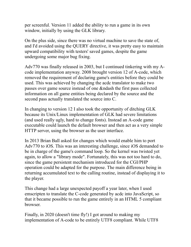per screenful. Version 11 added the ability to run a game in its own window, initially by using the GLK library.

On the plus side, since there was no virtual machine to save the state of, and I'd avoided using the QUERY directive, it was pretty easy to maintain upward compatibility with testers' saved games, despite the game undergoing some major bug fixing.

Adv770 was finally released in 2003, but I continued tinkering with my Acode implementation anyway. 2008 brought version 12 of A-code, which removed the requirement of declaring game's entities before they could be used. This was achieved by changing the acdc translator to make two passes over game source instead of one &ndash the first pass collected information on all game entities being declared by the source and the second pass actually translated the source into C.

In changing to version 12 I also took the opportunity of ditching GLK because its Unix/Linux implementation of GLK had severe limitations (and used really ugly, hard to change fonts). Instead an A-code game executable could launch the default browser and then act as a very simple HTTP server, using the browser as the user interface.

In 2013 Brian Ball asked for changes which would enable him to port Adv770 to iOS. This was an interesting challenge, since iOS demanded to be in charge of the game's command loop. So the kernel was twisted yet again, to allow a "library mode". Fortunately, this was not too hard to do, since the game persistent mechanism introduced for the CGI/PHP operation could be adapted for the purpose. The main difference being in returning accumulated text to the calling routine, instead of displaying it to the player.

This change had a large unexpected payoff a year later, when I used emscripten to translate the C-code generated by acdc into JavaScript, so that it became possible to run the game entirely in an HTML 5 compliant browser.

Finally, in 2020 (doesn't time fly!) I got around to making my implementation of A-code to be entirely UTF8 compliant. While UTF8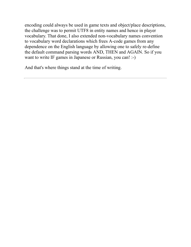encoding could always be used in game texts and object/place descriptions, the challenge was to permit UTF8 in entity names and hence in player vocabulary. That done, I also extended non-vocabulary names convention to vocabulary word declarations which frees A-code games from any dependence on the English language by allowing one to safely re-define the default command parsing words AND, THEN and AGAIN. So if you want to write IF games in Japanese or Russian, you can! :-)

And that's where things stand at the time of writing.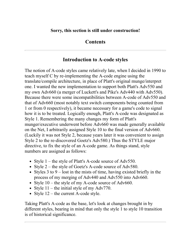### **Sorry, this section is still under construction!**

### **Contents**

## **Introduction to A-code styles**

The notion of A-code styles came relatively late, when I decided in 1990 to teach myself C by re-implementing the A-code engine using the translate/compile architecture, in place of Platt's original munge/interpret one. I wanted the new implementation to support both Platt's Adv550 and my own Adv660 (a merger of Luckett's and Pike's Adv440 with Adv550). Because there were some incompatibilities between A-code of Adv550 and that of Adv660 (most notably text switch components being counted from 1 or from 0 respectively), it became necessary for a game's code to signal how it is to be treated. Logically enough, Platt's A-code was designated as Style 1. Remembering the many changes my form of Platt's munger/executive underwent before Adv660 was made generally available on the Net, I arbitrarily assigned Style 10 to the final version of Adv660. (Luckily it was not Style 2, because years later it was convenient to assign Style 2 to the re-discovered Goetz's Adv580.) Thus the STYLE major directive, to fix the style of an A-code game. As things stand, style numbers are assigned as follows:

- Style  $1$  the style of Platt's A-code source of Adv550.
- Style 2 the style of Goetz's A-code source of Adv580.
- Styles 3 to 9 lost in the mists of time, having existed briefly in the process of my merging of Adv440 and Adv550 into Adv660.
- Style 10 the style of my A-code source of Adv660.
- Style  $11$  the initial style of my Adv770.
- Style 12 the current A-code style.

Taking Platt's A-code as the base, let's look at changes brought in by different styles, bearing in mind that only the style 1 to style 10 transition is of historical significance.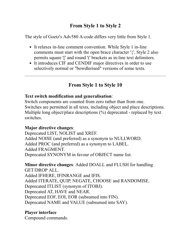## **From Style 1 to Style 2**

The style of Goetz's Adv580 A-code differs very little from Style 1.

- It relaxes in-line comment convention. While Style 1 in-line comments must start with the open brace character '{', Style 2 also permits square '[' and round '(' brackets as in-line text delimiters.
- It introduces CIF and CENDIF major directives in order to use selectively normal or "bowdlerised" versions of some texts.

# **From Style 1 to Style 10**

### **Text switch modification and generalisation**:

Switch components are counted from zero rather than from one. Switches are permitted in all texts, including object and place descriptions. Multiple long object/place descriptions (%) deprecated - replaced by text switches.

### **Major directive changes**:

Deprecated LIST, NOLIST and XREF. Added NOISE (and preferred) as a synonym to NULLWORD. Added PROC (and preferred) as a synonym to LABEL. Added FRAGMENT. Deprecated SYNONYM in favour of OBJECT name list.

# **Minor directive changes**: Added DOALL and FLUSH for handling

GET/DROP ALL. Added IFHERE, IFINRANGE and IFIS. Added ITERATE, QUIP, NEGATE, CHOOSE and RANDOMISE. Deprecated ITLIST (synonym of ITOBJ). Deprecated AT, HAVE and NEAR. Deprecated EOF, EOI, EOR (subsumed into FIN). Deprecated NAME and VALUE (subsumed into SAY).

### **Player interface**

Compound commands.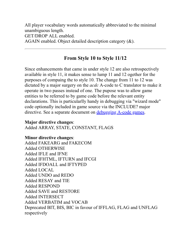All player vocabulary words automatically abbreviated to the minimal unambiguous length. GET/DROP ALL enabled. AGAIN enabled. Object detailed description category (&).

## **From Style 10 to Style 11/12**

Since enhancements that came in under style 12 are also retrospectively available in style 11, it makes sense to lump 11 and 12 ogether for the purposes of compaing the to style 10. The change from 11 to 12 was dictated by a major surgery on the *acdc* A-code to C translator to make it operate in two passes instead of one. The pupose was to allow game entities to be referred to by game code before the relevant entity declarations. This is particularlly handy in debugging via "wizard mode" code optionally included in game source via the INCLUDE? major directive. See a separate document on [debugging A-code games.](#page-141-0)

#### **Major directive changes**:

Added ARRAY, STATE, CONSTANT, FLAGS

#### **Minor directive changes**:

Added FAKEARG and FAKECOM Added OTHERWISE Added IFLE and IFNE Added IFHTML, IFTURN and IFCGI Added IFDOALL and IFTYPED Added LOCAL Added UNDO and REDO Added RESAY and TIE Added RESPOND Added SAVE and RESTORE Added INTERSECT Added VERBATIM and VOCAB Deprecated BIT, BIS, BIC in favour of IFFLAG, FLAG and UNFLAG respectively